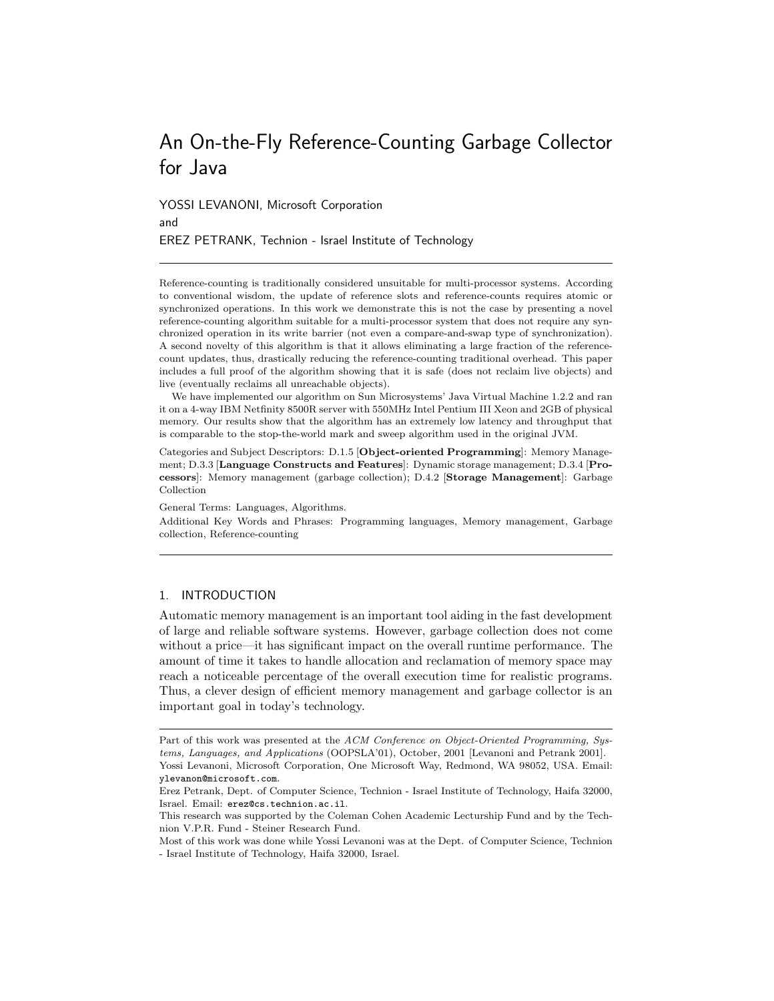# An On-the-Fly Reference-Counting Garbage Collector for Java

YOSSI LEVANONI, Microsoft Corporation and EREZ PETRANK, Technion - Israel Institute of Technology

Reference-counting is traditionally considered unsuitable for multi-processor systems. According to conventional wisdom, the update of reference slots and reference-counts requires atomic or synchronized operations. In this work we demonstrate this is not the case by presenting a novel reference-counting algorithm suitable for a multi-processor system that does not require any synchronized operation in its write barrier (not even a compare-and-swap type of synchronization). A second novelty of this algorithm is that it allows eliminating a large fraction of the referencecount updates, thus, drastically reducing the reference-counting traditional overhead. This paper includes a full proof of the algorithm showing that it is safe (does not reclaim live objects) and live (eventually reclaims all unreachable objects).

We have implemented our algorithm on Sun Microsystems' Java Virtual Machine 1.2.2 and ran it on a 4-way IBM Netfinity 8500R server with 550MHz Intel Pentium III Xeon and 2GB of physical memory. Our results show that the algorithm has an extremely low latency and throughput that is comparable to the stop-the-world mark and sweep algorithm used in the original JVM.

Categories and Subject Descriptors: D.1.5 [Object-oriented Programming]: Memory Management; D.3.3 [Language Constructs and Features]: Dynamic storage management; D.3.4 [Processors]: Memory management (garbage collection); D.4.2 [Storage Management]: Garbage Collection

General Terms: Languages, Algorithms.

Additional Key Words and Phrases: Programming languages, Memory management, Garbage collection, Reference-counting

# 1. INTRODUCTION

Automatic memory management is an important tool aiding in the fast development of large and reliable software systems. However, garbage collection does not come without a price—it has significant impact on the overall runtime performance. The amount of time it takes to handle allocation and reclamation of memory space may reach a noticeable percentage of the overall execution time for realistic programs. Thus, a clever design of efficient memory management and garbage collector is an important goal in today's technology.

Part of this work was presented at the ACM Conference on Object-Oriented Programming, Systems, Languages, and Applications (OOPSLA'01), October, 2001 [Levanoni and Petrank 2001]. Yossi Levanoni, Microsoft Corporation, One Microsoft Way, Redmond, WA 98052, USA. Email: ylevanon@microsoft.com.

Erez Petrank, Dept. of Computer Science, Technion - Israel Institute of Technology, Haifa 32000, Israel. Email: erez@cs.technion.ac.il.

This research was supported by the Coleman Cohen Academic Lecturship Fund and by the Technion V.P.R. Fund - Steiner Research Fund.

Most of this work was done while Yossi Levanoni was at the Dept. of Computer Science, Technion - Israel Institute of Technology, Haifa 32000, Israel.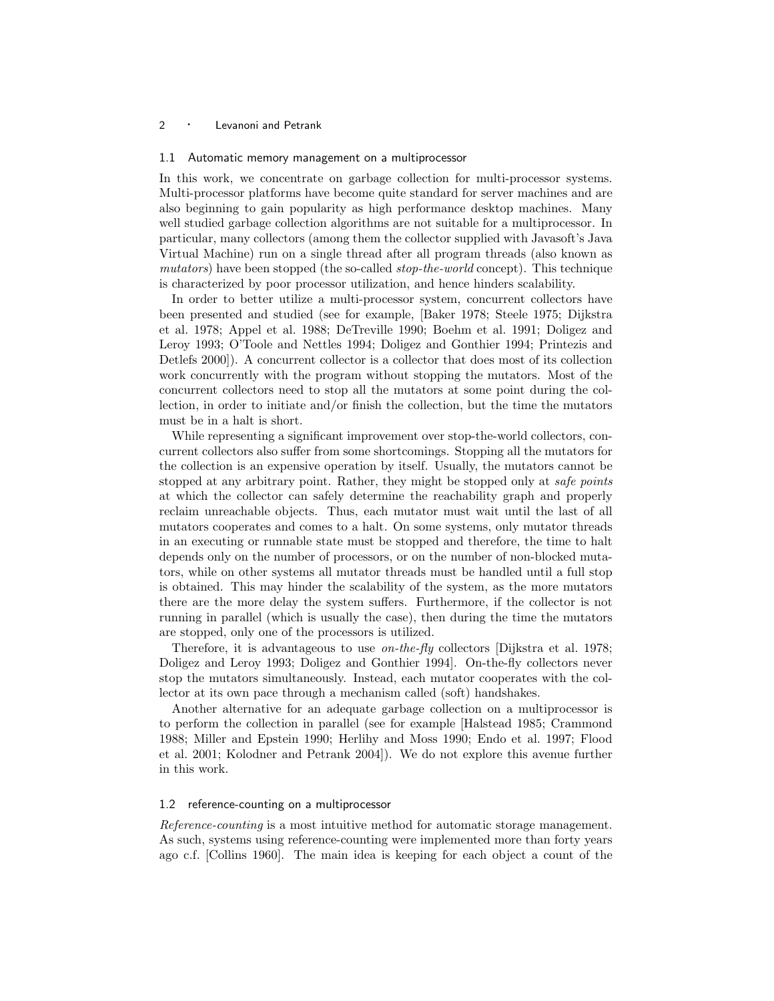#### 1.1 Automatic memory management on a multiprocessor

In this work, we concentrate on garbage collection for multi-processor systems. Multi-processor platforms have become quite standard for server machines and are also beginning to gain popularity as high performance desktop machines. Many well studied garbage collection algorithms are not suitable for a multiprocessor. In particular, many collectors (among them the collector supplied with Javasoft's Java Virtual Machine) run on a single thread after all program threads (also known as mutators) have been stopped (the so-called *stop-the-world* concept). This technique is characterized by poor processor utilization, and hence hinders scalability.

In order to better utilize a multi-processor system, concurrent collectors have been presented and studied (see for example, [Baker 1978; Steele 1975; Dijkstra et al. 1978; Appel et al. 1988; DeTreville 1990; Boehm et al. 1991; Doligez and Leroy 1993; O'Toole and Nettles 1994; Doligez and Gonthier 1994; Printezis and Detlefs 2000]). A concurrent collector is a collector that does most of its collection work concurrently with the program without stopping the mutators. Most of the concurrent collectors need to stop all the mutators at some point during the collection, in order to initiate and/or finish the collection, but the time the mutators must be in a halt is short.

While representing a significant improvement over stop-the-world collectors, concurrent collectors also suffer from some shortcomings. Stopping all the mutators for the collection is an expensive operation by itself. Usually, the mutators cannot be stopped at any arbitrary point. Rather, they might be stopped only at *safe points* at which the collector can safely determine the reachability graph and properly reclaim unreachable objects. Thus, each mutator must wait until the last of all mutators cooperates and comes to a halt. On some systems, only mutator threads in an executing or runnable state must be stopped and therefore, the time to halt depends only on the number of processors, or on the number of non-blocked mutators, while on other systems all mutator threads must be handled until a full stop is obtained. This may hinder the scalability of the system, as the more mutators there are the more delay the system suffers. Furthermore, if the collector is not running in parallel (which is usually the case), then during the time the mutators are stopped, only one of the processors is utilized.

Therefore, it is advantageous to use *on-the-fly* collectors [Dijkstra et al. 1978; Doligez and Leroy 1993; Doligez and Gonthier 1994]. On-the-fly collectors never stop the mutators simultaneously. Instead, each mutator cooperates with the collector at its own pace through a mechanism called (soft) handshakes.

Another alternative for an adequate garbage collection on a multiprocessor is to perform the collection in parallel (see for example [Halstead 1985; Crammond 1988; Miller and Epstein 1990; Herlihy and Moss 1990; Endo et al. 1997; Flood et al. 2001; Kolodner and Petrank 2004]). We do not explore this avenue further in this work.

# 1.2 reference-counting on a multiprocessor

Reference-counting is a most intuitive method for automatic storage management. As such, systems using reference-counting were implemented more than forty years ago c.f. [Collins 1960]. The main idea is keeping for each object a count of the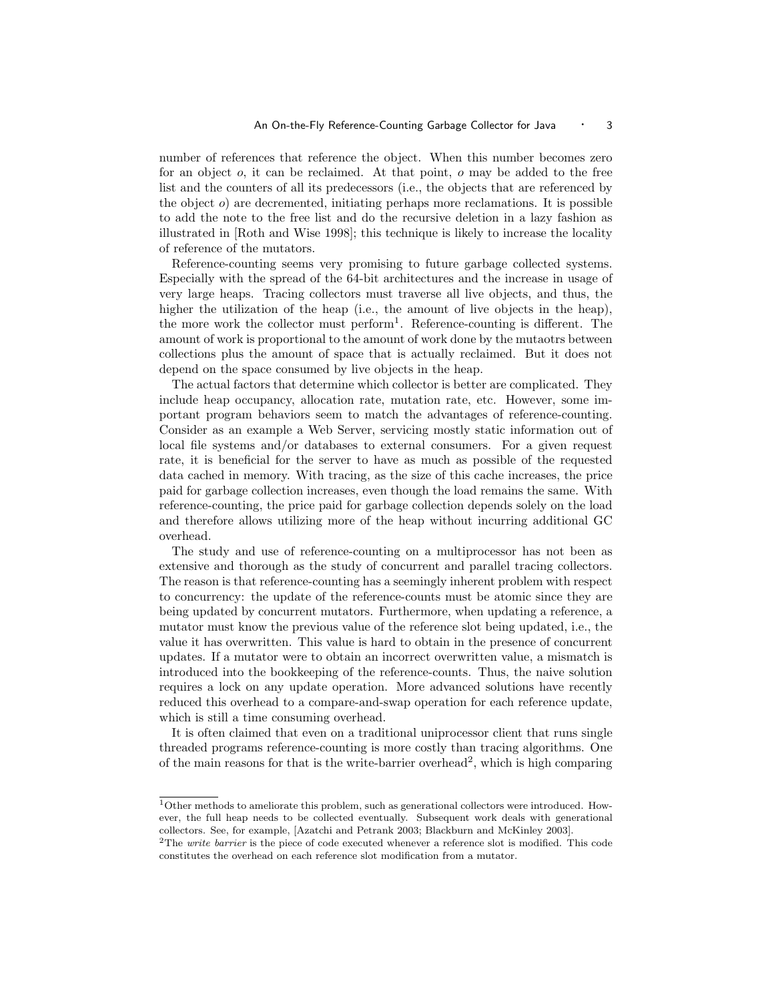number of references that reference the object. When this number becomes zero for an object  $o$ , it can be reclaimed. At that point,  $o$  may be added to the free list and the counters of all its predecessors (i.e., the objects that are referenced by the object  $o$ ) are decremented, initiating perhaps more reclamations. It is possible to add the note to the free list and do the recursive deletion in a lazy fashion as illustrated in [Roth and Wise 1998]; this technique is likely to increase the locality of reference of the mutators.

Reference-counting seems very promising to future garbage collected systems. Especially with the spread of the 64-bit architectures and the increase in usage of very large heaps. Tracing collectors must traverse all live objects, and thus, the higher the utilization of the heap (i.e., the amount of live objects in the heap), the more work the collector must perform<sup>1</sup>. Reference-counting is different. The amount of work is proportional to the amount of work done by the mutaotrs between collections plus the amount of space that is actually reclaimed. But it does not depend on the space consumed by live objects in the heap.

The actual factors that determine which collector is better are complicated. They include heap occupancy, allocation rate, mutation rate, etc. However, some important program behaviors seem to match the advantages of reference-counting. Consider as an example a Web Server, servicing mostly static information out of local file systems and/or databases to external consumers. For a given request rate, it is beneficial for the server to have as much as possible of the requested data cached in memory. With tracing, as the size of this cache increases, the price paid for garbage collection increases, even though the load remains the same. With reference-counting, the price paid for garbage collection depends solely on the load and therefore allows utilizing more of the heap without incurring additional GC overhead.

The study and use of reference-counting on a multiprocessor has not been as extensive and thorough as the study of concurrent and parallel tracing collectors. The reason is that reference-counting has a seemingly inherent problem with respect to concurrency: the update of the reference-counts must be atomic since they are being updated by concurrent mutators. Furthermore, when updating a reference, a mutator must know the previous value of the reference slot being updated, i.e., the value it has overwritten. This value is hard to obtain in the presence of concurrent updates. If a mutator were to obtain an incorrect overwritten value, a mismatch is introduced into the bookkeeping of the reference-counts. Thus, the naive solution requires a lock on any update operation. More advanced solutions have recently reduced this overhead to a compare-and-swap operation for each reference update, which is still a time consuming overhead.

It is often claimed that even on a traditional uniprocessor client that runs single threaded programs reference-counting is more costly than tracing algorithms. One of the main reasons for that is the write-barrier overhead<sup>2</sup>, which is high comparing

<sup>1</sup>Other methods to ameliorate this problem, such as generational collectors were introduced. However, the full heap needs to be collected eventually. Subsequent work deals with generational collectors. See, for example, [Azatchi and Petrank 2003; Blackburn and McKinley 2003].

 $2$ The *write barrier* is the piece of code executed whenever a reference slot is modified. This code constitutes the overhead on each reference slot modification from a mutator.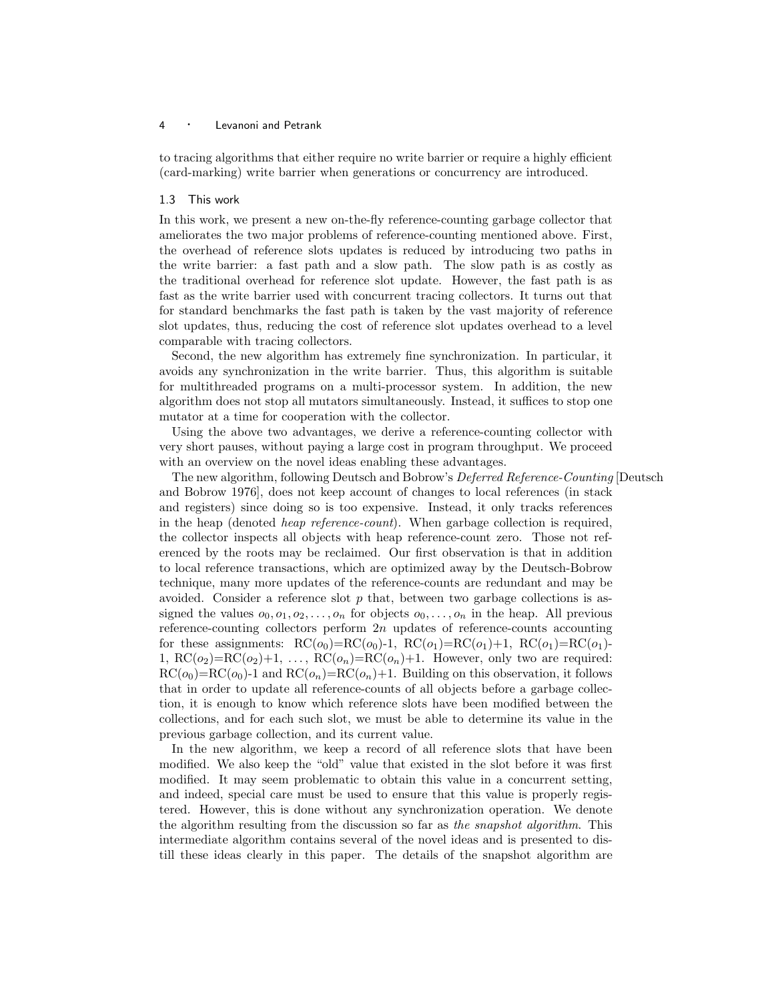to tracing algorithms that either require no write barrier or require a highly efficient (card-marking) write barrier when generations or concurrency are introduced.

## 1.3 This work

In this work, we present a new on-the-fly reference-counting garbage collector that ameliorates the two major problems of reference-counting mentioned above. First, the overhead of reference slots updates is reduced by introducing two paths in the write barrier: a fast path and a slow path. The slow path is as costly as the traditional overhead for reference slot update. However, the fast path is as fast as the write barrier used with concurrent tracing collectors. It turns out that for standard benchmarks the fast path is taken by the vast majority of reference slot updates, thus, reducing the cost of reference slot updates overhead to a level comparable with tracing collectors.

Second, the new algorithm has extremely fine synchronization. In particular, it avoids any synchronization in the write barrier. Thus, this algorithm is suitable for multithreaded programs on a multi-processor system. In addition, the new algorithm does not stop all mutators simultaneously. Instead, it suffices to stop one mutator at a time for cooperation with the collector.

Using the above two advantages, we derive a reference-counting collector with very short pauses, without paying a large cost in program throughput. We proceed with an overview on the novel ideas enabling these advantages.

The new algorithm, following Deutsch and Bobrow's Deferred Reference-Counting [Deutsch and Bobrow 1976], does not keep account of changes to local references (in stack and registers) since doing so is too expensive. Instead, it only tracks references in the heap (denoted heap reference-count). When garbage collection is required, the collector inspects all objects with heap reference-count zero. Those not referenced by the roots may be reclaimed. Our first observation is that in addition to local reference transactions, which are optimized away by the Deutsch-Bobrow technique, many more updates of the reference-counts are redundant and may be avoided. Consider a reference slot  $p$  that, between two garbage collections is assigned the values  $o_0, o_1, o_2, \ldots, o_n$  for objects  $o_0, \ldots, o_n$  in the heap. All previous reference-counting collectors perform  $2n$  updates of reference-counts accounting for these assignments:  $\text{RC}(o_0) = \text{RC}(o_0) - 1$ ,  $\text{RC}(o_1) = \text{RC}(o_1) + 1$ ,  $\text{RC}(o_1) = \text{RC}(o_1)$ 1,  $RC(o_2)=RC(o_2)+1, \ldots, RC(o_n)=RC(o_n)+1$ . However, only two are required:  $RC(o_0) = RC(o_0) - 1$  and  $RC(o_n) = RC(o_n) + 1$ . Building on this observation, it follows that in order to update all reference-counts of all objects before a garbage collection, it is enough to know which reference slots have been modified between the collections, and for each such slot, we must be able to determine its value in the previous garbage collection, and its current value.

In the new algorithm, we keep a record of all reference slots that have been modified. We also keep the "old" value that existed in the slot before it was first modified. It may seem problematic to obtain this value in a concurrent setting, and indeed, special care must be used to ensure that this value is properly registered. However, this is done without any synchronization operation. We denote the algorithm resulting from the discussion so far as the snapshot algorithm. This intermediate algorithm contains several of the novel ideas and is presented to distill these ideas clearly in this paper. The details of the snapshot algorithm are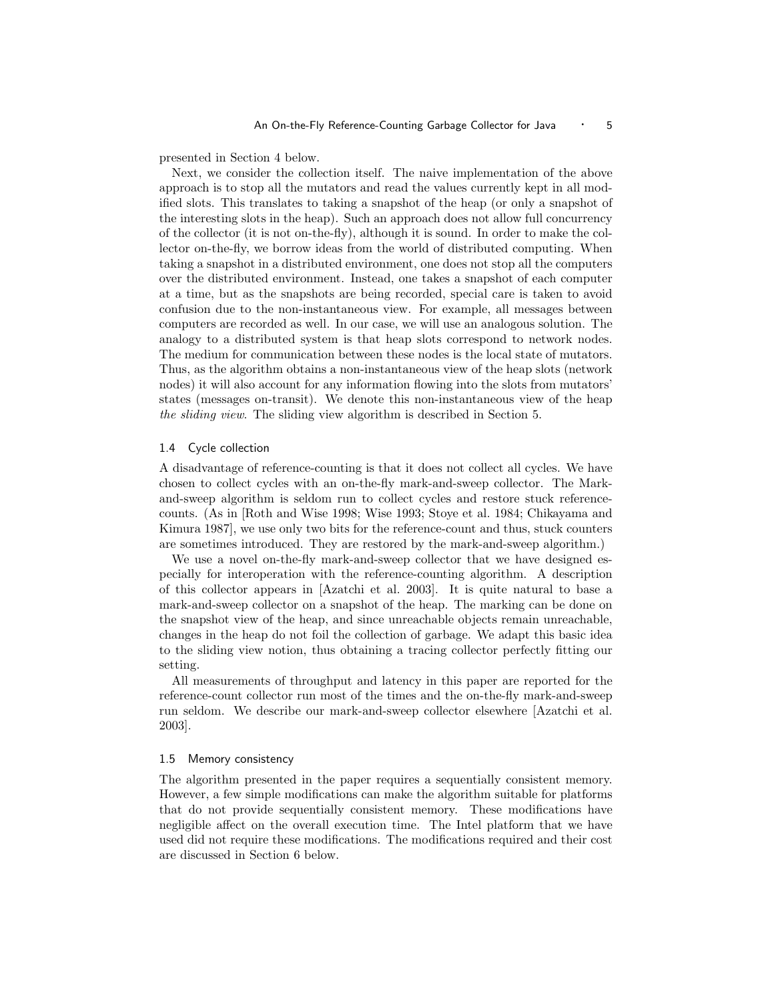presented in Section 4 below.

Next, we consider the collection itself. The naive implementation of the above approach is to stop all the mutators and read the values currently kept in all modified slots. This translates to taking a snapshot of the heap (or only a snapshot of the interesting slots in the heap). Such an approach does not allow full concurrency of the collector (it is not on-the-fly), although it is sound. In order to make the collector on-the-fly, we borrow ideas from the world of distributed computing. When taking a snapshot in a distributed environment, one does not stop all the computers over the distributed environment. Instead, one takes a snapshot of each computer at a time, but as the snapshots are being recorded, special care is taken to avoid confusion due to the non-instantaneous view. For example, all messages between computers are recorded as well. In our case, we will use an analogous solution. The analogy to a distributed system is that heap slots correspond to network nodes. The medium for communication between these nodes is the local state of mutators. Thus, as the algorithm obtains a non-instantaneous view of the heap slots (network nodes) it will also account for any information flowing into the slots from mutators' states (messages on-transit). We denote this non-instantaneous view of the heap the sliding view. The sliding view algorithm is described in Section 5.

## 1.4 Cycle collection

A disadvantage of reference-counting is that it does not collect all cycles. We have chosen to collect cycles with an on-the-fly mark-and-sweep collector. The Markand-sweep algorithm is seldom run to collect cycles and restore stuck referencecounts. (As in [Roth and Wise 1998; Wise 1993; Stoye et al. 1984; Chikayama and Kimura 1987], we use only two bits for the reference-count and thus, stuck counters are sometimes introduced. They are restored by the mark-and-sweep algorithm.)

We use a novel on-the-fly mark-and-sweep collector that we have designed especially for interoperation with the reference-counting algorithm. A description of this collector appears in [Azatchi et al. 2003]. It is quite natural to base a mark-and-sweep collector on a snapshot of the heap. The marking can be done on the snapshot view of the heap, and since unreachable objects remain unreachable, changes in the heap do not foil the collection of garbage. We adapt this basic idea to the sliding view notion, thus obtaining a tracing collector perfectly fitting our setting.

All measurements of throughput and latency in this paper are reported for the reference-count collector run most of the times and the on-the-fly mark-and-sweep run seldom. We describe our mark-and-sweep collector elsewhere [Azatchi et al. 2003].

# 1.5 Memory consistency

The algorithm presented in the paper requires a sequentially consistent memory. However, a few simple modifications can make the algorithm suitable for platforms that do not provide sequentially consistent memory. These modifications have negligible affect on the overall execution time. The Intel platform that we have used did not require these modifications. The modifications required and their cost are discussed in Section 6 below.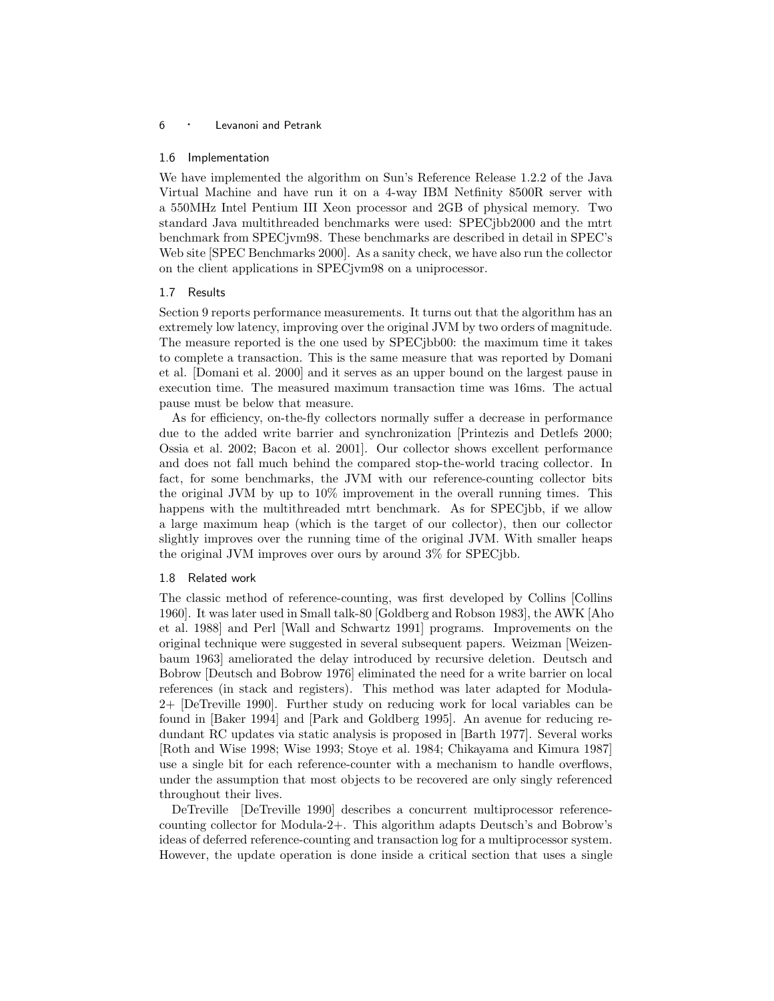## 1.6 Implementation

We have implemented the algorithm on Sun's Reference Release 1.2.2 of the Java Virtual Machine and have run it on a 4-way IBM Netfinity 8500R server with a 550MHz Intel Pentium III Xeon processor and 2GB of physical memory. Two standard Java multithreaded benchmarks were used: SPECjbb2000 and the mtrt benchmark from SPECjvm98. These benchmarks are described in detail in SPEC's Web site [SPEC Benchmarks 2000]. As a sanity check, we have also run the collector on the client applications in SPECjvm98 on a uniprocessor.

## 1.7 Results

Section 9 reports performance measurements. It turns out that the algorithm has an extremely low latency, improving over the original JVM by two orders of magnitude. The measure reported is the one used by SPECjbb00: the maximum time it takes to complete a transaction. This is the same measure that was reported by Domani et al. [Domani et al. 2000] and it serves as an upper bound on the largest pause in execution time. The measured maximum transaction time was 16ms. The actual pause must be below that measure.

As for efficiency, on-the-fly collectors normally suffer a decrease in performance due to the added write barrier and synchronization [Printezis and Detlefs 2000; Ossia et al. 2002; Bacon et al. 2001]. Our collector shows excellent performance and does not fall much behind the compared stop-the-world tracing collector. In fact, for some benchmarks, the JVM with our reference-counting collector bits the original JVM by up to 10% improvement in the overall running times. This happens with the multithreaded mtrt benchmark. As for SPECjbb, if we allow a large maximum heap (which is the target of our collector), then our collector slightly improves over the running time of the original JVM. With smaller heaps the original JVM improves over ours by around 3% for SPECjbb.

## 1.8 Related work

The classic method of reference-counting, was first developed by Collins [Collins 1960]. It was later used in Small talk-80 [Goldberg and Robson 1983], the AWK [Aho et al. 1988] and Perl [Wall and Schwartz 1991] programs. Improvements on the original technique were suggested in several subsequent papers. Weizman [Weizenbaum 1963] ameliorated the delay introduced by recursive deletion. Deutsch and Bobrow [Deutsch and Bobrow 1976] eliminated the need for a write barrier on local references (in stack and registers). This method was later adapted for Modula-2+ [DeTreville 1990]. Further study on reducing work for local variables can be found in [Baker 1994] and [Park and Goldberg 1995]. An avenue for reducing redundant RC updates via static analysis is proposed in [Barth 1977]. Several works [Roth and Wise 1998; Wise 1993; Stoye et al. 1984; Chikayama and Kimura 1987] use a single bit for each reference-counter with a mechanism to handle overflows, under the assumption that most objects to be recovered are only singly referenced throughout their lives.

DeTreville [DeTreville 1990] describes a concurrent multiprocessor referencecounting collector for Modula-2+. This algorithm adapts Deutsch's and Bobrow's ideas of deferred reference-counting and transaction log for a multiprocessor system. However, the update operation is done inside a critical section that uses a single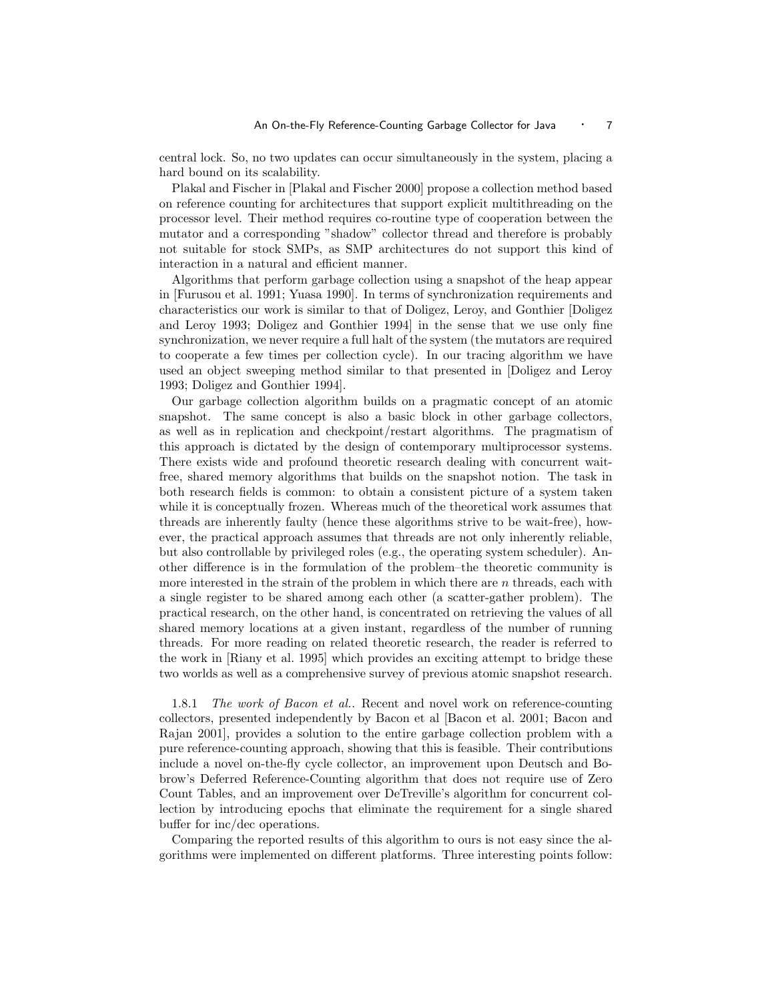central lock. So, no two updates can occur simultaneously in the system, placing a hard bound on its scalability.

Plakal and Fischer in [Plakal and Fischer 2000] propose a collection method based on reference counting for architectures that support explicit multithreading on the processor level. Their method requires co-routine type of cooperation between the mutator and a corresponding "shadow" collector thread and therefore is probably not suitable for stock SMPs, as SMP architectures do not support this kind of interaction in a natural and efficient manner.

Algorithms that perform garbage collection using a snapshot of the heap appear in [Furusou et al. 1991; Yuasa 1990]. In terms of synchronization requirements and characteristics our work is similar to that of Doligez, Leroy, and Gonthier [Doligez and Leroy 1993; Doligez and Gonthier 1994] in the sense that we use only fine synchronization, we never require a full halt of the system (the mutators are required to cooperate a few times per collection cycle). In our tracing algorithm we have used an object sweeping method similar to that presented in [Doligez and Leroy 1993; Doligez and Gonthier 1994].

Our garbage collection algorithm builds on a pragmatic concept of an atomic snapshot. The same concept is also a basic block in other garbage collectors, as well as in replication and checkpoint/restart algorithms. The pragmatism of this approach is dictated by the design of contemporary multiprocessor systems. There exists wide and profound theoretic research dealing with concurrent waitfree, shared memory algorithms that builds on the snapshot notion. The task in both research fields is common: to obtain a consistent picture of a system taken while it is conceptually frozen. Whereas much of the theoretical work assumes that threads are inherently faulty (hence these algorithms strive to be wait-free), however, the practical approach assumes that threads are not only inherently reliable, but also controllable by privileged roles (e.g., the operating system scheduler). Another difference is in the formulation of the problem–the theoretic community is more interested in the strain of the problem in which there are  $n$  threads, each with a single register to be shared among each other (a scatter-gather problem). The practical research, on the other hand, is concentrated on retrieving the values of all shared memory locations at a given instant, regardless of the number of running threads. For more reading on related theoretic research, the reader is referred to the work in [Riany et al. 1995] which provides an exciting attempt to bridge these two worlds as well as a comprehensive survey of previous atomic snapshot research.

1.8.1 The work of Bacon et al.. Recent and novel work on reference-counting collectors, presented independently by Bacon et al [Bacon et al. 2001; Bacon and Rajan 2001], provides a solution to the entire garbage collection problem with a pure reference-counting approach, showing that this is feasible. Their contributions include a novel on-the-fly cycle collector, an improvement upon Deutsch and Bobrow's Deferred Reference-Counting algorithm that does not require use of Zero Count Tables, and an improvement over DeTreville's algorithm for concurrent collection by introducing epochs that eliminate the requirement for a single shared buffer for inc/dec operations.

Comparing the reported results of this algorithm to ours is not easy since the algorithms were implemented on different platforms. Three interesting points follow: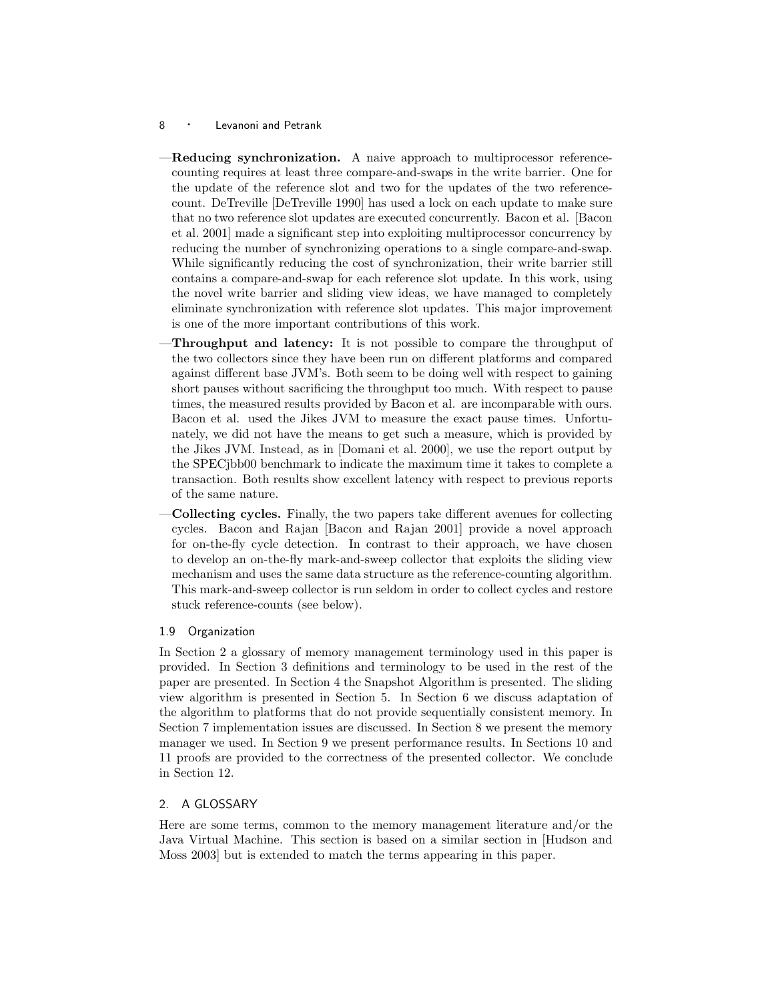- -Reducing synchronization. A naive approach to multiprocessor referencecounting requires at least three compare-and-swaps in the write barrier. One for the update of the reference slot and two for the updates of the two referencecount. DeTreville [DeTreville 1990] has used a lock on each update to make sure that no two reference slot updates are executed concurrently. Bacon et al. [Bacon et al. 2001] made a significant step into exploiting multiprocessor concurrency by reducing the number of synchronizing operations to a single compare-and-swap. While significantly reducing the cost of synchronization, their write barrier still contains a compare-and-swap for each reference slot update. In this work, using the novel write barrier and sliding view ideas, we have managed to completely eliminate synchronization with reference slot updates. This major improvement is one of the more important contributions of this work.
- —Throughput and latency: It is not possible to compare the throughput of the two collectors since they have been run on different platforms and compared against different base JVM's. Both seem to be doing well with respect to gaining short pauses without sacrificing the throughput too much. With respect to pause times, the measured results provided by Bacon et al. are incomparable with ours. Bacon et al. used the Jikes JVM to measure the exact pause times. Unfortunately, we did not have the means to get such a measure, which is provided by the Jikes JVM. Instead, as in [Domani et al. 2000], we use the report output by the SPECjbb00 benchmark to indicate the maximum time it takes to complete a transaction. Both results show excellent latency with respect to previous reports of the same nature.
- —Collecting cycles. Finally, the two papers take different avenues for collecting cycles. Bacon and Rajan [Bacon and Rajan 2001] provide a novel approach for on-the-fly cycle detection. In contrast to their approach, we have chosen to develop an on-the-fly mark-and-sweep collector that exploits the sliding view mechanism and uses the same data structure as the reference-counting algorithm. This mark-and-sweep collector is run seldom in order to collect cycles and restore stuck reference-counts (see below).

# 1.9 Organization

In Section 2 a glossary of memory management terminology used in this paper is provided. In Section 3 definitions and terminology to be used in the rest of the paper are presented. In Section 4 the Snapshot Algorithm is presented. The sliding view algorithm is presented in Section 5. In Section 6 we discuss adaptation of the algorithm to platforms that do not provide sequentially consistent memory. In Section 7 implementation issues are discussed. In Section 8 we present the memory manager we used. In Section 9 we present performance results. In Sections 10 and 11 proofs are provided to the correctness of the presented collector. We conclude in Section 12.

# 2. A GLOSSARY

Here are some terms, common to the memory management literature and/or the Java Virtual Machine. This section is based on a similar section in [Hudson and Moss 2003] but is extended to match the terms appearing in this paper.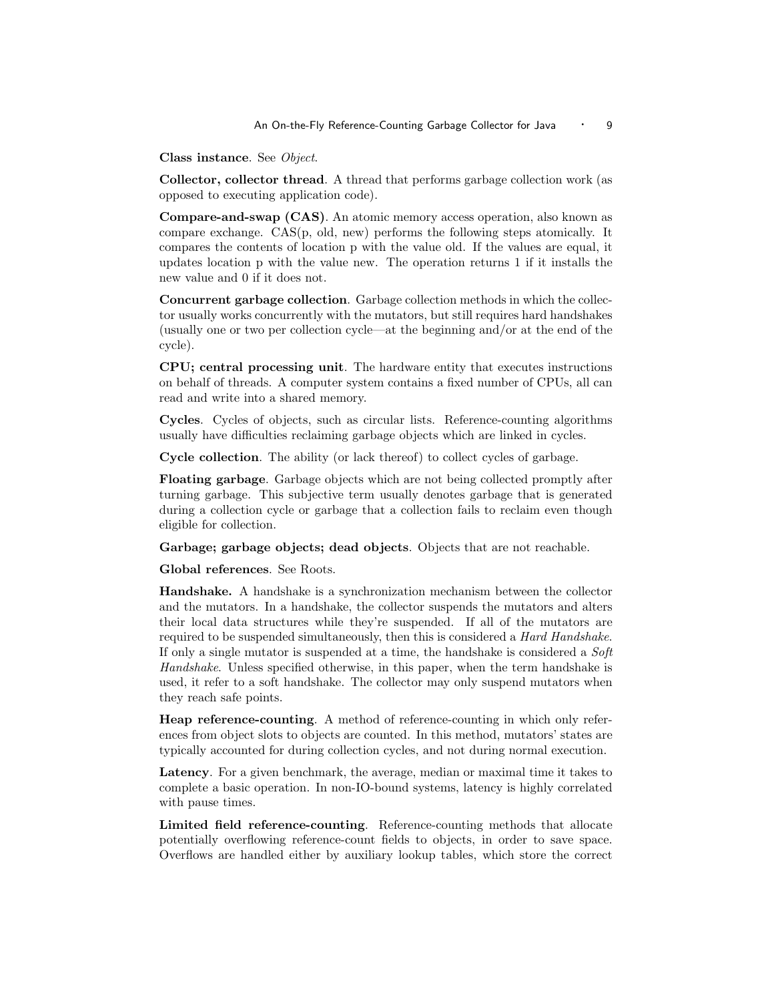Class instance. See Object.

Collector, collector thread. A thread that performs garbage collection work (as opposed to executing application code).

Compare-and-swap (CAS). An atomic memory access operation, also known as compare exchange. CAS(p, old, new) performs the following steps atomically. It compares the contents of location p with the value old. If the values are equal, it updates location p with the value new. The operation returns 1 if it installs the new value and 0 if it does not.

Concurrent garbage collection. Garbage collection methods in which the collector usually works concurrently with the mutators, but still requires hard handshakes (usually one or two per collection cycle—at the beginning and/or at the end of the cycle).

CPU; central processing unit. The hardware entity that executes instructions on behalf of threads. A computer system contains a fixed number of CPUs, all can read and write into a shared memory.

Cycles. Cycles of objects, such as circular lists. Reference-counting algorithms usually have difficulties reclaiming garbage objects which are linked in cycles.

Cycle collection. The ability (or lack thereof) to collect cycles of garbage.

Floating garbage. Garbage objects which are not being collected promptly after turning garbage. This subjective term usually denotes garbage that is generated during a collection cycle or garbage that a collection fails to reclaim even though eligible for collection.

Garbage; garbage objects; dead objects. Objects that are not reachable.

Global references. See Roots.

Handshake. A handshake is a synchronization mechanism between the collector and the mutators. In a handshake, the collector suspends the mutators and alters their local data structures while they're suspended. If all of the mutators are required to be suspended simultaneously, then this is considered a *Hard Handshake*. If only a single mutator is suspended at a time, the handshake is considered a Soft Handshake. Unless specified otherwise, in this paper, when the term handshake is used, it refer to a soft handshake. The collector may only suspend mutators when they reach safe points.

Heap reference-counting. A method of reference-counting in which only references from object slots to objects are counted. In this method, mutators' states are typically accounted for during collection cycles, and not during normal execution.

Latency. For a given benchmark, the average, median or maximal time it takes to complete a basic operation. In non-IO-bound systems, latency is highly correlated with pause times.

Limited field reference-counting. Reference-counting methods that allocate potentially overflowing reference-count fields to objects, in order to save space. Overflows are handled either by auxiliary lookup tables, which store the correct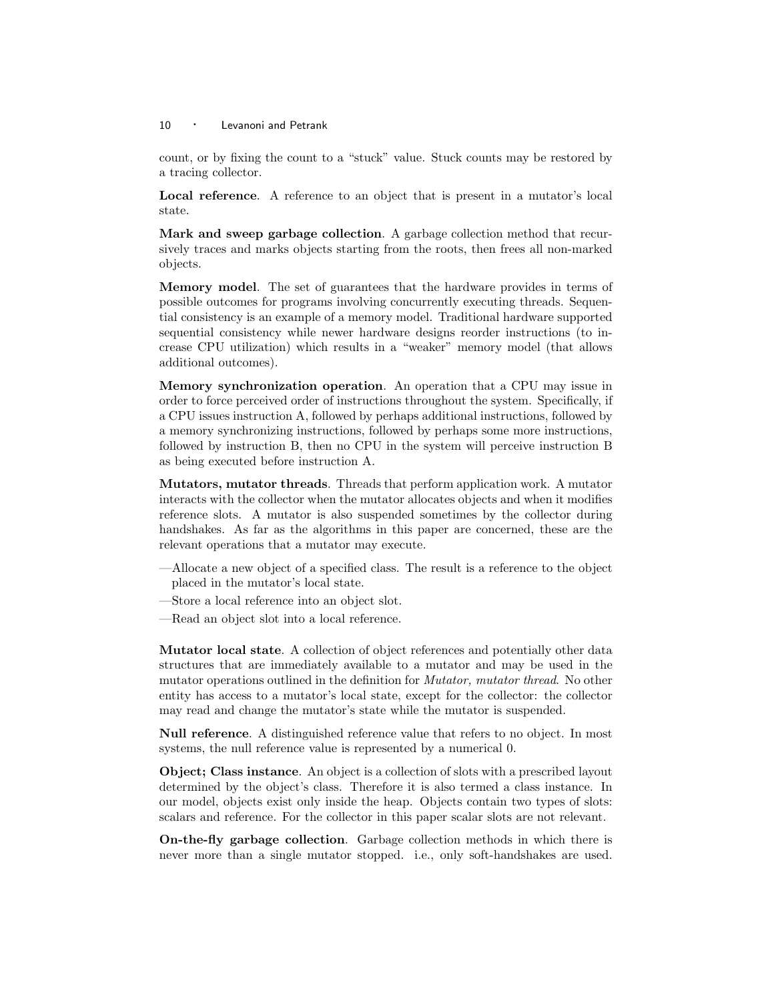count, or by fixing the count to a "stuck" value. Stuck counts may be restored by a tracing collector.

Local reference. A reference to an object that is present in a mutator's local state.

Mark and sweep garbage collection. A garbage collection method that recursively traces and marks objects starting from the roots, then frees all non-marked objects.

Memory model. The set of guarantees that the hardware provides in terms of possible outcomes for programs involving concurrently executing threads. Sequential consistency is an example of a memory model. Traditional hardware supported sequential consistency while newer hardware designs reorder instructions (to increase CPU utilization) which results in a "weaker" memory model (that allows additional outcomes).

Memory synchronization operation. An operation that a CPU may issue in order to force perceived order of instructions throughout the system. Specifically, if a CPU issues instruction A, followed by perhaps additional instructions, followed by a memory synchronizing instructions, followed by perhaps some more instructions, followed by instruction B, then no CPU in the system will perceive instruction B as being executed before instruction A.

Mutators, mutator threads. Threads that perform application work. A mutator interacts with the collector when the mutator allocates objects and when it modifies reference slots. A mutator is also suspended sometimes by the collector during handshakes. As far as the algorithms in this paper are concerned, these are the relevant operations that a mutator may execute.

- —Allocate a new object of a specified class. The result is a reference to the object placed in the mutator's local state.
- —Store a local reference into an object slot.
- —Read an object slot into a local reference.

Mutator local state. A collection of object references and potentially other data structures that are immediately available to a mutator and may be used in the mutator operations outlined in the definition for Mutator, mutator thread. No other entity has access to a mutator's local state, except for the collector: the collector may read and change the mutator's state while the mutator is suspended.

Null reference. A distinguished reference value that refers to no object. In most systems, the null reference value is represented by a numerical 0.

Object; Class instance. An object is a collection of slots with a prescribed layout determined by the object's class. Therefore it is also termed a class instance. In our model, objects exist only inside the heap. Objects contain two types of slots: scalars and reference. For the collector in this paper scalar slots are not relevant.

On-the-fly garbage collection. Garbage collection methods in which there is never more than a single mutator stopped. i.e., only soft-handshakes are used.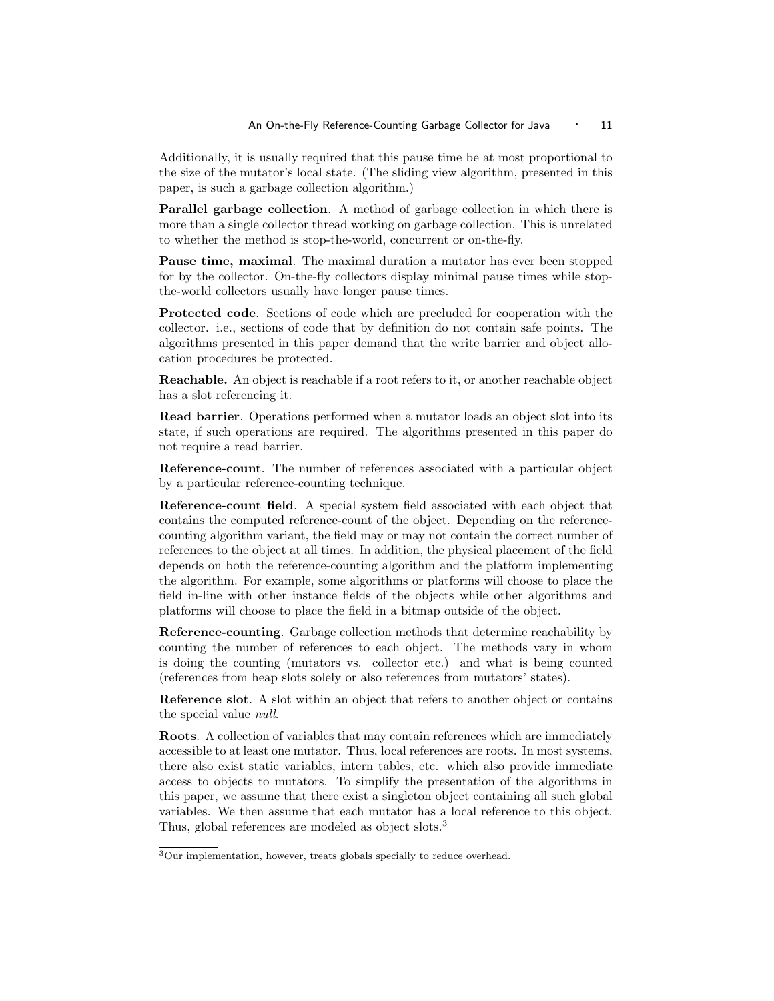Additionally, it is usually required that this pause time be at most proportional to the size of the mutator's local state. (The sliding view algorithm, presented in this paper, is such a garbage collection algorithm.)

Parallel garbage collection. A method of garbage collection in which there is more than a single collector thread working on garbage collection. This is unrelated to whether the method is stop-the-world, concurrent or on-the-fly.

Pause time, maximal. The maximal duration a mutator has ever been stopped for by the collector. On-the-fly collectors display minimal pause times while stopthe-world collectors usually have longer pause times.

Protected code. Sections of code which are precluded for cooperation with the collector. i.e., sections of code that by definition do not contain safe points. The algorithms presented in this paper demand that the write barrier and object allocation procedures be protected.

Reachable. An object is reachable if a root refers to it, or another reachable object has a slot referencing it.

Read barrier. Operations performed when a mutator loads an object slot into its state, if such operations are required. The algorithms presented in this paper do not require a read barrier.

Reference-count. The number of references associated with a particular object by a particular reference-counting technique.

Reference-count field. A special system field associated with each object that contains the computed reference-count of the object. Depending on the referencecounting algorithm variant, the field may or may not contain the correct number of references to the object at all times. In addition, the physical placement of the field depends on both the reference-counting algorithm and the platform implementing the algorithm. For example, some algorithms or platforms will choose to place the field in-line with other instance fields of the objects while other algorithms and platforms will choose to place the field in a bitmap outside of the object.

Reference-counting. Garbage collection methods that determine reachability by counting the number of references to each object. The methods vary in whom is doing the counting (mutators vs. collector etc.) and what is being counted (references from heap slots solely or also references from mutators' states).

Reference slot. A slot within an object that refers to another object or contains the special value null.

Roots. A collection of variables that may contain references which are immediately accessible to at least one mutator. Thus, local references are roots. In most systems, there also exist static variables, intern tables, etc. which also provide immediate access to objects to mutators. To simplify the presentation of the algorithms in this paper, we assume that there exist a singleton object containing all such global variables. We then assume that each mutator has a local reference to this object. Thus, global references are modeled as object slots.<sup>3</sup>

<sup>3</sup>Our implementation, however, treats globals specially to reduce overhead.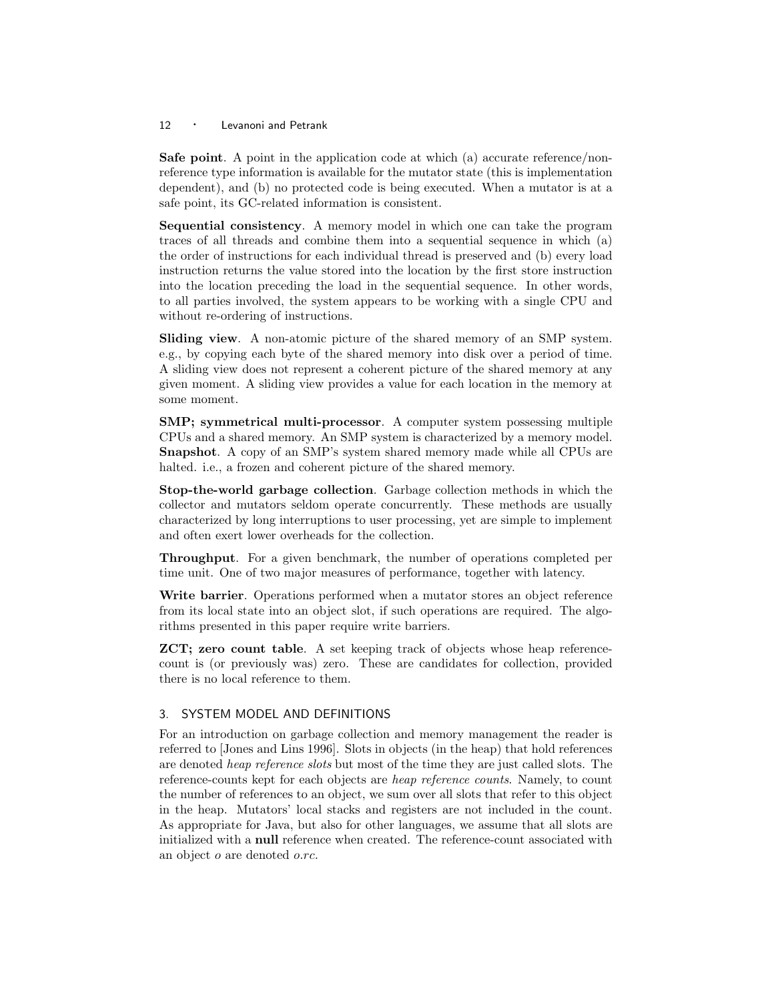Safe point. A point in the application code at which (a) accurate reference/nonreference type information is available for the mutator state (this is implementation dependent), and (b) no protected code is being executed. When a mutator is at a safe point, its GC-related information is consistent.

Sequential consistency. A memory model in which one can take the program traces of all threads and combine them into a sequential sequence in which (a) the order of instructions for each individual thread is preserved and (b) every load instruction returns the value stored into the location by the first store instruction into the location preceding the load in the sequential sequence. In other words, to all parties involved, the system appears to be working with a single CPU and without re-ordering of instructions.

Sliding view. A non-atomic picture of the shared memory of an SMP system. e.g., by copying each byte of the shared memory into disk over a period of time. A sliding view does not represent a coherent picture of the shared memory at any given moment. A sliding view provides a value for each location in the memory at some moment.

SMP; symmetrical multi-processor. A computer system possessing multiple CPUs and a shared memory. An SMP system is characterized by a memory model. Snapshot. A copy of an SMP's system shared memory made while all CPUs are halted. i.e., a frozen and coherent picture of the shared memory.

Stop-the-world garbage collection. Garbage collection methods in which the collector and mutators seldom operate concurrently. These methods are usually characterized by long interruptions to user processing, yet are simple to implement and often exert lower overheads for the collection.

Throughput. For a given benchmark, the number of operations completed per time unit. One of two major measures of performance, together with latency.

Write barrier. Operations performed when a mutator stores an object reference from its local state into an object slot, if such operations are required. The algorithms presented in this paper require write barriers.

ZCT; zero count table. A set keeping track of objects whose heap referencecount is (or previously was) zero. These are candidates for collection, provided there is no local reference to them.

# 3. SYSTEM MODEL AND DEFINITIONS

For an introduction on garbage collection and memory management the reader is referred to [Jones and Lins 1996]. Slots in objects (in the heap) that hold references are denoted heap reference slots but most of the time they are just called slots. The reference-counts kept for each objects are heap reference counts. Namely, to count the number of references to an object, we sum over all slots that refer to this object in the heap. Mutators' local stacks and registers are not included in the count. As appropriate for Java, but also for other languages, we assume that all slots are initialized with a null reference when created. The reference-count associated with an object o are denoted o.rc.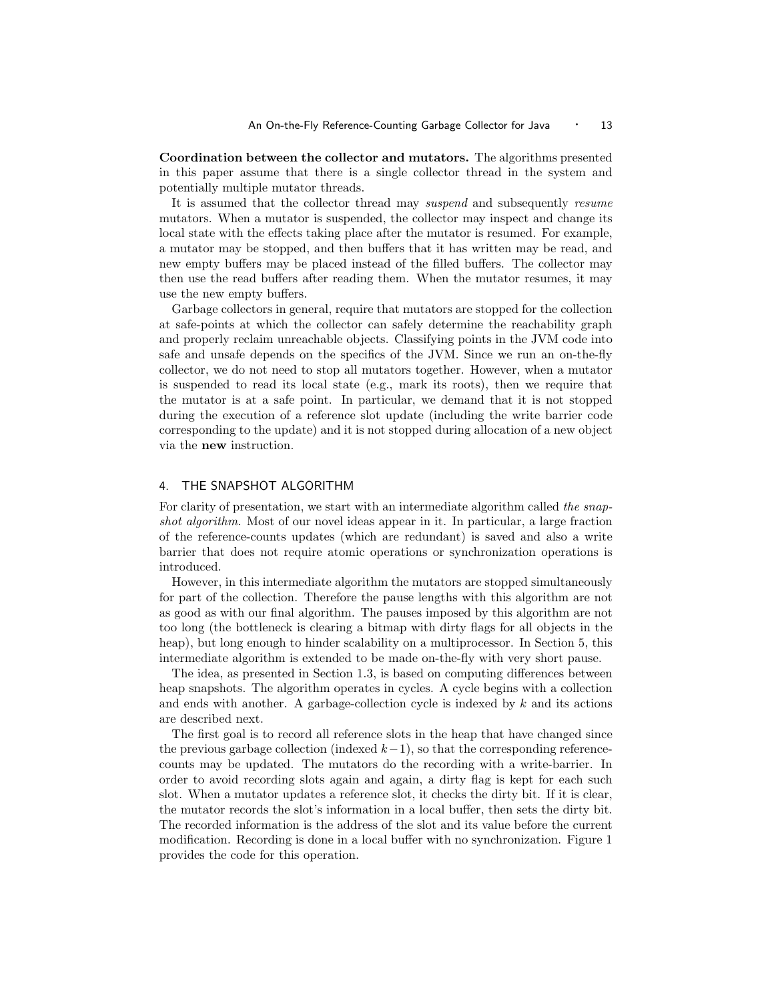Coordination between the collector and mutators. The algorithms presented in this paper assume that there is a single collector thread in the system and potentially multiple mutator threads.

It is assumed that the collector thread may *suspend* and subsequently *resume* mutators. When a mutator is suspended, the collector may inspect and change its local state with the effects taking place after the mutator is resumed. For example, a mutator may be stopped, and then buffers that it has written may be read, and new empty buffers may be placed instead of the filled buffers. The collector may then use the read buffers after reading them. When the mutator resumes, it may use the new empty buffers.

Garbage collectors in general, require that mutators are stopped for the collection at safe-points at which the collector can safely determine the reachability graph and properly reclaim unreachable objects. Classifying points in the JVM code into safe and unsafe depends on the specifics of the JVM. Since we run an on-the-fly collector, we do not need to stop all mutators together. However, when a mutator is suspended to read its local state (e.g., mark its roots), then we require that the mutator is at a safe point. In particular, we demand that it is not stopped during the execution of a reference slot update (including the write barrier code corresponding to the update) and it is not stopped during allocation of a new object via the new instruction.

# 4. THE SNAPSHOT ALGORITHM

For clarity of presentation, we start with an intermediate algorithm called the snapshot algorithm. Most of our novel ideas appear in it. In particular, a large fraction of the reference-counts updates (which are redundant) is saved and also a write barrier that does not require atomic operations or synchronization operations is introduced.

However, in this intermediate algorithm the mutators are stopped simultaneously for part of the collection. Therefore the pause lengths with this algorithm are not as good as with our final algorithm. The pauses imposed by this algorithm are not too long (the bottleneck is clearing a bitmap with dirty flags for all objects in the heap), but long enough to hinder scalability on a multiprocessor. In Section 5, this intermediate algorithm is extended to be made on-the-fly with very short pause.

The idea, as presented in Section 1.3, is based on computing differences between heap snapshots. The algorithm operates in cycles. A cycle begins with a collection and ends with another. A garbage-collection cycle is indexed by  $k$  and its actions are described next.

The first goal is to record all reference slots in the heap that have changed since the previous garbage collection (indexed  $k-1$ ), so that the corresponding referencecounts may be updated. The mutators do the recording with a write-barrier. In order to avoid recording slots again and again, a dirty flag is kept for each such slot. When a mutator updates a reference slot, it checks the dirty bit. If it is clear, the mutator records the slot's information in a local buffer, then sets the dirty bit. The recorded information is the address of the slot and its value before the current modification. Recording is done in a local buffer with no synchronization. Figure 1 provides the code for this operation.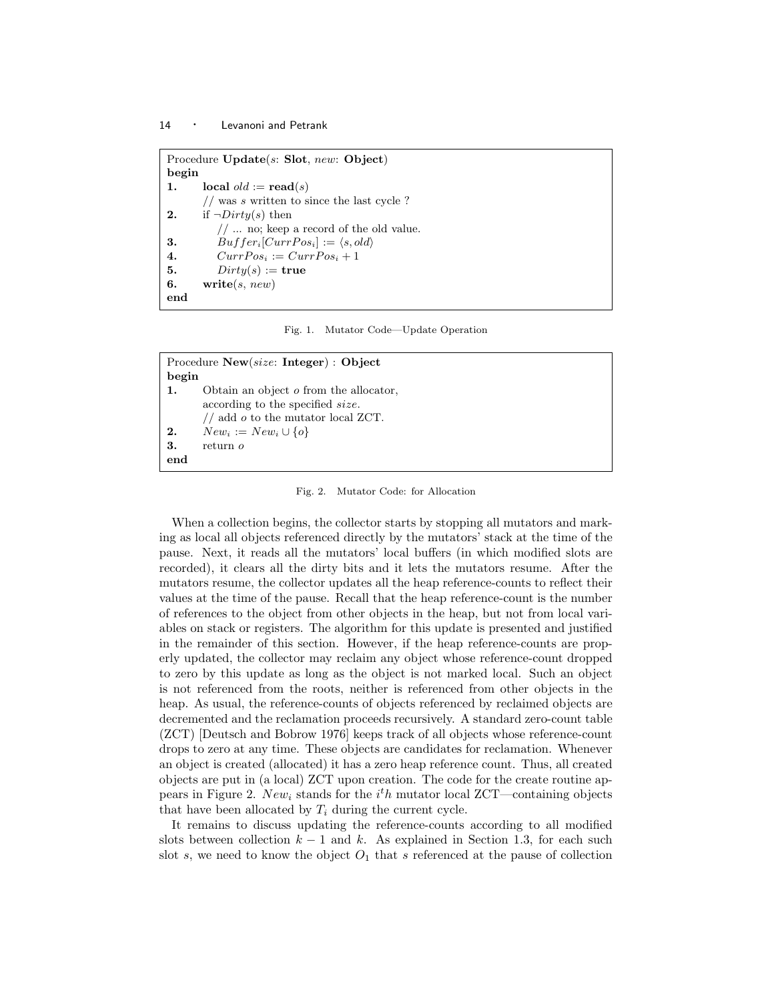Procedure Update(s: Slot, new: Object) begin 1.  $\operatorname{local} old := \operatorname{read}(s)$ // was s written to since the last cycle ? 2. if  $\neg Dirty(s)$  then // ... no; keep a record of the old value. **3.**  $Buffer_i[CurrPos_i] := \langle s, old \rangle$ 4.  $CurrPos_i := CurrPos_i + 1$ 5.  $Dirty(s) := \textbf{true}$ 6. write $(s, new)$ end

Fig. 1. Mutator Code—Update Operation

|       | Procedure New(size: Integer) : Object         |
|-------|-----------------------------------------------|
| begin |                                               |
| 1.    | Obtain an object $\sigma$ from the allocator, |
|       | according to the specified <i>size</i> .      |
|       | // add $\sigma$ to the mutator local ZCT.     |
| 2.    | $New_i := New_i \cup \{o\}$                   |
| 3.    | return o                                      |
| end   |                                               |

Fig. 2. Mutator Code: for Allocation

When a collection begins, the collector starts by stopping all mutators and marking as local all objects referenced directly by the mutators' stack at the time of the pause. Next, it reads all the mutators' local buffers (in which modified slots are recorded), it clears all the dirty bits and it lets the mutators resume. After the mutators resume, the collector updates all the heap reference-counts to reflect their values at the time of the pause. Recall that the heap reference-count is the number of references to the object from other objects in the heap, but not from local variables on stack or registers. The algorithm for this update is presented and justified in the remainder of this section. However, if the heap reference-counts are properly updated, the collector may reclaim any object whose reference-count dropped to zero by this update as long as the object is not marked local. Such an object is not referenced from the roots, neither is referenced from other objects in the heap. As usual, the reference-counts of objects referenced by reclaimed objects are decremented and the reclamation proceeds recursively. A standard zero-count table (ZCT) [Deutsch and Bobrow 1976] keeps track of all objects whose reference-count drops to zero at any time. These objects are candidates for reclamation. Whenever an object is created (allocated) it has a zero heap reference count. Thus, all created objects are put in (a local) ZCT upon creation. The code for the create routine appears in Figure 2. New<sub>i</sub> stands for the  $i<sup>t</sup>h$  mutator local ZCT—containing objects that have been allocated by  $T_i$  during the current cycle.

It remains to discuss updating the reference-counts according to all modified slots between collection  $k - 1$  and k. As explained in Section 1.3, for each such slot s, we need to know the object  $O_1$  that s referenced at the pause of collection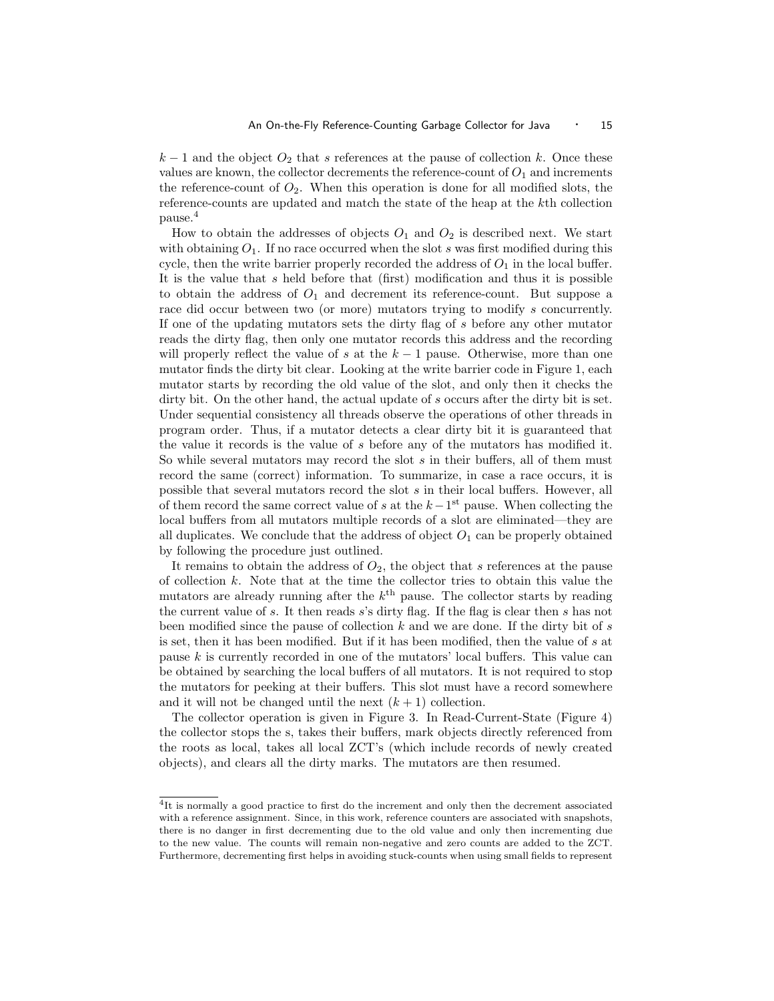$k-1$  and the object  $O_2$  that s references at the pause of collection k. Once these values are known, the collector decrements the reference-count of  $O_1$  and increments the reference-count of  $O_2$ . When this operation is done for all modified slots, the reference-counts are updated and match the state of the heap at the kth collection pause.<sup>4</sup>

How to obtain the addresses of objects  $O_1$  and  $O_2$  is described next. We start with obtaining  $O<sub>1</sub>$ . If no race occurred when the slot s was first modified during this cycle, then the write barrier properly recorded the address of  $O<sub>1</sub>$  in the local buffer. It is the value that s held before that (first) modification and thus it is possible to obtain the address of  $O_1$  and decrement its reference-count. But suppose a race did occur between two (or more) mutators trying to modify s concurrently. If one of the updating mutators sets the dirty flag of s before any other mutator reads the dirty flag, then only one mutator records this address and the recording will properly reflect the value of s at the  $k-1$  pause. Otherwise, more than one mutator finds the dirty bit clear. Looking at the write barrier code in Figure 1, each mutator starts by recording the old value of the slot, and only then it checks the dirty bit. On the other hand, the actual update of s occurs after the dirty bit is set. Under sequential consistency all threads observe the operations of other threads in program order. Thus, if a mutator detects a clear dirty bit it is guaranteed that the value it records is the value of s before any of the mutators has modified it. So while several mutators may record the slot  $s$  in their buffers, all of them must record the same (correct) information. To summarize, in case a race occurs, it is possible that several mutators record the slot s in their local buffers. However, all of them record the same correct value of s at the  $k-1$ <sup>st</sup> pause. When collecting the local buffers from all mutators multiple records of a slot are eliminated—they are all duplicates. We conclude that the address of object  $O_1$  can be properly obtained by following the procedure just outlined.

It remains to obtain the address of  $O_2$ , the object that s references at the pause of collection  $k$ . Note that at the time the collector tries to obtain this value the mutators are already running after the  $k^{\text{th}}$  pause. The collector starts by reading the current value of  $s$ . It then reads  $s$ 's dirty flag. If the flag is clear then  $s$  has not been modified since the pause of collection  $k$  and we are done. If the dirty bit of  $s$ is set, then it has been modified. But if it has been modified, then the value of s at pause k is currently recorded in one of the mutators' local buffers. This value can be obtained by searching the local buffers of all mutators. It is not required to stop the mutators for peeking at their buffers. This slot must have a record somewhere and it will not be changed until the next  $(k + 1)$  collection.

The collector operation is given in Figure 3. In Read-Current-State (Figure 4) the collector stops the s, takes their buffers, mark objects directly referenced from the roots as local, takes all local ZCT's (which include records of newly created objects), and clears all the dirty marks. The mutators are then resumed.

<sup>&</sup>lt;sup>4</sup>It is normally a good practice to first do the increment and only then the decrement associated with a reference assignment. Since, in this work, reference counters are associated with snapshots, there is no danger in first decrementing due to the old value and only then incrementing due to the new value. The counts will remain non-negative and zero counts are added to the ZCT. Furthermore, decrementing first helps in avoiding stuck-counts when using small fields to represent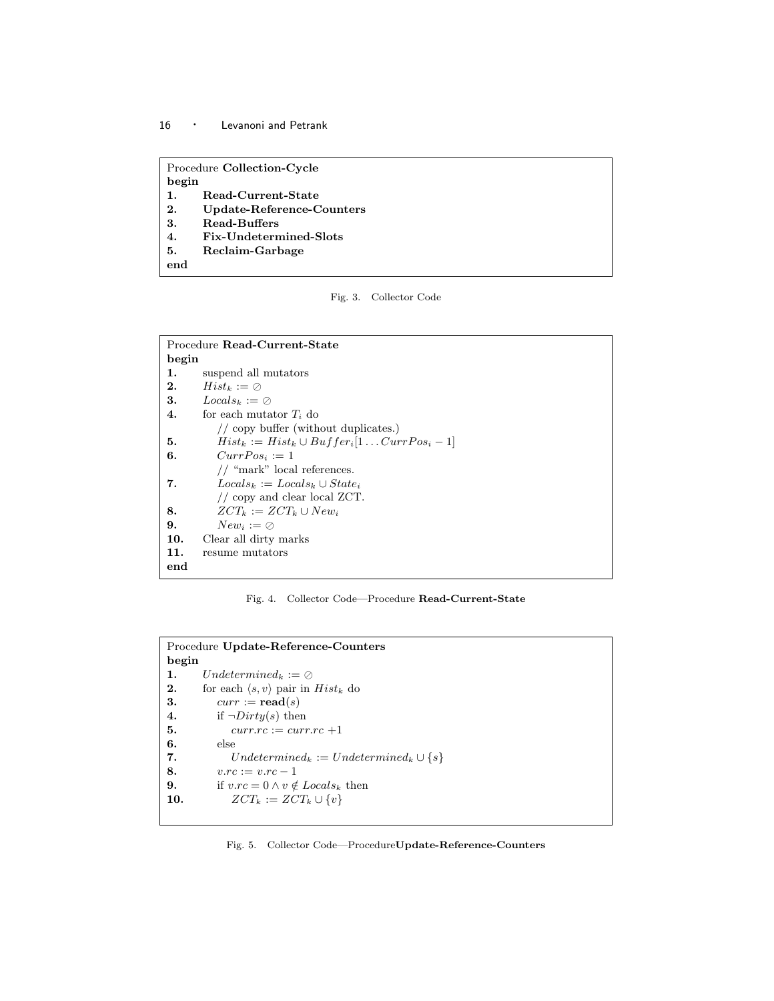Procedure Collection-Cycle begin 1. Read-Current-State 2. Update-Reference-Counters 3. Read-Buffers 4. Fix-Undetermined-Slots 5. Reclaim-Garbage end

Fig. 3. Collector Code

|       | Procedure Read-Current-State                             |
|-------|----------------------------------------------------------|
| begin |                                                          |
| 1.    | suspend all mutators                                     |
| 2.    | $Hist_k := \oslash$                                      |
| 3.    | $Locals_k := \emptyset$                                  |
| 4.    | for each mutator $T_i$ do                                |
|       | $\frac{1}{\cos \theta}$ copy buffer (without duplicates) |
| 5.    | $Hist_k := Hist_k \cup Butfer_i[1 \dots CurrPos_i-1]$    |
| 6.    | $CurrPos_i := 1$                                         |
|       | // "mark" local references.                              |
| 7.    | $Locals_k := Locals_k \cup State_i$                      |
|       | // copy and clear local $ZCT$ .                          |
| 8.    | $ZCT_k := ZCT_k \cup New_i$                              |
| 9.    | $New_i := \oslash$                                       |
| 10.   | Clear all dirty marks                                    |
| 11.   | resume mutators                                          |
| end   |                                                          |

Fig. 4. Collector Code—Procedure Read-Current-State

```
Procedure Update-Reference-Counters
begin
1. Undetermined<sub>k</sub> := \oslash<br>2. for each \langle s, v \rangle pair in
2. for each \langle s, v \rangle pair in Hist_k do<br>3. curr := read(s)curr := \mathbf{read}(s)4. if \neg Dirty(s) then
5. curr.rc := curr.rc +1
6. else
7. Undetermined<sub>k</sub> := Undetermined<sub>k</sub> \cup {s}<br>8. v.rc := v.rc - 1v.rc := v.rc - 19. if v.rc = 0 \land v \notin Locals_k then<br>10. ZCT_k := ZCT_k \cup \{v\}ZCT_k := ZCT_k \cup \{v\}
```
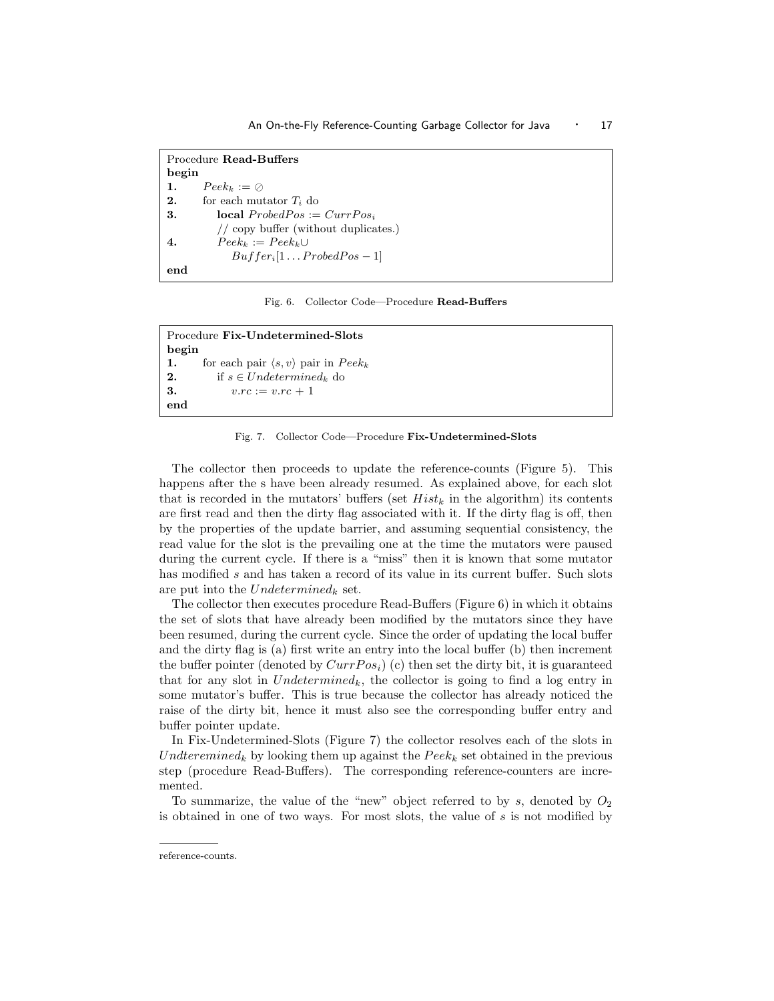Procedure Read-Buffers begin 1.  $Peek_k := \oslash$ 2. for each mutator  $T_i$  do 3.  $\text{local } ProbedPos := CurrPos_i$ // copy buffer (without duplicates.) 4.  $Peek_k := Peek_k \cup$  $Buffer_i[1 \dots ProbedPos-1]$ end

Fig. 6. Collector Code—Procedure Read-Buffers

```
Procedure Fix-Undetermined-Slots
begin
1. for each pair \langle s, v \rangle pair in Peek<sub>k</sub>
2. if s \in Undetermined_k do
3. v.rc := v.rc + 1end
```
## Fig. 7. Collector Code—Procedure Fix-Undetermined-Slots

The collector then proceeds to update the reference-counts (Figure 5). This happens after the s have been already resumed. As explained above, for each slot that is recorded in the mutators' buffers (set  $Hist_k$  in the algorithm) its contents are first read and then the dirty flag associated with it. If the dirty flag is off, then by the properties of the update barrier, and assuming sequential consistency, the read value for the slot is the prevailing one at the time the mutators were paused during the current cycle. If there is a "miss" then it is known that some mutator has modified s and has taken a record of its value in its current buffer. Such slots are put into the  $Undermined_k$  set.

The collector then executes procedure Read-Buffers (Figure 6) in which it obtains the set of slots that have already been modified by the mutators since they have been resumed, during the current cycle. Since the order of updating the local buffer and the dirty flag is (a) first write an entry into the local buffer (b) then increment the buffer pointer (denoted by  $CurrPos_i$ ) (c) then set the dirty bit, it is guaranteed that for any slot in  $Undermined_k$ , the collector is going to find a log entry in some mutator's buffer. This is true because the collector has already noticed the raise of the dirty bit, hence it must also see the corresponding buffer entry and buffer pointer update.

In Fix-Undetermined-Slots (Figure 7) the collector resolves each of the slots in Undteremined<sub>k</sub> by looking them up against the  $Peek_k$  set obtained in the previous step (procedure Read-Buffers). The corresponding reference-counters are incremented.

To summarize, the value of the "new" object referred to by s, denoted by  $O_2$ is obtained in one of two ways. For most slots, the value of s is not modified by

reference-counts.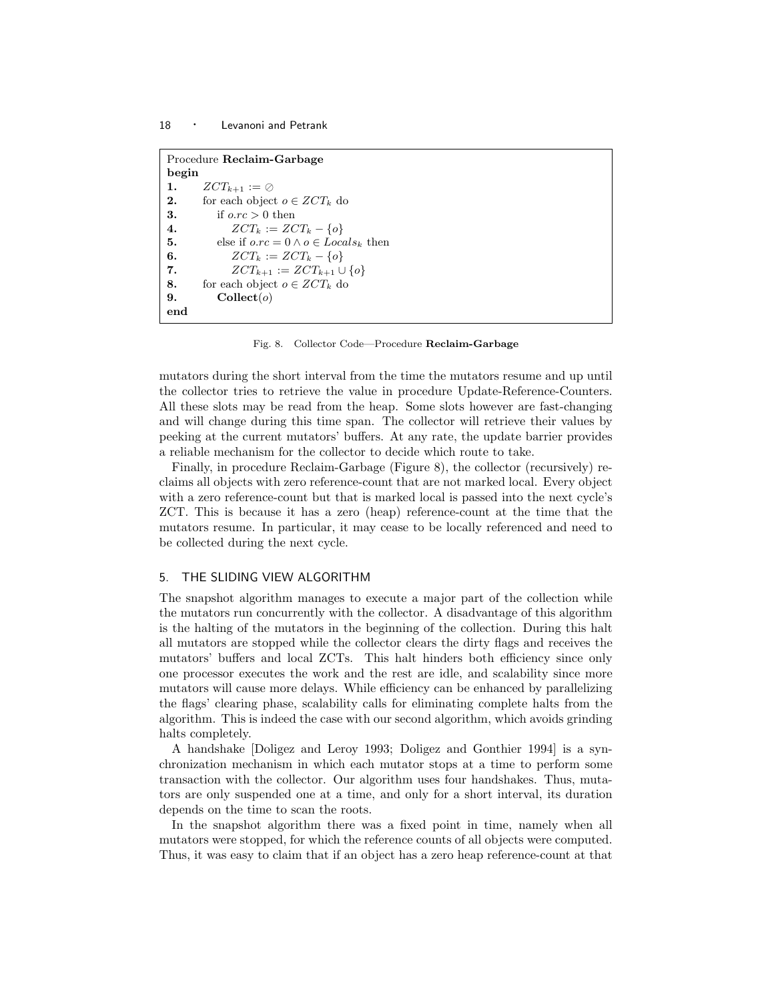```
Procedure Reclaim-Garbage
begin
1. ZCT_{k+1} := \emptyset2. for each object o \in ZCT_k do
3. if o.rc > 0 then
4. ZCT_k := ZCT_k - \{o\}5. else if o.rc = 0 \land o \in \text{Locals}_k then
6. ZCT_k := ZCT_k - \{o\}7. ZCT_{k+1} := ZCT_{k+1} \cup \{o\}8. for each object o \in ZCT_k do
9. Collect(o)end
```
Fig. 8. Collector Code—Procedure Reclaim-Garbage

mutators during the short interval from the time the mutators resume and up until the collector tries to retrieve the value in procedure Update-Reference-Counters. All these slots may be read from the heap. Some slots however are fast-changing and will change during this time span. The collector will retrieve their values by peeking at the current mutators' buffers. At any rate, the update barrier provides a reliable mechanism for the collector to decide which route to take.

Finally, in procedure Reclaim-Garbage (Figure 8), the collector (recursively) reclaims all objects with zero reference-count that are not marked local. Every object with a zero reference-count but that is marked local is passed into the next cycle's ZCT. This is because it has a zero (heap) reference-count at the time that the mutators resume. In particular, it may cease to be locally referenced and need to be collected during the next cycle.

# 5. THE SLIDING VIEW ALGORITHM

The snapshot algorithm manages to execute a major part of the collection while the mutators run concurrently with the collector. A disadvantage of this algorithm is the halting of the mutators in the beginning of the collection. During this halt all mutators are stopped while the collector clears the dirty flags and receives the mutators' buffers and local ZCTs. This halt hinders both efficiency since only one processor executes the work and the rest are idle, and scalability since more mutators will cause more delays. While efficiency can be enhanced by parallelizing the flags' clearing phase, scalability calls for eliminating complete halts from the algorithm. This is indeed the case with our second algorithm, which avoids grinding halts completely.

A handshake [Doligez and Leroy 1993; Doligez and Gonthier 1994] is a synchronization mechanism in which each mutator stops at a time to perform some transaction with the collector. Our algorithm uses four handshakes. Thus, mutators are only suspended one at a time, and only for a short interval, its duration depends on the time to scan the roots.

In the snapshot algorithm there was a fixed point in time, namely when all mutators were stopped, for which the reference counts of all objects were computed. Thus, it was easy to claim that if an object has a zero heap reference-count at that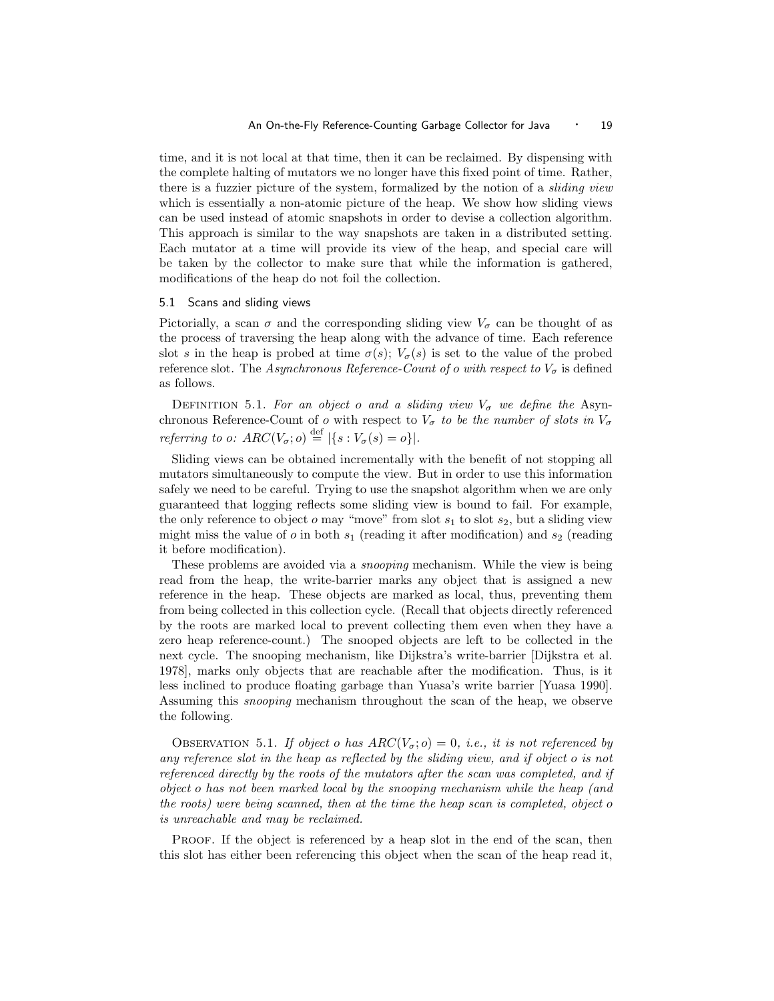time, and it is not local at that time, then it can be reclaimed. By dispensing with the complete halting of mutators we no longer have this fixed point of time. Rather, there is a fuzzier picture of the system, formalized by the notion of a *sliding view* which is essentially a non-atomic picture of the heap. We show how sliding views can be used instead of atomic snapshots in order to devise a collection algorithm. This approach is similar to the way snapshots are taken in a distributed setting. Each mutator at a time will provide its view of the heap, and special care will be taken by the collector to make sure that while the information is gathered, modifications of the heap do not foil the collection.

#### 5.1 Scans and sliding views

Pictorially, a scan  $\sigma$  and the corresponding sliding view  $V_{\sigma}$  can be thought of as the process of traversing the heap along with the advance of time. Each reference slot s in the heap is probed at time  $\sigma(s)$ ;  $V_{\sigma}(s)$  is set to the value of the probed reference slot. The Asynchronous Reference-Count of o with respect to  $V_{\sigma}$  is defined as follows.

DEFINITION 5.1. For an object o and a sliding view  $V_{\sigma}$  we define the Asynchronous Reference-Count of o with respect to  $V_{\sigma}$  to be the number of slots in  $V_{\sigma}$ referring to o:  $ARC(V_{\sigma}; o) \stackrel{\text{def}}{=} |\{s : V_{\sigma}(s) = o\}|.$ 

Sliding views can be obtained incrementally with the benefit of not stopping all mutators simultaneously to compute the view. But in order to use this information safely we need to be careful. Trying to use the snapshot algorithm when we are only guaranteed that logging reflects some sliding view is bound to fail. For example, the only reference to object  $o$  may "move" from slot  $s_1$  to slot  $s_2$ , but a sliding view might miss the value of  $o$  in both  $s_1$  (reading it after modification) and  $s_2$  (reading it before modification).

These problems are avoided via a snooping mechanism. While the view is being read from the heap, the write-barrier marks any object that is assigned a new reference in the heap. These objects are marked as local, thus, preventing them from being collected in this collection cycle. (Recall that objects directly referenced by the roots are marked local to prevent collecting them even when they have a zero heap reference-count.) The snooped objects are left to be collected in the next cycle. The snooping mechanism, like Dijkstra's write-barrier [Dijkstra et al. 1978], marks only objects that are reachable after the modification. Thus, is it less inclined to produce floating garbage than Yuasa's write barrier [Yuasa 1990]. Assuming this snooping mechanism throughout the scan of the heap, we observe the following.

OBSERVATION 5.1. If object o has  $ARC(V_{\sigma}; o) = 0$ , i.e., it is not referenced by any reference slot in the heap as reflected by the sliding view, and if object o is not referenced directly by the roots of the mutators after the scan was completed, and if object o has not been marked local by the snooping mechanism while the heap (and the roots) were being scanned, then at the time the heap scan is completed, object o is unreachable and may be reclaimed.

PROOF. If the object is referenced by a heap slot in the end of the scan, then this slot has either been referencing this object when the scan of the heap read it,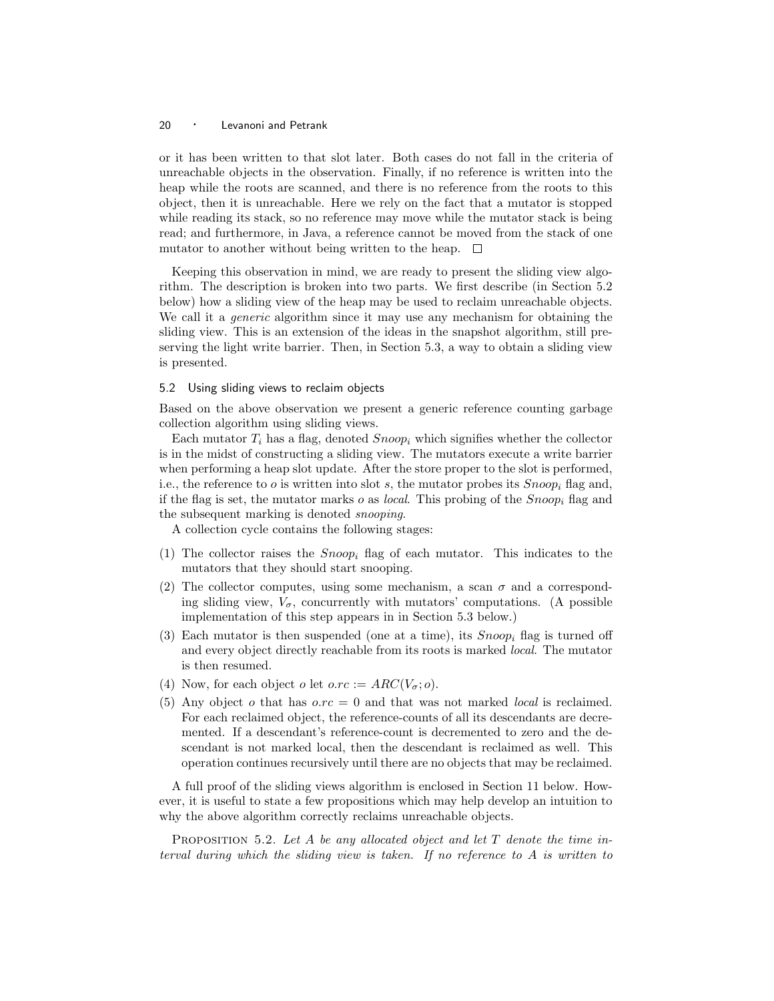or it has been written to that slot later. Both cases do not fall in the criteria of unreachable objects in the observation. Finally, if no reference is written into the heap while the roots are scanned, and there is no reference from the roots to this object, then it is unreachable. Here we rely on the fact that a mutator is stopped while reading its stack, so no reference may move while the mutator stack is being read; and furthermore, in Java, a reference cannot be moved from the stack of one mutator to another without being written to the heap.  $\square$ 

Keeping this observation in mind, we are ready to present the sliding view algorithm. The description is broken into two parts. We first describe (in Section 5.2 below) how a sliding view of the heap may be used to reclaim unreachable objects. We call it a *generic* algorithm since it may use any mechanism for obtaining the sliding view. This is an extension of the ideas in the snapshot algorithm, still preserving the light write barrier. Then, in Section 5.3, a way to obtain a sliding view is presented.

## 5.2 Using sliding views to reclaim objects

Based on the above observation we present a generic reference counting garbage collection algorithm using sliding views.

Each mutator  $T_i$  has a flag, denoted  $Snoop_i$  which signifies whether the collector is in the midst of constructing a sliding view. The mutators execute a write barrier when performing a heap slot update. After the store proper to the slot is performed, i.e., the reference to o is written into slot s, the mutator probes its  $S_{n^{o}op_i}$  flag and, if the flag is set, the mutator marks  $o$  as *local*. This probing of the  $Snoop<sub>i</sub>$  flag and the subsequent marking is denoted snooping.

A collection cycle contains the following stages:

- (1) The collector raises the  $Snoop<sub>i</sub>$  flag of each mutator. This indicates to the mutators that they should start snooping.
- (2) The collector computes, using some mechanism, a scan  $\sigma$  and a corresponding sliding view,  $V_{\sigma}$ , concurrently with mutators' computations. (A possible implementation of this step appears in in Section 5.3 below.)
- (3) Each mutator is then suspended (one at a time), its  $Snoop<sub>i</sub>$  flag is turned off and every object directly reachable from its roots is marked local. The mutator is then resumed.
- (4) Now, for each object *o* let *o.rc* :=  $ARC(V_{\sigma}; o)$ .
- (5) Any object o that has  $o.rc = 0$  and that was not marked *local* is reclaimed. For each reclaimed object, the reference-counts of all its descendants are decremented. If a descendant's reference-count is decremented to zero and the descendant is not marked local, then the descendant is reclaimed as well. This operation continues recursively until there are no objects that may be reclaimed.

A full proof of the sliding views algorithm is enclosed in Section 11 below. However, it is useful to state a few propositions which may help develop an intuition to why the above algorithm correctly reclaims unreachable objects.

PROPOSITION 5.2. Let A be any allocated object and let  $T$  denote the time interval during which the sliding view is taken. If no reference to A is written to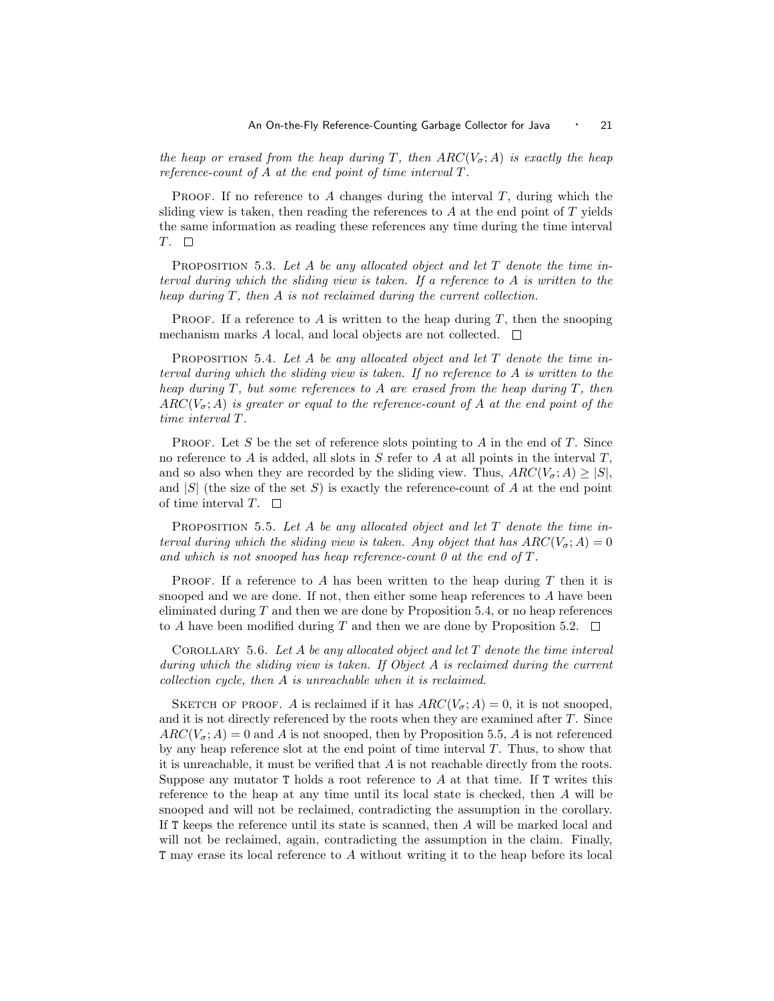the heap or erased from the heap during T, then  $ARC(V_{\sigma}; A)$  is exactly the heap reference-count of A at the end point of time interval T.

PROOF. If no reference to A changes during the interval  $T$ , during which the sliding view is taken, then reading the references to  $A$  at the end point of  $T$  yields the same information as reading these references any time during the time interval  $T. \square$ 

PROPOSITION 5.3. Let A be any allocated object and let  $T$  denote the time interval during which the sliding view is taken. If a reference to A is written to the heap during T, then A is not reclaimed during the current collection.

PROOF. If a reference to A is written to the heap during  $T$ , then the snooping mechanism marks A local, and local objects are not collected.  $\square$ 

PROPOSITION 5.4. Let A be any allocated object and let  $T$  denote the time interval during which the sliding view is taken. If no reference to A is written to the heap during  $T$ , but some references to  $A$  are erased from the heap during  $T$ , then  $ARC(V_{\sigma}; A)$  is greater or equal to the reference-count of A at the end point of the time interval T.

PROOF. Let S be the set of reference slots pointing to A in the end of  $T$ . Since no reference to A is added, all slots in S refer to A at all points in the interval  $T$ , and so also when they are recorded by the sliding view. Thus,  $ARC(V_{\sigma}; A) \geq |S|$ , and  $|S|$  (the size of the set S) is exactly the reference-count of A at the end point of time interval T.  $\square$ 

PROPOSITION 5.5. Let A be any allocated object and let  $T$  denote the time interval during which the sliding view is taken. Any object that has  $ARC(V_{\sigma}; A) = 0$ and which is not snooped has heap reference-count  $\theta$  at the end of  $T$ .

**PROOF.** If a reference to A has been written to the heap during T then it is snooped and we are done. If not, then either some heap references to  $A$  have been eliminated during  $T$  and then we are done by Proposition 5.4, or no heap references to A have been modified during T and then we are done by Proposition 5.2.  $\Box$ 

COROLLARY 5.6. Let A be any allocated object and let  $T$  denote the time interval during which the sliding view is taken. If Object A is reclaimed during the current collection cycle, then A is unreachable when it is reclaimed.

SKETCH OF PROOF. A is reclaimed if it has  $ARC(V_{\sigma}; A) = 0$ , it is not snooped, and it is not directly referenced by the roots when they are examined after T. Since  $ARC(V_{\sigma}; A) = 0$  and A is not snooped, then by Proposition 5.5, A is not referenced by any heap reference slot at the end point of time interval  $T$ . Thus, to show that it is unreachable, it must be verified that  $A$  is not reachable directly from the roots. Suppose any mutator T holds a root reference to A at that time. If T writes this reference to the heap at any time until its local state is checked, then A will be snooped and will not be reclaimed, contradicting the assumption in the corollary. If T keeps the reference until its state is scanned, then A will be marked local and will not be reclaimed, again, contradicting the assumption in the claim. Finally, T may erase its local reference to A without writing it to the heap before its local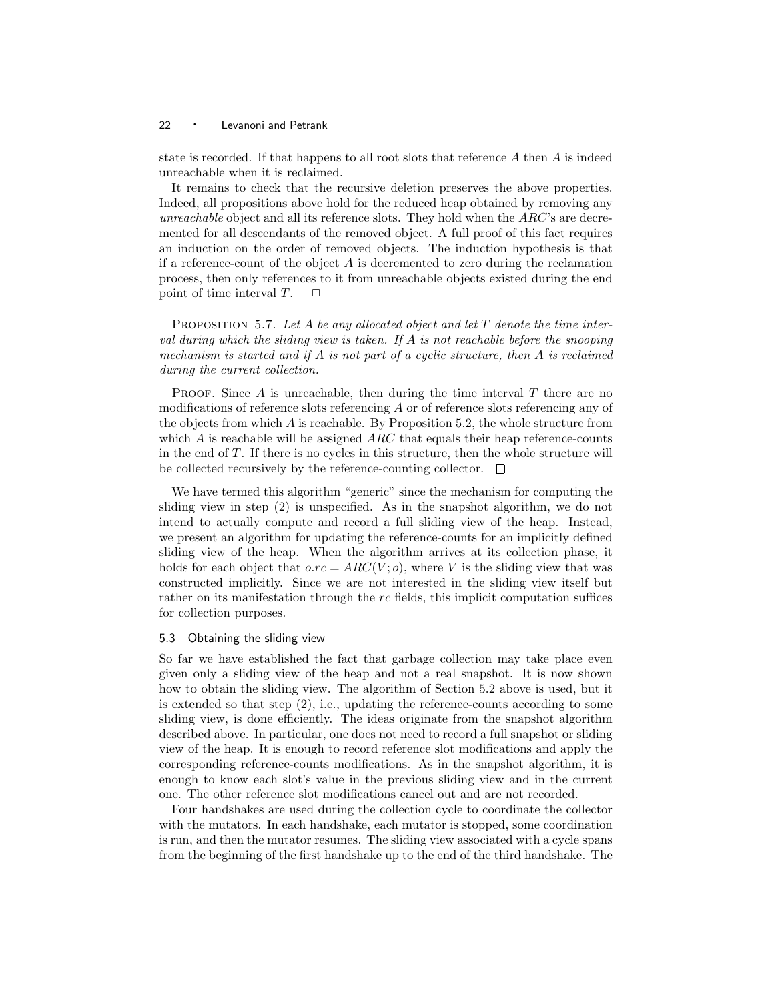state is recorded. If that happens to all root slots that reference A then A is indeed unreachable when it is reclaimed.

It remains to check that the recursive deletion preserves the above properties. Indeed, all propositions above hold for the reduced heap obtained by removing any unreachable object and all its reference slots. They hold when the ARC's are decremented for all descendants of the removed object. A full proof of this fact requires an induction on the order of removed objects. The induction hypothesis is that if a reference-count of the object  $A$  is decremented to zero during the reclamation process, then only references to it from unreachable objects existed during the end point of time interval  $T$ .  $\Box$ 

PROPOSITION 5.7. Let A be any allocated object and let  $T$  denote the time interval during which the sliding view is taken. If A is not reachable before the snooping mechanism is started and if A is not part of a cyclic structure, then A is reclaimed during the current collection.

**PROOF.** Since A is unreachable, then during the time interval  $T$  there are no modifications of reference slots referencing A or of reference slots referencing any of the objects from which A is reachable. By Proposition 5.2, the whole structure from which  $A$  is reachable will be assigned  $ARC$  that equals their heap reference-counts in the end of  $T$ . If there is no cycles in this structure, then the whole structure will be collected recursively by the reference-counting collector.  $\Box$ 

We have termed this algorithm "generic" since the mechanism for computing the sliding view in step (2) is unspecified. As in the snapshot algorithm, we do not intend to actually compute and record a full sliding view of the heap. Instead, we present an algorithm for updating the reference-counts for an implicitly defined sliding view of the heap. When the algorithm arrives at its collection phase, it holds for each object that  $o$ .rc = ARC(V; o), where V is the sliding view that was constructed implicitly. Since we are not interested in the sliding view itself but rather on its manifestation through the  $rc$  fields, this implicit computation suffices for collection purposes.

# 5.3 Obtaining the sliding view

So far we have established the fact that garbage collection may take place even given only a sliding view of the heap and not a real snapshot. It is now shown how to obtain the sliding view. The algorithm of Section 5.2 above is used, but it is extended so that step  $(2)$ , i.e., updating the reference-counts according to some sliding view, is done efficiently. The ideas originate from the snapshot algorithm described above. In particular, one does not need to record a full snapshot or sliding view of the heap. It is enough to record reference slot modifications and apply the corresponding reference-counts modifications. As in the snapshot algorithm, it is enough to know each slot's value in the previous sliding view and in the current one. The other reference slot modifications cancel out and are not recorded.

Four handshakes are used during the collection cycle to coordinate the collector with the mutators. In each handshake, each mutator is stopped, some coordination is run, and then the mutator resumes. The sliding view associated with a cycle spans from the beginning of the first handshake up to the end of the third handshake. The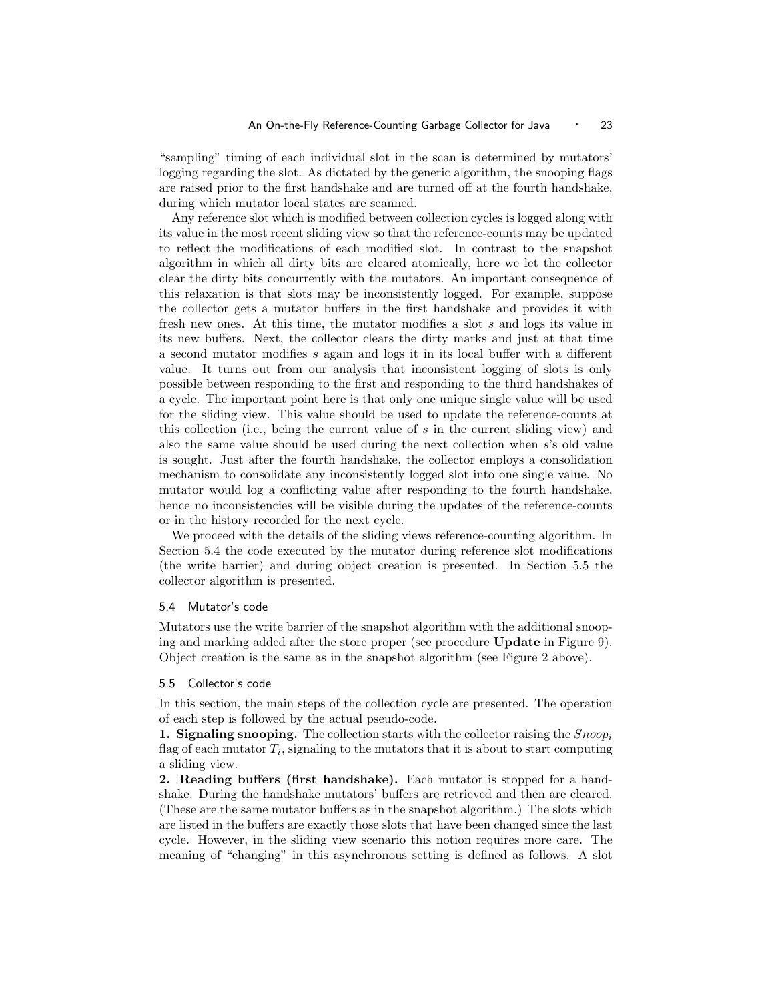"sampling" timing of each individual slot in the scan is determined by mutators' logging regarding the slot. As dictated by the generic algorithm, the snooping flags are raised prior to the first handshake and are turned off at the fourth handshake, during which mutator local states are scanned.

Any reference slot which is modified between collection cycles is logged along with its value in the most recent sliding view so that the reference-counts may be updated to reflect the modifications of each modified slot. In contrast to the snapshot algorithm in which all dirty bits are cleared atomically, here we let the collector clear the dirty bits concurrently with the mutators. An important consequence of this relaxation is that slots may be inconsistently logged. For example, suppose the collector gets a mutator buffers in the first handshake and provides it with fresh new ones. At this time, the mutator modifies a slot s and logs its value in its new buffers. Next, the collector clears the dirty marks and just at that time a second mutator modifies s again and logs it in its local buffer with a different value. It turns out from our analysis that inconsistent logging of slots is only possible between responding to the first and responding to the third handshakes of a cycle. The important point here is that only one unique single value will be used for the sliding view. This value should be used to update the reference-counts at this collection (i.e., being the current value of  $s$  in the current sliding view) and also the same value should be used during the next collection when s's old value is sought. Just after the fourth handshake, the collector employs a consolidation mechanism to consolidate any inconsistently logged slot into one single value. No mutator would log a conflicting value after responding to the fourth handshake, hence no inconsistencies will be visible during the updates of the reference-counts or in the history recorded for the next cycle.

We proceed with the details of the sliding views reference-counting algorithm. In Section 5.4 the code executed by the mutator during reference slot modifications (the write barrier) and during object creation is presented. In Section 5.5 the collector algorithm is presented.

## 5.4 Mutator's code

Mutators use the write barrier of the snapshot algorithm with the additional snooping and marking added after the store proper (see procedure Update in Figure 9). Object creation is the same as in the snapshot algorithm (see Figure 2 above).

## 5.5 Collector's code

In this section, the main steps of the collection cycle are presented. The operation of each step is followed by the actual pseudo-code.

1. Signaling snooping. The collection starts with the collector raising the  $S_{\text{no}op_i}$ flag of each mutator  $T_i$ , signaling to the mutators that it is about to start computing a sliding view.

2. Reading buffers (first handshake). Each mutator is stopped for a handshake. During the handshake mutators' buffers are retrieved and then are cleared. (These are the same mutator buffers as in the snapshot algorithm.) The slots which are listed in the buffers are exactly those slots that have been changed since the last cycle. However, in the sliding view scenario this notion requires more care. The meaning of "changing" in this asynchronous setting is defined as follows. A slot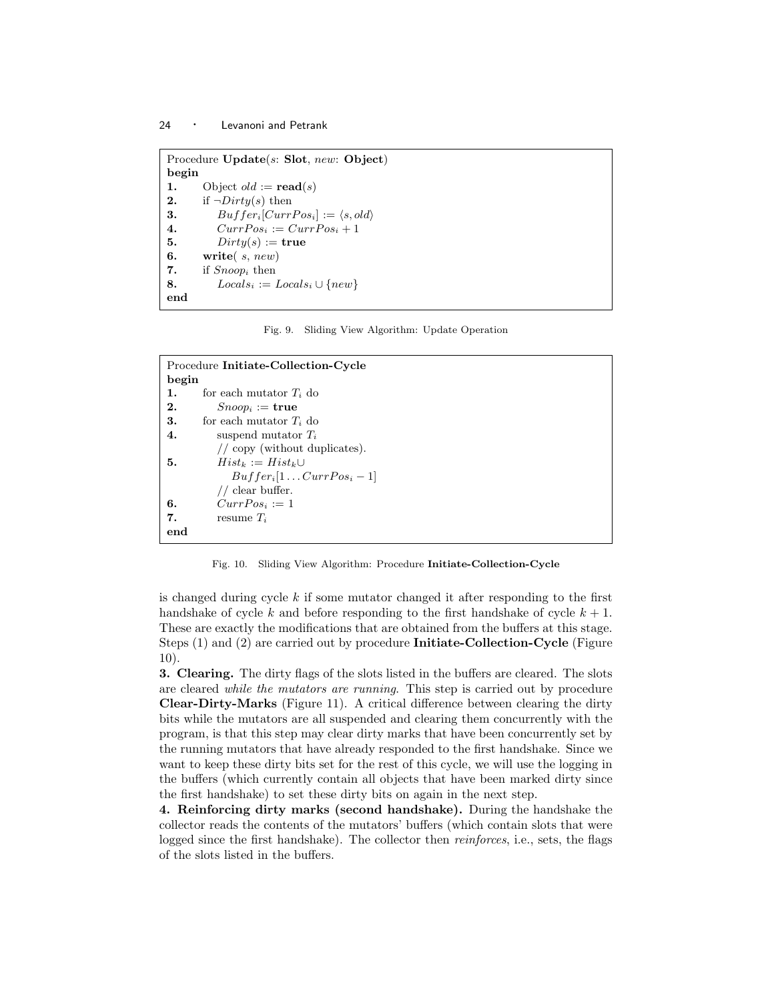Procedure Update(s: Slot, new: Object) begin 1. Object  $old := \text{read}(s)$ 2. if  $\neg Dirty(s)$  then **3.** Buffer<sub>i</sub>[CurrPos<sub>i</sub>] :=  $\langle s, old \rangle$ 4.  $CurrPos_i := CurrPos_i + 1$ 5.  $Dirty(s) := \textbf{true}$ 6. write  $(s, new)$ 7. if  $Snoop_i$  then 8.  $Locals_i := Locals_i \cup \{new\}$ end

Fig. 9. Sliding View Algorithm: Update Operation

```
Procedure Initiate-Collection-Cycle
begin
1. for each mutator T_i do
2. S_{\text{noop}_i} := \text{true}3. for each mutator T_i do
4. suspend mutator T_i// copy (without duplicates).
5. Hist_k := Hist_k \cupBuffer_i[1 \dots CurrPos_i-1]// clear buffer.
6. CurrPos_i := 17. resume T_iend
```
Fig. 10. Sliding View Algorithm: Procedure Initiate-Collection-Cycle

is changed during cycle  $k$  if some mutator changed it after responding to the first handshake of cycle k and before responding to the first handshake of cycle  $k + 1$ . These are exactly the modifications that are obtained from the buffers at this stage. Steps  $(1)$  and  $(2)$  are carried out by procedure **Initiate-Collection-Cycle** (Figure 10).

3. Clearing. The dirty flags of the slots listed in the buffers are cleared. The slots are cleared while the mutators are running. This step is carried out by procedure Clear-Dirty-Marks (Figure 11). A critical difference between clearing the dirty bits while the mutators are all suspended and clearing them concurrently with the program, is that this step may clear dirty marks that have been concurrently set by the running mutators that have already responded to the first handshake. Since we want to keep these dirty bits set for the rest of this cycle, we will use the logging in the buffers (which currently contain all objects that have been marked dirty since the first handshake) to set these dirty bits on again in the next step.

4. Reinforcing dirty marks (second handshake). During the handshake the collector reads the contents of the mutators' buffers (which contain slots that were logged since the first handshake). The collector then *reinforces*, i.e., sets, the flags of the slots listed in the buffers.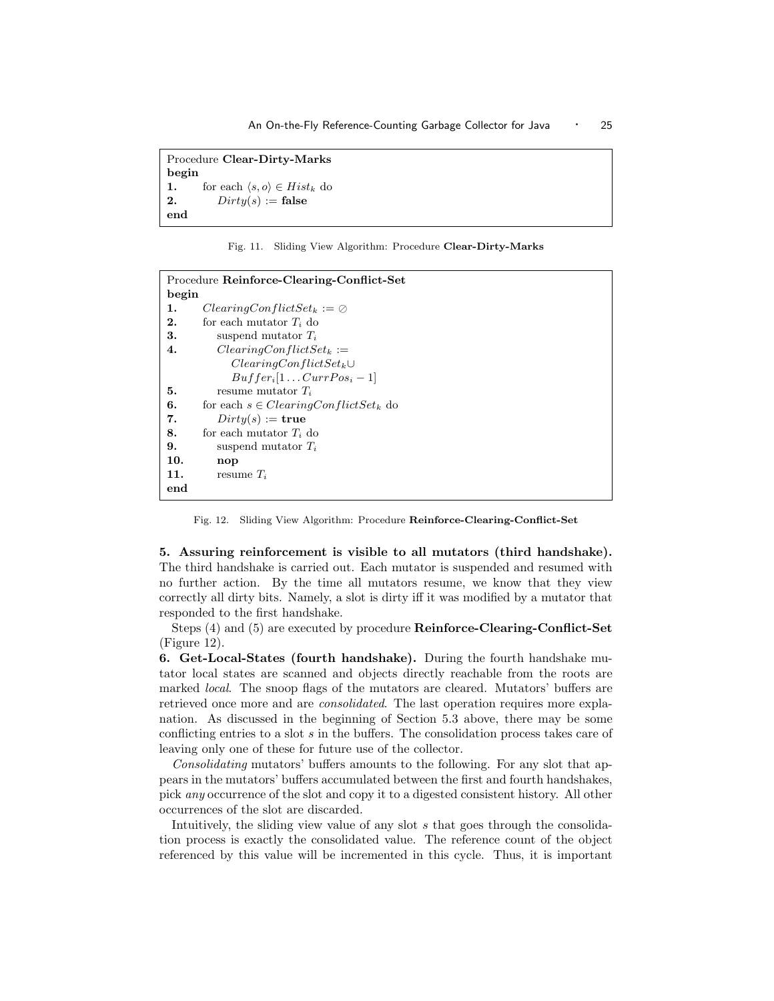Procedure Clear-Dirty-Marks begin 1. for each  $\langle s, o \rangle \in Hist_k$  do 2.  $Dirty(s) := \textbf{false}$ end

Fig. 11. Sliding View Algorithm: Procedure Clear-Dirty-Marks

| Procedure Reinforce-Clearing-Conflict-Set       |
|-------------------------------------------------|
| begin                                           |
| $ClearingConflictSet_k := \oslash$<br>1.        |
| for each mutator $T_i$ do<br>2.                 |
| 3.<br>suspend mutator $T_i$                     |
| $ClearingConflictSet_k :=$<br>4.                |
| $ClearingConflictSet_k \cup$                    |
| $Buffer_i[1CurrPos_i-1]$                        |
| 5.<br>resume mutator $T_i$                      |
| for each $s \in ClearingConflictSet_k$ do<br>6. |
| $Dirty(s) := \textbf{true}$<br>7.               |
| for each mutator $T_i$ do<br>8.                 |
| 9.<br>suspend mutator $T_i$                     |
| 10.<br>nop                                      |
| 11.<br>resume $T_i$                             |
| end                                             |

Fig. 12. Sliding View Algorithm: Procedure Reinforce-Clearing-Conflict-Set

5. Assuring reinforcement is visible to all mutators (third handshake). The third handshake is carried out. Each mutator is suspended and resumed with no further action. By the time all mutators resume, we know that they view correctly all dirty bits. Namely, a slot is dirty iff it was modified by a mutator that responded to the first handshake.

Steps (4) and (5) are executed by procedure Reinforce-Clearing-Conflict-Set (Figure 12).

6. Get-Local-States (fourth handshake). During the fourth handshake mutator local states are scanned and objects directly reachable from the roots are marked local. The snoop flags of the mutators are cleared. Mutators' buffers are retrieved once more and are *consolidated*. The last operation requires more explanation. As discussed in the beginning of Section 5.3 above, there may be some conflicting entries to a slot s in the buffers. The consolidation process takes care of leaving only one of these for future use of the collector.

Consolidating mutators' buffers amounts to the following. For any slot that appears in the mutators' buffers accumulated between the first and fourth handshakes, pick any occurrence of the slot and copy it to a digested consistent history. All other occurrences of the slot are discarded.

Intuitively, the sliding view value of any slot s that goes through the consolidation process is exactly the consolidated value. The reference count of the object referenced by this value will be incremented in this cycle. Thus, it is important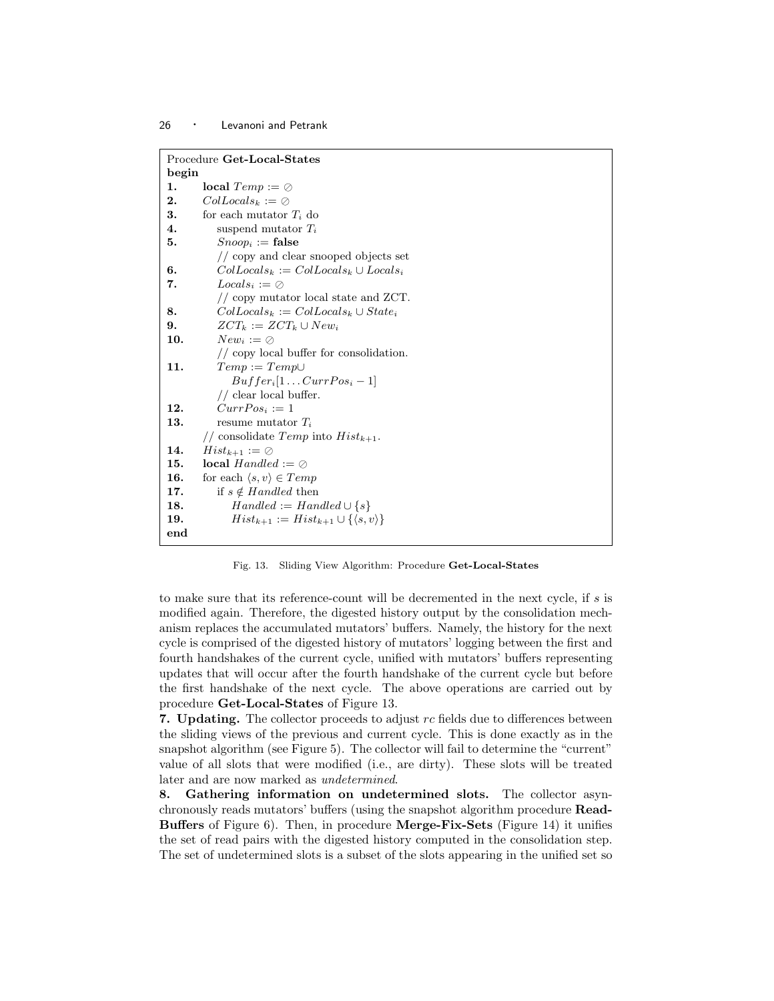|       | Procedure Get-Local-States                             |
|-------|--------------------------------------------------------|
| begin |                                                        |
| 1.    | local $Temp := \oslash$                                |
| 2.    | $Collocals_k := \oslash$                               |
| 3.    | for each mutator $T_i$ do                              |
| 4.    | suspend mutator $T_i$                                  |
| 5.    | $S_{\mathit{noop}_i} := \mathbf{false}$                |
|       | // copy and clear snooped objects set                  |
| 6.    | $ColLocals_k := ColLocals_k \cup Locals_i$             |
| 7.    | $Locals_i := \oslash$                                  |
|       | // copy mutator local state and $ZCT$ .                |
| 8.    | $Collocals_k := Collocals_k \cup State_i$              |
| 9.    | $ZCT_k := ZCT_k \cup New_i$                            |
| 10.   | $New_i := \oslash$                                     |
|       | $//$ copy local buffer for consolidation.              |
| 11.   | $Temp := Temp \cup$                                    |
|       | $Buffer_i[1CurrPos_i-1]$                               |
|       | // clear local buffer.                                 |
| 12.   | $CurrPos_i := 1$                                       |
| 13.   | resume mutator $T_i$                                   |
|       | // consolidate $Temp$ into $Hist_{k+1}$ .              |
| 14.   | $Hist_{k+1} := \oslash$                                |
| 15.   | <b>local</b> Handled := $\oslash$                      |
| 16.   | for each $\langle s, v \rangle \in Temp$               |
| 17.   | if $s \notin Handled$ then                             |
| 18.   | $Handed := Handled \cup \{s\}$                         |
| 19.   | $Hist_{k+1} := Hist_{k+1} \cup \{\langle s,v\rangle\}$ |
| end   |                                                        |

Fig. 13. Sliding View Algorithm: Procedure Get-Local-States

to make sure that its reference-count will be decremented in the next cycle, if s is modified again. Therefore, the digested history output by the consolidation mechanism replaces the accumulated mutators' buffers. Namely, the history for the next cycle is comprised of the digested history of mutators' logging between the first and fourth handshakes of the current cycle, unified with mutators' buffers representing updates that will occur after the fourth handshake of the current cycle but before the first handshake of the next cycle. The above operations are carried out by procedure Get-Local-States of Figure 13.

7. Updating. The collector proceeds to adjust  $rc$  fields due to differences between the sliding views of the previous and current cycle. This is done exactly as in the snapshot algorithm (see Figure 5). The collector will fail to determine the "current" value of all slots that were modified (i.e., are dirty). These slots will be treated later and are now marked as undetermined.

8. Gathering information on undetermined slots. The collector asynchronously reads mutators' buffers (using the snapshot algorithm procedure Read-Buffers of Figure 6). Then, in procedure Merge-Fix-Sets (Figure 14) it unifies the set of read pairs with the digested history computed in the consolidation step. The set of undetermined slots is a subset of the slots appearing in the unified set so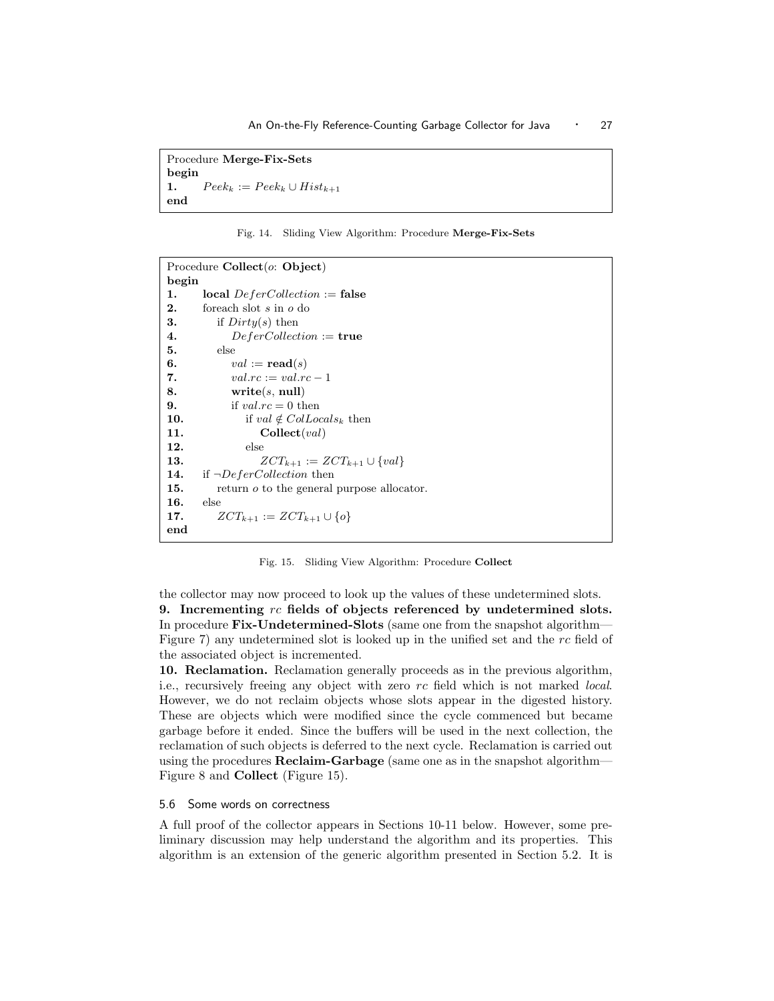Procedure Merge-Fix-Sets begin 1.  $Peek_k := Peek_k \cup Hist_{k+1}$ end

Fig. 14. Sliding View Algorithm: Procedure Merge-Fix-Sets

```
Procedure Collect(o: Object)
begin
1. local DeferCollection := false
2. foreach slot s in o do
3. if Dirty(s) then
4. Defercollection := true5. else
6. val := \text{read}(s)7. val.rc := val.rc - 18. write(s, \text{ null})9. if val.rc = 0 then
10. if val \notin Collocals_k then
11. \text{Collect}(val)12. else
13. ZCT_{k+1} := ZCT_{k+1} \cup \{val\}14. if \neg Defercollection then
15. return o to the general purpose allocator.
16. else
17. ZCT_{k+1} := ZCT_{k+1} \cup \{o\}end
```
Fig. 15. Sliding View Algorithm: Procedure Collect

the collector may now proceed to look up the values of these undetermined slots. 9. Incrementing  $rc$  fields of objects referenced by undetermined slots. In procedure Fix-Undetermined-Slots (same one from the snapshot algorithm— Figure 7) any undetermined slot is looked up in the unified set and the rc field of the associated object is incremented.

10. Reclamation. Reclamation generally proceeds as in the previous algorithm, i.e., recursively freeing any object with zero rc field which is not marked local. However, we do not reclaim objects whose slots appear in the digested history. These are objects which were modified since the cycle commenced but became garbage before it ended. Since the buffers will be used in the next collection, the reclamation of such objects is deferred to the next cycle. Reclamation is carried out using the procedures **Reclaim-Garbage** (same one as in the snapshot algorithm— Figure 8 and Collect (Figure 15).

# 5.6 Some words on correctness

A full proof of the collector appears in Sections 10-11 below. However, some preliminary discussion may help understand the algorithm and its properties. This algorithm is an extension of the generic algorithm presented in Section 5.2. It is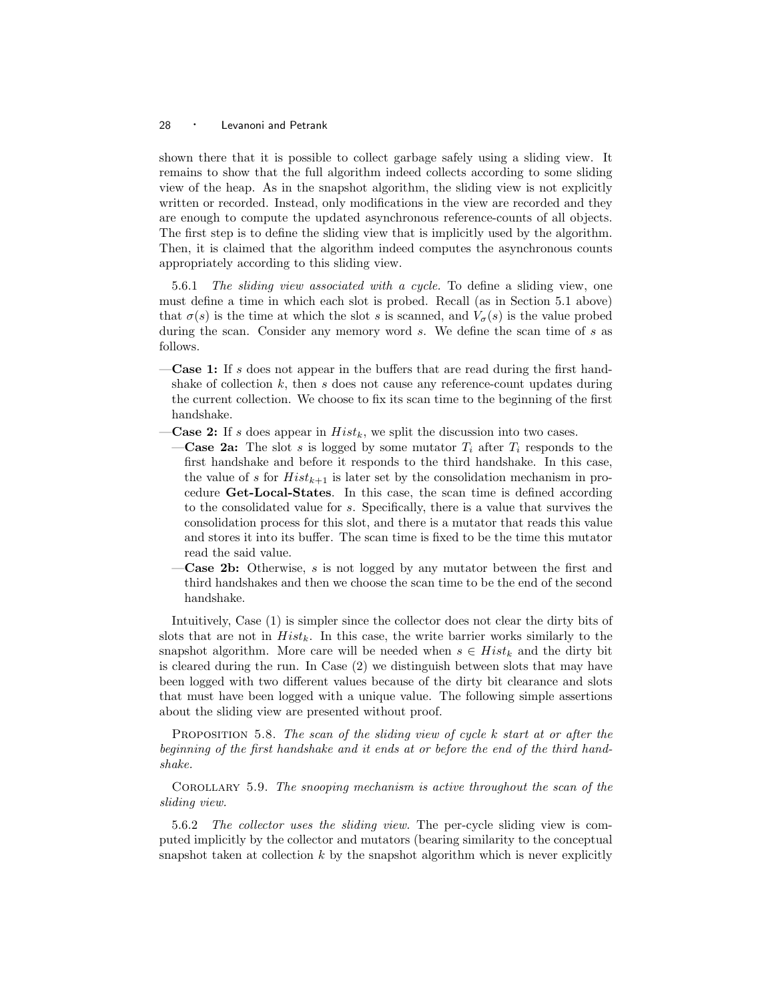shown there that it is possible to collect garbage safely using a sliding view. It remains to show that the full algorithm indeed collects according to some sliding view of the heap. As in the snapshot algorithm, the sliding view is not explicitly written or recorded. Instead, only modifications in the view are recorded and they are enough to compute the updated asynchronous reference-counts of all objects. The first step is to define the sliding view that is implicitly used by the algorithm. Then, it is claimed that the algorithm indeed computes the asynchronous counts appropriately according to this sliding view.

5.6.1 The sliding view associated with a cycle. To define a sliding view, one must define a time in which each slot is probed. Recall (as in Section 5.1 above) that  $\sigma(s)$  is the time at which the slot s is scanned, and  $V_{\sigma}(s)$  is the value probed during the scan. Consider any memory word  $s$ . We define the scan time of  $s$  as follows.

- —Case 1: If s does not appear in the buffers that are read during the first handshake of collection  $k$ , then  $s$  does not cause any reference-count updates during the current collection. We choose to fix its scan time to the beginning of the first handshake.
- **Case 2:** If s does appear in  $Hist_k$ , we split the discussion into two cases.
- **—Case 2a:** The slot s is logged by some mutator  $T_i$  after  $T_i$  responds to the first handshake and before it responds to the third handshake. In this case, the value of s for  $Hist_{k+1}$  is later set by the consolidation mechanism in procedure Get-Local-States. In this case, the scan time is defined according to the consolidated value for s. Specifically, there is a value that survives the consolidation process for this slot, and there is a mutator that reads this value and stores it into its buffer. The scan time is fixed to be the time this mutator read the said value.
- Case 2b: Otherwise, s is not logged by any mutator between the first and third handshakes and then we choose the scan time to be the end of the second handshake.

Intuitively, Case (1) is simpler since the collector does not clear the dirty bits of slots that are not in  $Hist_k$ . In this case, the write barrier works similarly to the snapshot algorithm. More care will be needed when  $s \in Hist_k$  and the dirty bit is cleared during the run. In Case (2) we distinguish between slots that may have been logged with two different values because of the dirty bit clearance and slots that must have been logged with a unique value. The following simple assertions about the sliding view are presented without proof.

Proposition 5.8. The scan of the sliding view of cycle k start at or after the beginning of the first handshake and it ends at or before the end of the third handshake.

COROLLARY 5.9. The snooping mechanism is active throughout the scan of the sliding view.

5.6.2 The collector uses the sliding view. The per-cycle sliding view is computed implicitly by the collector and mutators (bearing similarity to the conceptual snapshot taken at collection  $k$  by the snapshot algorithm which is never explicitly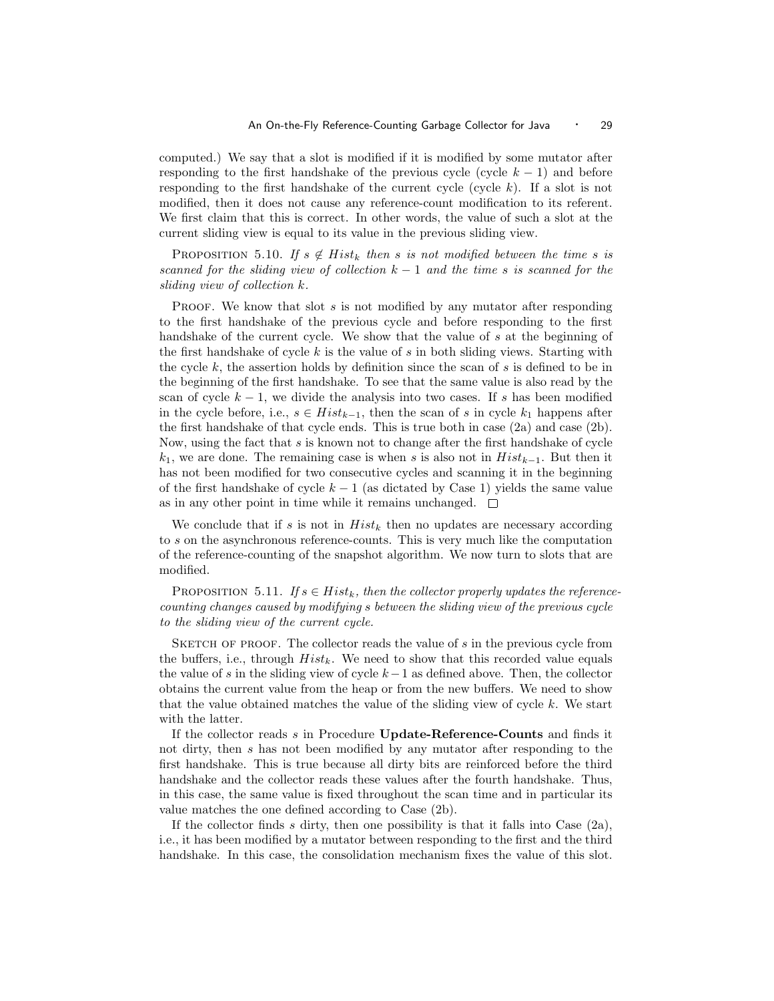computed.) We say that a slot is modified if it is modified by some mutator after responding to the first handshake of the previous cycle (cycle  $k - 1$ ) and before responding to the first handshake of the current cycle (cycle  $k$ ). If a slot is not modified, then it does not cause any reference-count modification to its referent. We first claim that this is correct. In other words, the value of such a slot at the current sliding view is equal to its value in the previous sliding view.

PROPOSITION 5.10. If  $s \notin Hist_k$  then s is not modified between the time s is scanned for the sliding view of collection  $k - 1$  and the time s is scanned for the sliding view of collection k.

**PROOF.** We know that slot s is not modified by any mutator after responding to the first handshake of the previous cycle and before responding to the first handshake of the current cycle. We show that the value of s at the beginning of the first handshake of cycle  $k$  is the value of  $s$  in both sliding views. Starting with the cycle  $k$ , the assertion holds by definition since the scan of  $s$  is defined to be in the beginning of the first handshake. To see that the same value is also read by the scan of cycle  $k-1$ , we divide the analysis into two cases. If s has been modified in the cycle before, i.e.,  $s \in Hist_{k-1}$ , then the scan of s in cycle  $k_1$  happens after the first handshake of that cycle ends. This is true both in case (2a) and case (2b). Now, using the fact that s is known not to change after the first handshake of cycle  $k_1$ , we are done. The remaining case is when s is also not in  $Hist_{k-1}$ . But then it has not been modified for two consecutive cycles and scanning it in the beginning of the first handshake of cycle  $k - 1$  (as dictated by Case 1) yields the same value as in any other point in time while it remains unchanged.  $\square$ 

We conclude that if s is not in  $Hist_k$  then no updates are necessary according to s on the asynchronous reference-counts. This is very much like the computation of the reference-counting of the snapshot algorithm. We now turn to slots that are modified.

PROPOSITION 5.11. If  $s \in Hist_k$ , then the collector properly updates the referencecounting changes caused by modifying s between the sliding view of the previous cycle to the sliding view of the current cycle.

SKETCH OF PROOF. The collector reads the value of s in the previous cycle from the buffers, i.e., through  $Hist_k$ . We need to show that this recorded value equals the value of s in the sliding view of cycle  $k-1$  as defined above. Then, the collector obtains the current value from the heap or from the new buffers. We need to show that the value obtained matches the value of the sliding view of cycle  $k$ . We start with the latter.

If the collector reads s in Procedure Update-Reference-Counts and finds it not dirty, then s has not been modified by any mutator after responding to the first handshake. This is true because all dirty bits are reinforced before the third handshake and the collector reads these values after the fourth handshake. Thus, in this case, the same value is fixed throughout the scan time and in particular its value matches the one defined according to Case (2b).

If the collector finds  $s$  dirty, then one possibility is that it falls into Case  $(2a)$ , i.e., it has been modified by a mutator between responding to the first and the third handshake. In this case, the consolidation mechanism fixes the value of this slot.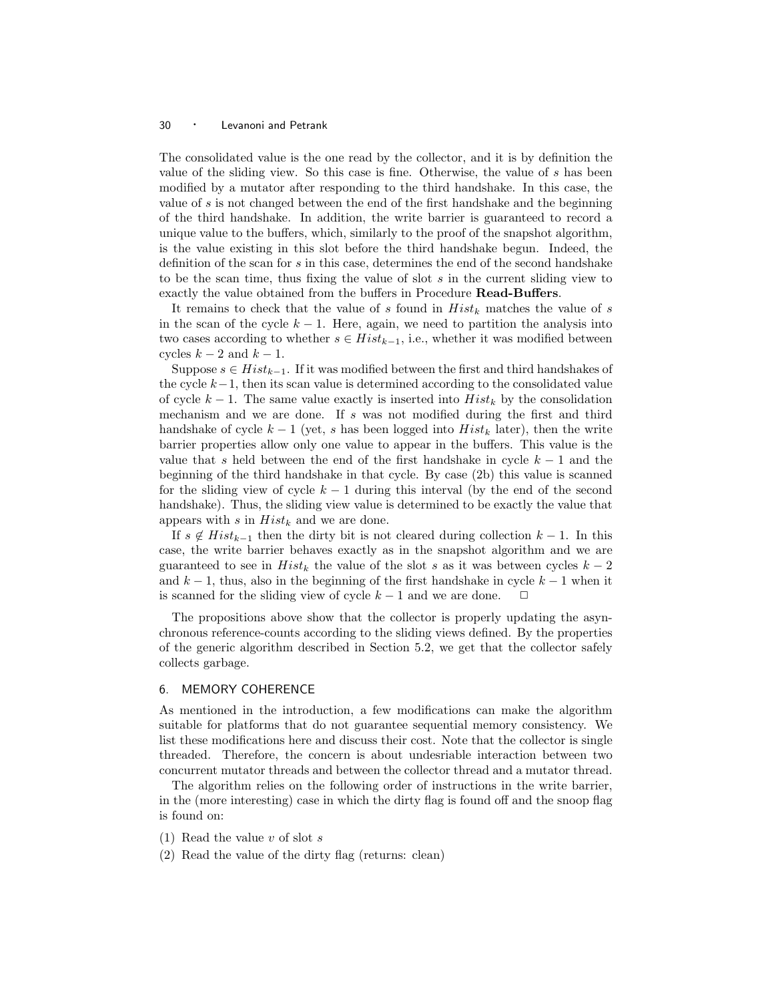The consolidated value is the one read by the collector, and it is by definition the value of the sliding view. So this case is fine. Otherwise, the value of s has been modified by a mutator after responding to the third handshake. In this case, the value of  $s$  is not changed between the end of the first handshake and the beginning of the third handshake. In addition, the write barrier is guaranteed to record a unique value to the buffers, which, similarly to the proof of the snapshot algorithm, is the value existing in this slot before the third handshake begun. Indeed, the definition of the scan for s in this case, determines the end of the second handshake to be the scan time, thus fixing the value of slot  $s$  in the current sliding view to exactly the value obtained from the buffers in Procedure Read-Buffers.

It remains to check that the value of s found in  $Hist_k$  matches the value of s in the scan of the cycle  $k - 1$ . Here, again, we need to partition the analysis into two cases according to whether  $s \in Hist_{k-1}$ , i.e., whether it was modified between cycles  $k-2$  and  $k-1$ .

Suppose  $s \in Hist_{k-1}$ . If it was modified between the first and third handshakes of the cycle  $k-1$ , then its scan value is determined according to the consolidated value of cycle  $k-1$ . The same value exactly is inserted into  $Hist_k$  by the consolidation mechanism and we are done. If s was not modified during the first and third handshake of cycle  $k-1$  (yet, s has been logged into  $Hist_k$  later), then the write barrier properties allow only one value to appear in the buffers. This value is the value that s held between the end of the first handshake in cycle  $k - 1$  and the beginning of the third handshake in that cycle. By case (2b) this value is scanned for the sliding view of cycle  $k-1$  during this interval (by the end of the second handshake). Thus, the sliding view value is determined to be exactly the value that appears with  $s$  in  $Hist_k$  and we are done.

If  $s \notin Hist_{k-1}$  then the dirty bit is not cleared during collection  $k-1$ . In this case, the write barrier behaves exactly as in the snapshot algorithm and we are guaranteed to see in  $Hist_k$  the value of the slot s as it was between cycles  $k-2$ and  $k - 1$ , thus, also in the beginning of the first handshake in cycle  $k - 1$  when it is scanned for the sliding view of cycle  $k-1$  and we are done.  $□$ 

The propositions above show that the collector is properly updating the asynchronous reference-counts according to the sliding views defined. By the properties of the generic algorithm described in Section 5.2, we get that the collector safely collects garbage.

## 6. MEMORY COHERENCE

As mentioned in the introduction, a few modifications can make the algorithm suitable for platforms that do not guarantee sequential memory consistency. We list these modifications here and discuss their cost. Note that the collector is single threaded. Therefore, the concern is about undesriable interaction between two concurrent mutator threads and between the collector thread and a mutator thread.

The algorithm relies on the following order of instructions in the write barrier, in the (more interesting) case in which the dirty flag is found off and the snoop flag is found on:

- (1) Read the value  $v$  of slot  $s$
- (2) Read the value of the dirty flag (returns: clean)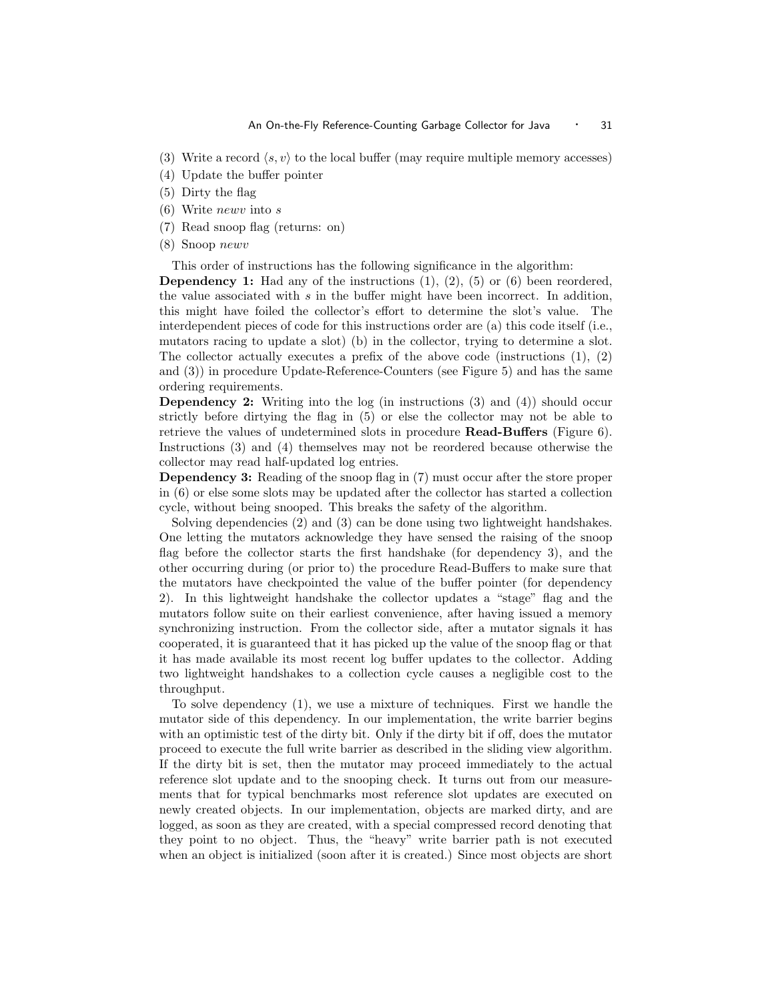- (3) Write a record  $\langle s, v \rangle$  to the local buffer (may require multiple memory accesses)
- (4) Update the buffer pointer
- (5) Dirty the flag
- (6) Write newv into s
- (7) Read snoop flag (returns: on)
- (8) Snoop newv

This order of instructions has the following significance in the algorithm:

**Dependency 1:** Had any of the instructions  $(1)$ ,  $(2)$ ,  $(5)$  or  $(6)$  been reordered, the value associated with  $s$  in the buffer might have been incorrect. In addition, this might have foiled the collector's effort to determine the slot's value. The interdependent pieces of code for this instructions order are (a) this code itself (i.e., mutators racing to update a slot) (b) in the collector, trying to determine a slot. The collector actually executes a prefix of the above code (instructions  $(1), (2)$ ) and (3)) in procedure Update-Reference-Counters (see Figure 5) and has the same ordering requirements.

**Dependency 2:** Writing into the log (in instructions  $(3)$  and  $(4)$ ) should occur strictly before dirtying the flag in (5) or else the collector may not be able to retrieve the values of undetermined slots in procedure **Read-Buffers** (Figure 6). Instructions (3) and (4) themselves may not be reordered because otherwise the collector may read half-updated log entries.

Dependency 3: Reading of the snoop flag in (7) must occur after the store proper in (6) or else some slots may be updated after the collector has started a collection cycle, without being snooped. This breaks the safety of the algorithm.

Solving dependencies (2) and (3) can be done using two lightweight handshakes. One letting the mutators acknowledge they have sensed the raising of the snoop flag before the collector starts the first handshake (for dependency 3), and the other occurring during (or prior to) the procedure Read-Buffers to make sure that the mutators have checkpointed the value of the buffer pointer (for dependency 2). In this lightweight handshake the collector updates a "stage" flag and the mutators follow suite on their earliest convenience, after having issued a memory synchronizing instruction. From the collector side, after a mutator signals it has cooperated, it is guaranteed that it has picked up the value of the snoop flag or that it has made available its most recent log buffer updates to the collector. Adding two lightweight handshakes to a collection cycle causes a negligible cost to the throughput.

To solve dependency (1), we use a mixture of techniques. First we handle the mutator side of this dependency. In our implementation, the write barrier begins with an optimistic test of the dirty bit. Only if the dirty bit if off, does the mutator proceed to execute the full write barrier as described in the sliding view algorithm. If the dirty bit is set, then the mutator may proceed immediately to the actual reference slot update and to the snooping check. It turns out from our measurements that for typical benchmarks most reference slot updates are executed on newly created objects. In our implementation, objects are marked dirty, and are logged, as soon as they are created, with a special compressed record denoting that they point to no object. Thus, the "heavy" write barrier path is not executed when an object is initialized (soon after it is created.) Since most objects are short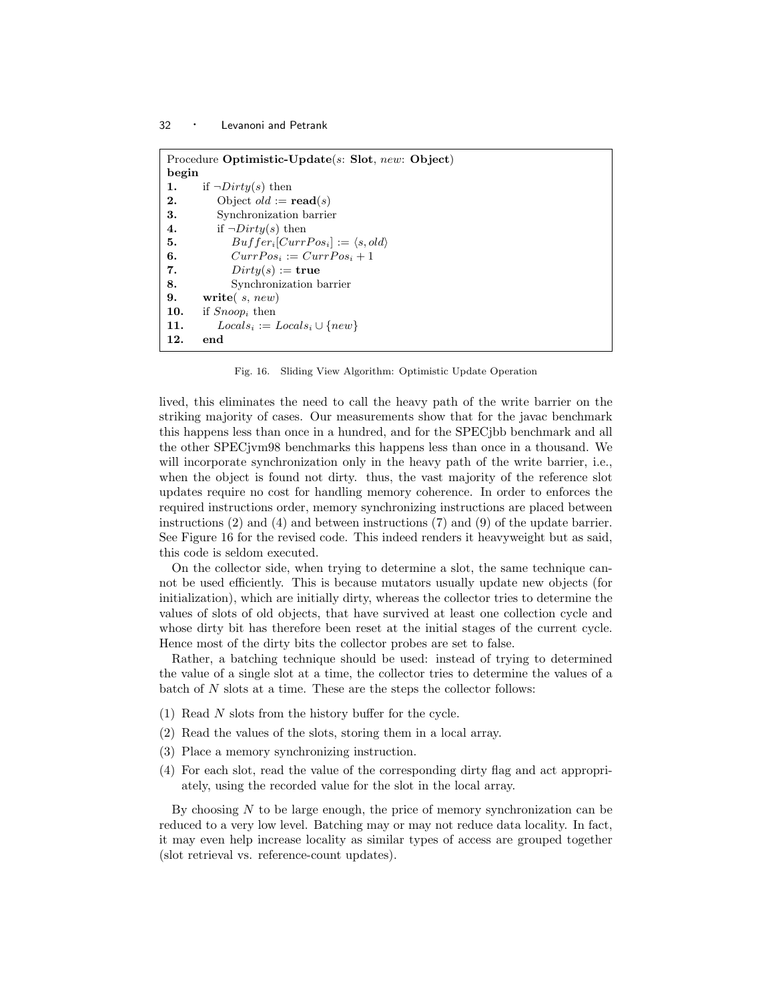|       | Procedure Optimistic-Update(s: Slot, new: Object) |
|-------|---------------------------------------------------|
| begin |                                                   |
| 1.    | if $\neg Dirty(s)$ then                           |
| 2.    | Object $old := \text{read}(s)$                    |
| 3.    | Synchronization barrier                           |
| 4.    | if $\neg Dirty(s)$ then                           |
| 5.    | $But fer_i[CurrPos_i] := \langle s, old \rangle$  |
| 6.    | $CurrPos_i := CurrPos_i + 1$                      |
| 7.    | $Dirty(s) := \textbf{true}$                       |
| 8.    | Synchronization barrier                           |
| 9.    | write $(s, new)$                                  |
| 10.   | if $S_{noop_i}$ then                              |
| 11.   | $Locals_i := Locals_i \cup \{new\}$               |
| 12.   | end                                               |

Fig. 16. Sliding View Algorithm: Optimistic Update Operation

lived, this eliminates the need to call the heavy path of the write barrier on the striking majority of cases. Our measurements show that for the javac benchmark this happens less than once in a hundred, and for the SPECjbb benchmark and all the other SPECjvm98 benchmarks this happens less than once in a thousand. We will incorporate synchronization only in the heavy path of the write barrier, i.e., when the object is found not dirty. thus, the vast majority of the reference slot updates require no cost for handling memory coherence. In order to enforces the required instructions order, memory synchronizing instructions are placed between instructions (2) and (4) and between instructions (7) and (9) of the update barrier. See Figure 16 for the revised code. This indeed renders it heavyweight but as said, this code is seldom executed.

On the collector side, when trying to determine a slot, the same technique cannot be used efficiently. This is because mutators usually update new objects (for initialization), which are initially dirty, whereas the collector tries to determine the values of slots of old objects, that have survived at least one collection cycle and whose dirty bit has therefore been reset at the initial stages of the current cycle. Hence most of the dirty bits the collector probes are set to false.

Rather, a batching technique should be used: instead of trying to determined the value of a single slot at a time, the collector tries to determine the values of a batch of  $N$  slots at a time. These are the steps the collector follows:

- (1) Read N slots from the history buffer for the cycle.
- (2) Read the values of the slots, storing them in a local array.
- (3) Place a memory synchronizing instruction.
- (4) For each slot, read the value of the corresponding dirty flag and act appropriately, using the recorded value for the slot in the local array.

By choosing  $N$  to be large enough, the price of memory synchronization can be reduced to a very low level. Batching may or may not reduce data locality. In fact, it may even help increase locality as similar types of access are grouped together (slot retrieval vs. reference-count updates).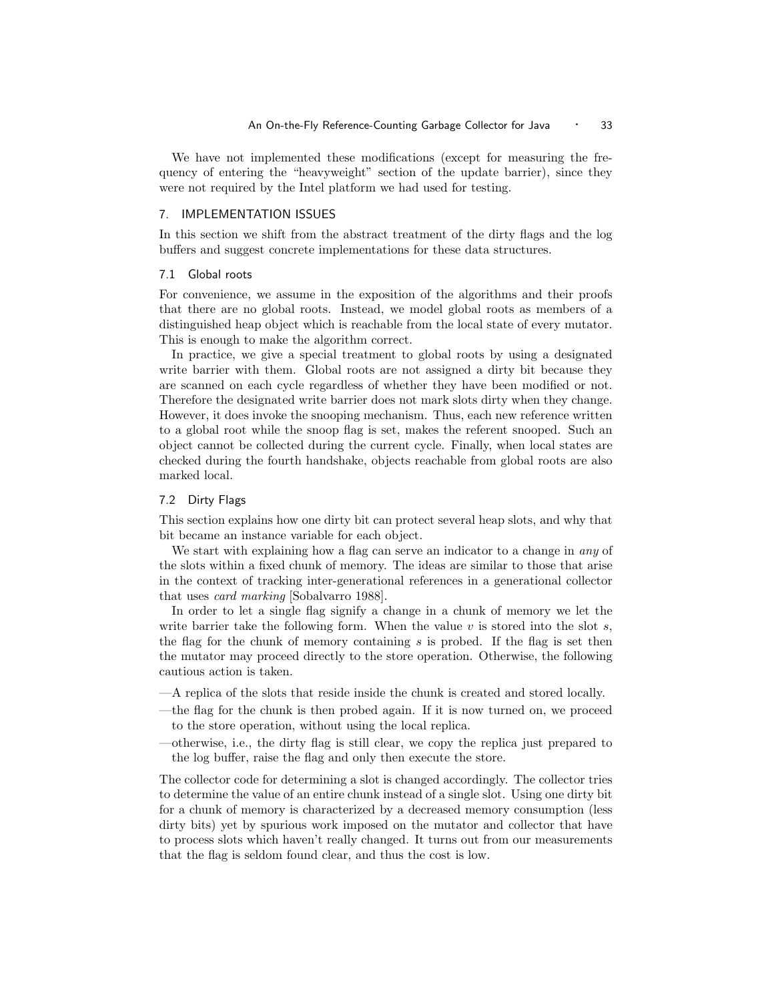We have not implemented these modifications (except for measuring the frequency of entering the "heavyweight" section of the update barrier), since they were not required by the Intel platform we had used for testing.

## 7. IMPLEMENTATION ISSUES

In this section we shift from the abstract treatment of the dirty flags and the log buffers and suggest concrete implementations for these data structures.

# 7.1 Global roots

For convenience, we assume in the exposition of the algorithms and their proofs that there are no global roots. Instead, we model global roots as members of a distinguished heap object which is reachable from the local state of every mutator. This is enough to make the algorithm correct.

In practice, we give a special treatment to global roots by using a designated write barrier with them. Global roots are not assigned a dirty bit because they are scanned on each cycle regardless of whether they have been modified or not. Therefore the designated write barrier does not mark slots dirty when they change. However, it does invoke the snooping mechanism. Thus, each new reference written to a global root while the snoop flag is set, makes the referent snooped. Such an object cannot be collected during the current cycle. Finally, when local states are checked during the fourth handshake, objects reachable from global roots are also marked local.

# 7.2 Dirty Flags

This section explains how one dirty bit can protect several heap slots, and why that bit became an instance variable for each object.

We start with explaining how a flag can serve an indicator to a change in *any* of the slots within a fixed chunk of memory. The ideas are similar to those that arise in the context of tracking inter-generational references in a generational collector that uses card marking [Sobalvarro 1988].

In order to let a single flag signify a change in a chunk of memory we let the write barrier take the following form. When the value  $v$  is stored into the slot  $s$ , the flag for the chunk of memory containing  $s$  is probed. If the flag is set then the mutator may proceed directly to the store operation. Otherwise, the following cautious action is taken.

- —A replica of the slots that reside inside the chunk is created and stored locally.
- —the flag for the chunk is then probed again. If it is now turned on, we proceed to the store operation, without using the local replica.
- —otherwise, i.e., the dirty flag is still clear, we copy the replica just prepared to the log buffer, raise the flag and only then execute the store.

The collector code for determining a slot is changed accordingly. The collector tries to determine the value of an entire chunk instead of a single slot. Using one dirty bit for a chunk of memory is characterized by a decreased memory consumption (less dirty bits) yet by spurious work imposed on the mutator and collector that have to process slots which haven't really changed. It turns out from our measurements that the flag is seldom found clear, and thus the cost is low.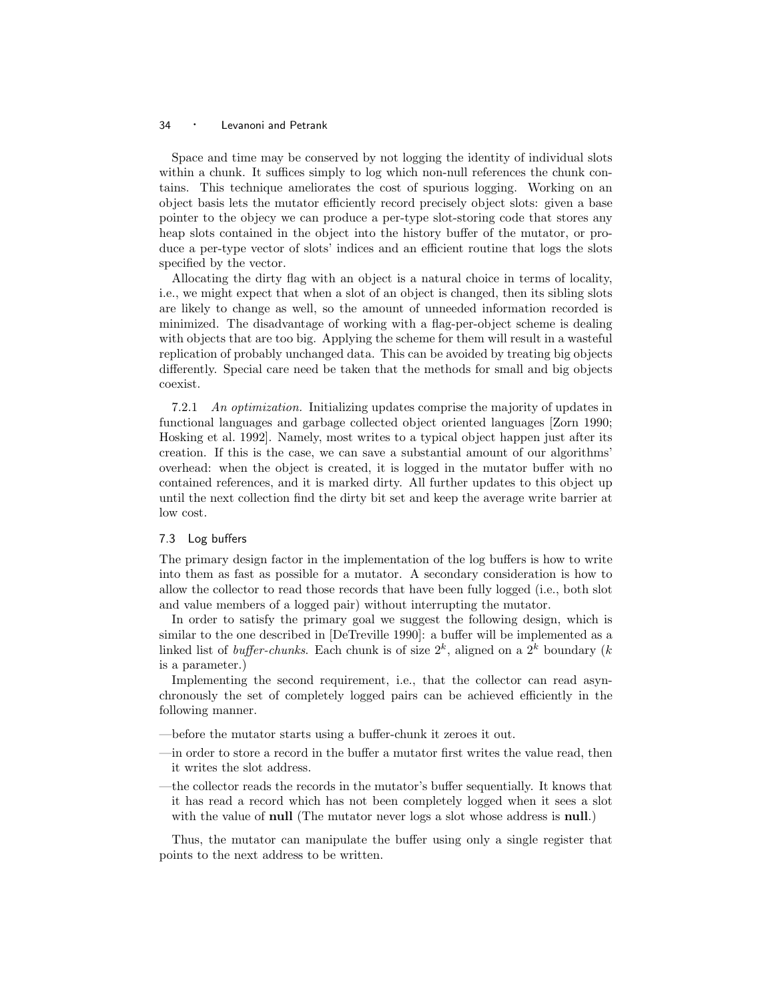Space and time may be conserved by not logging the identity of individual slots within a chunk. It suffices simply to log which non-null references the chunk contains. This technique ameliorates the cost of spurious logging. Working on an object basis lets the mutator efficiently record precisely object slots: given a base pointer to the objecy we can produce a per-type slot-storing code that stores any heap slots contained in the object into the history buffer of the mutator, or produce a per-type vector of slots' indices and an efficient routine that logs the slots specified by the vector.

Allocating the dirty flag with an object is a natural choice in terms of locality, i.e., we might expect that when a slot of an object is changed, then its sibling slots are likely to change as well, so the amount of unneeded information recorded is minimized. The disadvantage of working with a flag-per-object scheme is dealing with objects that are too big. Applying the scheme for them will result in a wasteful replication of probably unchanged data. This can be avoided by treating big objects differently. Special care need be taken that the methods for small and big objects coexist.

7.2.1 An optimization. Initializing updates comprise the majority of updates in functional languages and garbage collected object oriented languages [Zorn 1990; Hosking et al. 1992]. Namely, most writes to a typical object happen just after its creation. If this is the case, we can save a substantial amount of our algorithms' overhead: when the object is created, it is logged in the mutator buffer with no contained references, and it is marked dirty. All further updates to this object up until the next collection find the dirty bit set and keep the average write barrier at low cost.

#### 7.3 Log buffers

The primary design factor in the implementation of the log buffers is how to write into them as fast as possible for a mutator. A secondary consideration is how to allow the collector to read those records that have been fully logged (i.e., both slot and value members of a logged pair) without interrupting the mutator.

In order to satisfy the primary goal we suggest the following design, which is similar to the one described in [DeTreville 1990]: a buffer will be implemented as a linked list of *buffer-chunks*. Each chunk is of size  $2^k$ , aligned on a  $2^k$  boundary (k is a parameter.)

Implementing the second requirement, i.e., that the collector can read asynchronously the set of completely logged pairs can be achieved efficiently in the following manner.

- —before the mutator starts using a buffer-chunk it zeroes it out.
- —in order to store a record in the buffer a mutator first writes the value read, then it writes the slot address.
- —the collector reads the records in the mutator's buffer sequentially. It knows that it has read a record which has not been completely logged when it sees a slot with the value of **null** (The mutator never logs a slot whose address is **null**.)

Thus, the mutator can manipulate the buffer using only a single register that points to the next address to be written.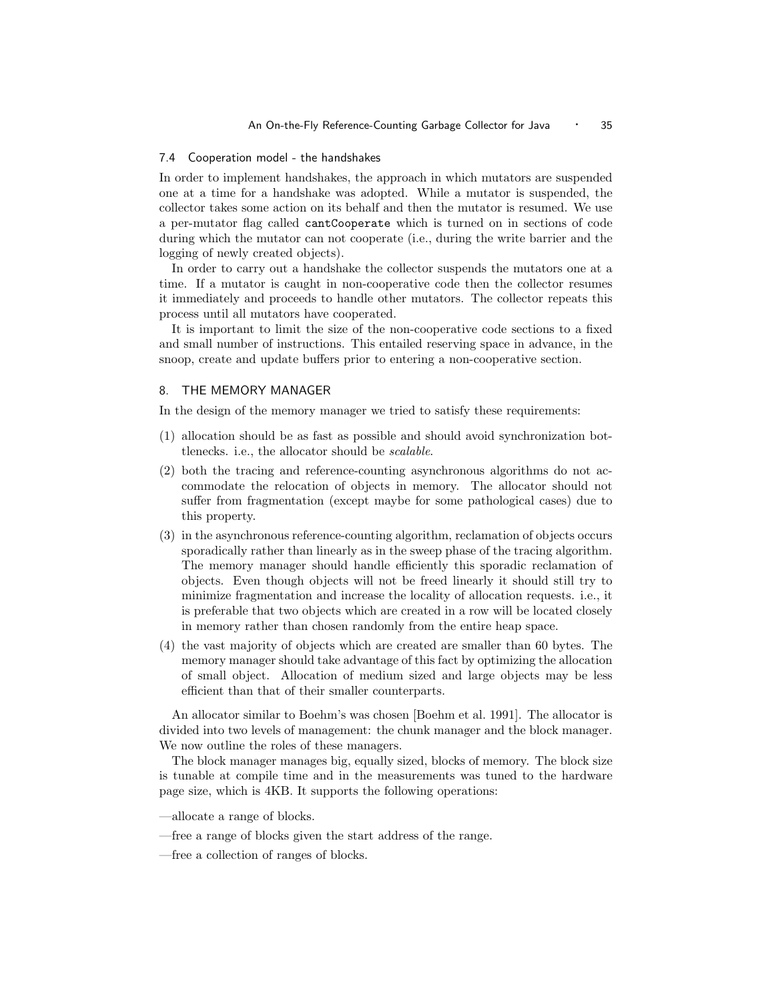# 7.4 Cooperation model - the handshakes

In order to implement handshakes, the approach in which mutators are suspended one at a time for a handshake was adopted. While a mutator is suspended, the collector takes some action on its behalf and then the mutator is resumed. We use a per-mutator flag called cantCooperate which is turned on in sections of code during which the mutator can not cooperate (i.e., during the write barrier and the logging of newly created objects).

In order to carry out a handshake the collector suspends the mutators one at a time. If a mutator is caught in non-cooperative code then the collector resumes it immediately and proceeds to handle other mutators. The collector repeats this process until all mutators have cooperated.

It is important to limit the size of the non-cooperative code sections to a fixed and small number of instructions. This entailed reserving space in advance, in the snoop, create and update buffers prior to entering a non-cooperative section.

# 8. THE MEMORY MANAGER

In the design of the memory manager we tried to satisfy these requirements:

- (1) allocation should be as fast as possible and should avoid synchronization bottlenecks. i.e., the allocator should be scalable.
- (2) both the tracing and reference-counting asynchronous algorithms do not accommodate the relocation of objects in memory. The allocator should not suffer from fragmentation (except maybe for some pathological cases) due to this property.
- (3) in the asynchronous reference-counting algorithm, reclamation of objects occurs sporadically rather than linearly as in the sweep phase of the tracing algorithm. The memory manager should handle efficiently this sporadic reclamation of objects. Even though objects will not be freed linearly it should still try to minimize fragmentation and increase the locality of allocation requests. i.e., it is preferable that two objects which are created in a row will be located closely in memory rather than chosen randomly from the entire heap space.
- (4) the vast majority of objects which are created are smaller than 60 bytes. The memory manager should take advantage of this fact by optimizing the allocation of small object. Allocation of medium sized and large objects may be less efficient than that of their smaller counterparts.

An allocator similar to Boehm's was chosen [Boehm et al. 1991]. The allocator is divided into two levels of management: the chunk manager and the block manager. We now outline the roles of these managers.

The block manager manages big, equally sized, blocks of memory. The block size is tunable at compile time and in the measurements was tuned to the hardware page size, which is 4KB. It supports the following operations:

—allocate a range of blocks.

- —free a range of blocks given the start address of the range.
- —free a collection of ranges of blocks.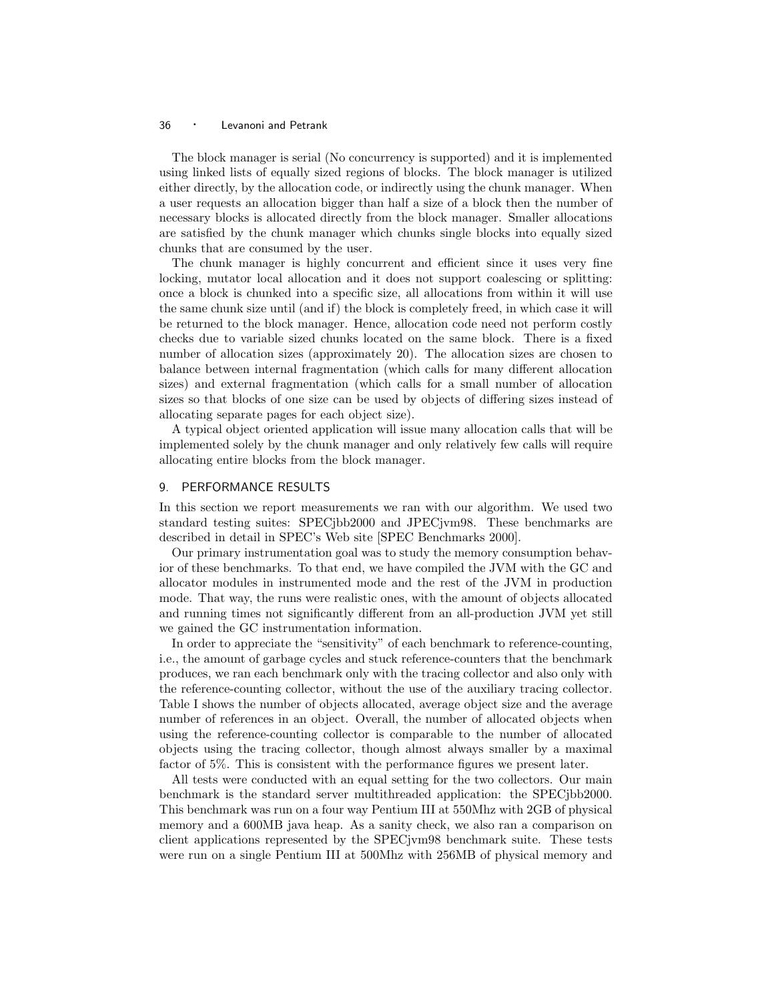The block manager is serial (No concurrency is supported) and it is implemented using linked lists of equally sized regions of blocks. The block manager is utilized either directly, by the allocation code, or indirectly using the chunk manager. When a user requests an allocation bigger than half a size of a block then the number of necessary blocks is allocated directly from the block manager. Smaller allocations are satisfied by the chunk manager which chunks single blocks into equally sized chunks that are consumed by the user.

The chunk manager is highly concurrent and efficient since it uses very fine locking, mutator local allocation and it does not support coalescing or splitting: once a block is chunked into a specific size, all allocations from within it will use the same chunk size until (and if) the block is completely freed, in which case it will be returned to the block manager. Hence, allocation code need not perform costly checks due to variable sized chunks located on the same block. There is a fixed number of allocation sizes (approximately 20). The allocation sizes are chosen to balance between internal fragmentation (which calls for many different allocation sizes) and external fragmentation (which calls for a small number of allocation sizes so that blocks of one size can be used by objects of differing sizes instead of allocating separate pages for each object size).

A typical object oriented application will issue many allocation calls that will be implemented solely by the chunk manager and only relatively few calls will require allocating entire blocks from the block manager.

# 9. PERFORMANCE RESULTS

In this section we report measurements we ran with our algorithm. We used two standard testing suites: SPECjbb2000 and JPECjvm98. These benchmarks are described in detail in SPEC's Web site [SPEC Benchmarks 2000].

Our primary instrumentation goal was to study the memory consumption behavior of these benchmarks. To that end, we have compiled the JVM with the GC and allocator modules in instrumented mode and the rest of the JVM in production mode. That way, the runs were realistic ones, with the amount of objects allocated and running times not significantly different from an all-production JVM yet still we gained the GC instrumentation information.

In order to appreciate the "sensitivity" of each benchmark to reference-counting, i.e., the amount of garbage cycles and stuck reference-counters that the benchmark produces, we ran each benchmark only with the tracing collector and also only with the reference-counting collector, without the use of the auxiliary tracing collector. Table I shows the number of objects allocated, average object size and the average number of references in an object. Overall, the number of allocated objects when using the reference-counting collector is comparable to the number of allocated objects using the tracing collector, though almost always smaller by a maximal factor of 5%. This is consistent with the performance figures we present later.

All tests were conducted with an equal setting for the two collectors. Our main benchmark is the standard server multithreaded application: the SPECjbb2000. This benchmark was run on a four way Pentium III at 550Mhz with 2GB of physical memory and a 600MB java heap. As a sanity check, we also ran a comparison on client applications represented by the SPECjvm98 benchmark suite. These tests were run on a single Pentium III at 500Mhz with 256MB of physical memory and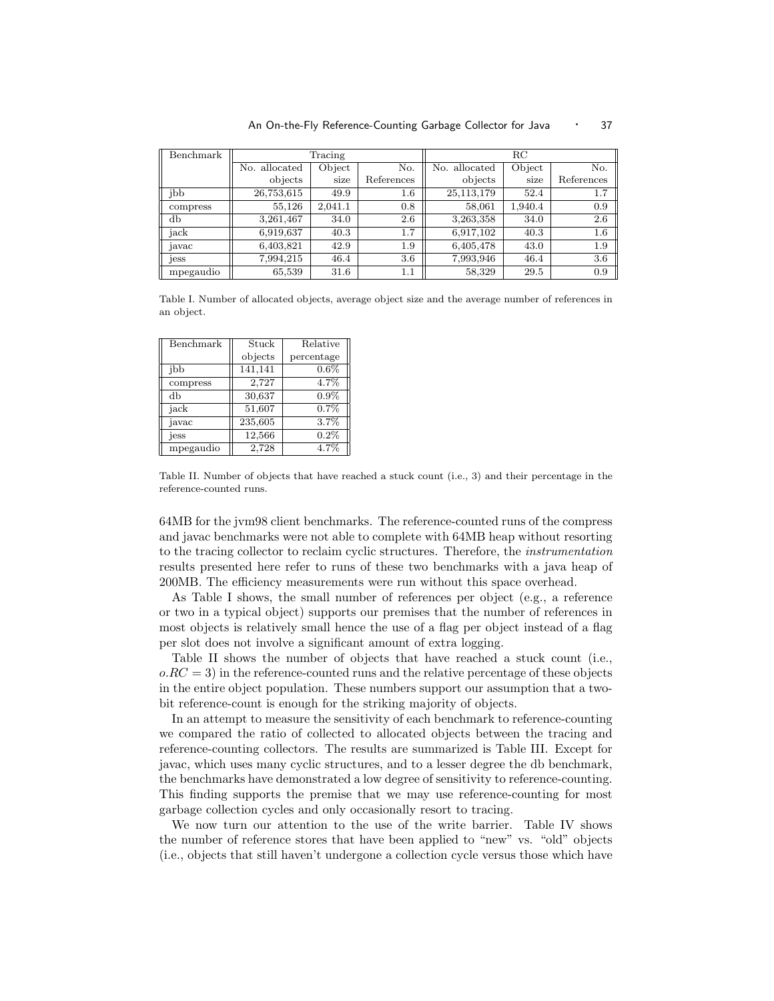| Benchmark | Tracing       |         |            |               | $_{\rm RC}$ |            |
|-----------|---------------|---------|------------|---------------|-------------|------------|
|           | No. allocated | Object  | No.        | No. allocated | Object      | No.        |
|           | objects       | size    | References | objects       | size        | References |
| jbb       | 26,753,615    | 49.9    | 1.6        | 25,113,179    | 52.4        | $1.7\,$    |
| compress  | 55,126        | 2,041.1 | 0.8        | 58,061        | 1,940.4     | 0.9        |
| db        | 3,261,467     | 34.0    | 2.6        | 3,263,358     | 34.0        | 2.6        |
| jack      | 6,919,637     | 40.3    | 1.7        | 6,917,102     | 40.3        | 1.6        |
| javac     | 6,403,821     | 42.9    | 1.9        | 6,405,478     | 43.0        | 1.9        |
| jess      | 7,994,215     | 46.4    | 3.6        | 7,993,946     | 46.4        | 3.6        |
| mpegaudio | 65,539        | 31.6    | 1.1        | 58,329        | 29.5        | 0.9        |

An On-the-Fly Reference-Counting Garbage Collector for Java • 37

Table I. Number of allocated objects, average object size and the average number of references in an object.

| Benchmark | Stuck   | Relative   |
|-----------|---------|------------|
|           | objects | percentage |
| jbb       | 141,141 | 0.6%       |
| compress  | 2,727   | 4.7%       |
| db        | 30,637  | $0.9\%$    |
| jack      | 51,607  | 0.7%       |
| javac     | 235,605 | 3.7%       |
| jess      | 12,566  | 0.2%       |
| mpegaudio | 2,728   | 4.7%       |

Table II. Number of objects that have reached a stuck count (i.e., 3) and their percentage in the reference-counted runs.

64MB for the jvm98 client benchmarks. The reference-counted runs of the compress and javac benchmarks were not able to complete with 64MB heap without resorting to the tracing collector to reclaim cyclic structures. Therefore, the instrumentation results presented here refer to runs of these two benchmarks with a java heap of 200MB. The efficiency measurements were run without this space overhead.

As Table I shows, the small number of references per object (e.g., a reference or two in a typical object) supports our premises that the number of references in most objects is relatively small hence the use of a flag per object instead of a flag per slot does not involve a significant amount of extra logging.

Table II shows the number of objects that have reached a stuck count (i.e.,  $o.RC = 3$ ) in the reference-counted runs and the relative percentage of these objects in the entire object population. These numbers support our assumption that a twobit reference-count is enough for the striking majority of objects.

In an attempt to measure the sensitivity of each benchmark to reference-counting we compared the ratio of collected to allocated objects between the tracing and reference-counting collectors. The results are summarized is Table III. Except for javac, which uses many cyclic structures, and to a lesser degree the db benchmark, the benchmarks have demonstrated a low degree of sensitivity to reference-counting. This finding supports the premise that we may use reference-counting for most garbage collection cycles and only occasionally resort to tracing.

We now turn our attention to the use of the write barrier. Table IV shows the number of reference stores that have been applied to "new" vs. "old" objects (i.e., objects that still haven't undergone a collection cycle versus those which have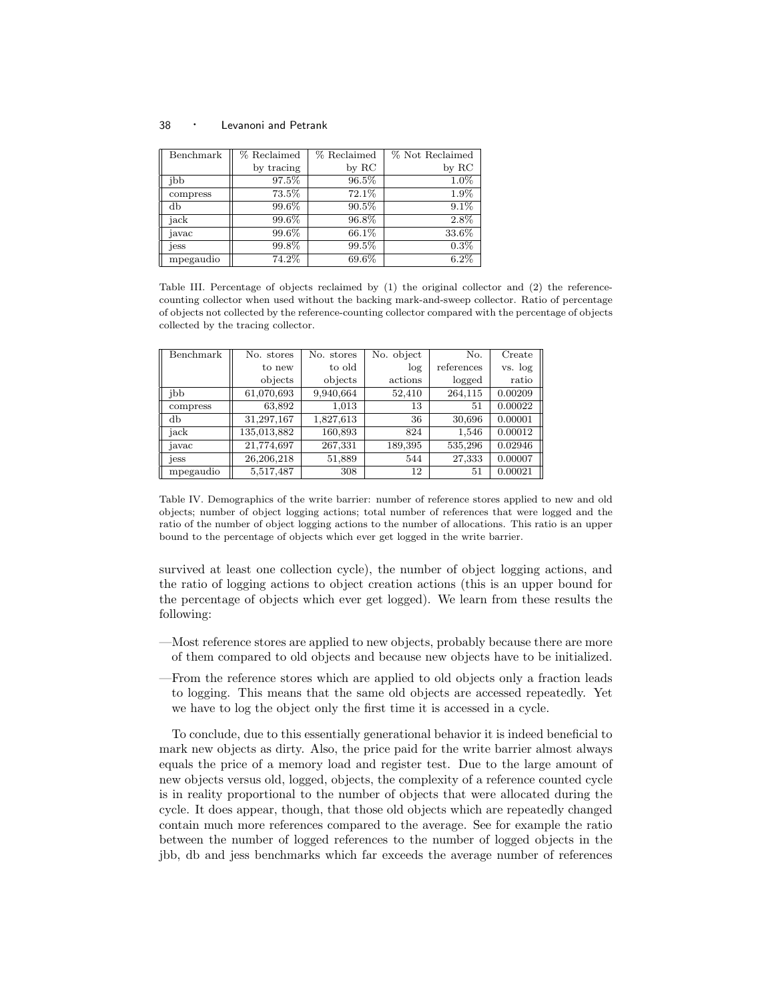| Benchmark | % Reclaimed | % Reclaimed | % Not Reclaimed |
|-----------|-------------|-------------|-----------------|
|           | by tracing  | by RC       | by RC           |
| jbb       | 97.5%       | 96.5%       | $1.0\%$         |
| compress  | 73.5%       | 72.1%       | 1.9%            |
| db        | 99.6%       | 90.5%       | $9.1\%$         |
| jack      | 99.6%       | 96.8%       | 2.8%            |
| javac     | 99.6%       | 66.1%       | 33.6%           |
| jess      | 99.8%       | 99.5%       | 0.3%            |
| mpegaudio | 74.2%       | 69.6%       | $6.2\%$         |

Table III. Percentage of objects reclaimed by (1) the original collector and (2) the referencecounting collector when used without the backing mark-and-sweep collector. Ratio of percentage of objects not collected by the reference-counting collector compared with the percentage of objects collected by the tracing collector.

| Benchmark | No. stores  | No. stores | No. object | No.        | Create  |
|-----------|-------------|------------|------------|------------|---------|
|           | to new      | to old     | log        | references | vs. log |
|           | objects     | objects    | actions    | logged     | ratio   |
| jbb       | 61,070,693  | 9,940,664  | 52,410     | 264,115    | 0.00209 |
| compress  | 63,892      | 1,013      | 13         | 51         | 0.00022 |
| db        | 31,297,167  | 1,827,613  | 36         | 30,696     | 0.00001 |
| jack      | 135,013,882 | 160,893    | 824        | 1,546      | 0.00012 |
| javac     | 21,774,697  | 267,331    | 189,395    | 535,296    | 0.02946 |
| jess      | 26,206,218  | 51,889     | 544        | 27,333     | 0.00007 |
| mpegaudio | 5,517,487   | 308        | 12         | 51         | 0.00021 |

Table IV. Demographics of the write barrier: number of reference stores applied to new and old objects; number of object logging actions; total number of references that were logged and the ratio of the number of object logging actions to the number of allocations. This ratio is an upper bound to the percentage of objects which ever get logged in the write barrier.

survived at least one collection cycle), the number of object logging actions, and the ratio of logging actions to object creation actions (this is an upper bound for the percentage of objects which ever get logged). We learn from these results the following:

- —Most reference stores are applied to new objects, probably because there are more of them compared to old objects and because new objects have to be initialized.
- —From the reference stores which are applied to old objects only a fraction leads to logging. This means that the same old objects are accessed repeatedly. Yet we have to log the object only the first time it is accessed in a cycle.

To conclude, due to this essentially generational behavior it is indeed beneficial to mark new objects as dirty. Also, the price paid for the write barrier almost always equals the price of a memory load and register test. Due to the large amount of new objects versus old, logged, objects, the complexity of a reference counted cycle is in reality proportional to the number of objects that were allocated during the cycle. It does appear, though, that those old objects which are repeatedly changed contain much more references compared to the average. See for example the ratio between the number of logged references to the number of logged objects in the jbb, db and jess benchmarks which far exceeds the average number of references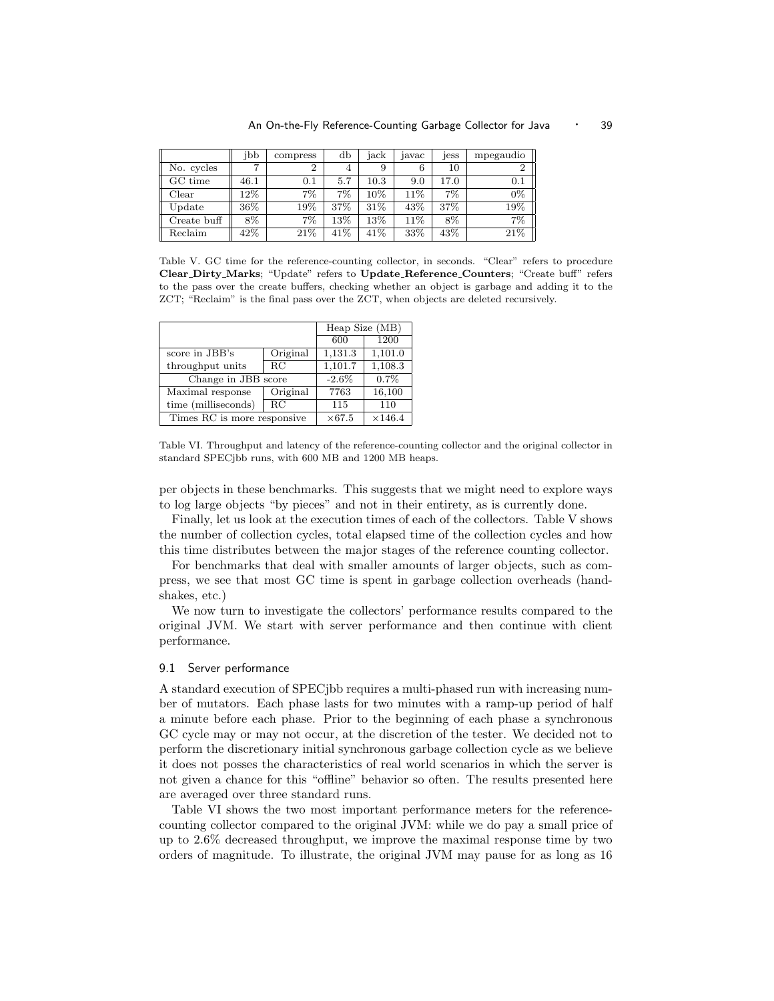| An On-the-Fly Reference-Counting Garbage Collector for Java |  | 39 |
|-------------------------------------------------------------|--|----|

|             | ibb    | compress | db     | jack     | javac | 1ess  | mpegaudio |
|-------------|--------|----------|--------|----------|-------|-------|-----------|
| No. cycles  |        | 2        | 4      | 9        | 6     | 10    |           |
| GC time     | 46.1   | 0.1      | 5.7    | $10.3\,$ | 9.0   | 17.0  | 0.1       |
| Clear       | $12\%$ | $7\%$    | $7\%$  | $10\%$   | 11%   | $7\%$ | $0\%$     |
| Update      | $36\%$ | $19\%$   | 37%    | 31%      | 43%   | 37%   | 19%       |
| Create buff | 8%     | 7%       | $13\%$ | $13\%$   | 11%   | $8\%$ | 7%        |
| Reclaim     | 42%    | 21%      | 41\%   | 41\%     | 33%   | 43%   | 21%       |

Table V. GC time for the reference-counting collector, in seconds. "Clear" refers to procedure Clear Dirty Marks; "Update" refers to Update Reference Counters; "Create buff" refers to the pass over the create buffers, checking whether an object is garbage and adding it to the ZCT; "Reclaim" is the final pass over the ZCT, when objects are deleted recursively.

|                              | Heap Size (MB) |                |         |
|------------------------------|----------------|----------------|---------|
|                              |                | 600            | 1200    |
| score in JBB's               | Original       | 1,131.3        | 1,101.0 |
| throughput units             | $_{\rm RC}$    | 1,101.7        | 1,108.3 |
| Change in JBB score          |                | $-2.6\%$       | 0.7%    |
| Maximal response             | Original       | 7763           | 16,100  |
| time (milliseconds)          | RC             | 115            | 110     |
| Times RC is more responsive. | $\times 67.5$  | $\times 146.4$ |         |

Table VI. Throughput and latency of the reference-counting collector and the original collector in standard SPECjbb runs, with 600 MB and 1200 MB heaps.

per objects in these benchmarks. This suggests that we might need to explore ways to log large objects "by pieces" and not in their entirety, as is currently done.

Finally, let us look at the execution times of each of the collectors. Table V shows the number of collection cycles, total elapsed time of the collection cycles and how this time distributes between the major stages of the reference counting collector.

For benchmarks that deal with smaller amounts of larger objects, such as compress, we see that most GC time is spent in garbage collection overheads (handshakes, etc.)

We now turn to investigate the collectors' performance results compared to the original JVM. We start with server performance and then continue with client performance.

#### 9.1 Server performance

A standard execution of SPECjbb requires a multi-phased run with increasing number of mutators. Each phase lasts for two minutes with a ramp-up period of half a minute before each phase. Prior to the beginning of each phase a synchronous GC cycle may or may not occur, at the discretion of the tester. We decided not to perform the discretionary initial synchronous garbage collection cycle as we believe it does not posses the characteristics of real world scenarios in which the server is not given a chance for this "offline" behavior so often. The results presented here are averaged over three standard runs.

Table VI shows the two most important performance meters for the referencecounting collector compared to the original JVM: while we do pay a small price of up to 2.6% decreased throughput, we improve the maximal response time by two orders of magnitude. To illustrate, the original JVM may pause for as long as 16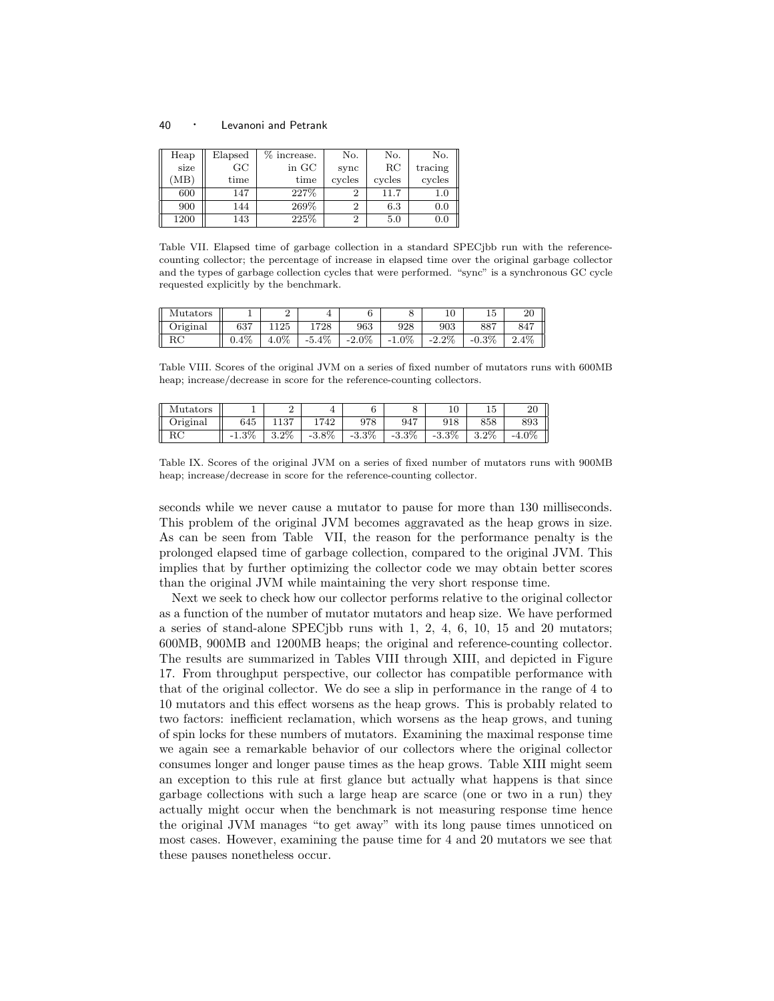| Heap | Elapsed | $%$ increase. | No.    | No.         | No.     |
|------|---------|---------------|--------|-------------|---------|
| size | GC      | in GC         | sync   | $_{\rm RC}$ | tracing |
| 'MB` | time    | time          | cycles | cycles      | cycles  |
| 600  | 147     | 227\%         |        | 11.7        | $1.0\,$ |
| 900  | 144     | 269\%         |        | 6.3         | 0.0     |
| 1200 | 143     | 225\%         |        | 5.0         | 0.0     |

Table VII. Elapsed time of garbage collection in a standard SPECjbb run with the referencecounting collector; the percentage of increase in elapsed time over the original garbage collector and the types of garbage collection cycles that were performed. "sync" is a synchronous GC cycle requested explicitly by the benchmark.

| Mutators             |      |         |          |          |                   |          |          | $20\,$  |
|----------------------|------|---------|----------|----------|-------------------|----------|----------|---------|
| $\parallel$ Original | 637  | 1125    | 1728     | 963      | 928               | 903      | 887      | 847     |
| $\parallel$ RC       | 0.4% | $4.0\%$ | $-5.4\%$ | $-2.0\%$ | $^{\prime}$ -1.0% | $-2.2\%$ | $-0.3\%$ | $2.4\%$ |

Table VIII. Scores of the original JVM on a series of fixed number of mutators runs with 600MB heap; increase/decrease in score for the reference-counting collectors.

| Mutators |           |      |         |         |         |          | $-$<br>ŦΩ | 20                |
|----------|-----------|------|---------|---------|---------|----------|-----------|-------------------|
| Original | 645       | 137  | .742    | 978     | 947     | 918      | 858       | 893               |
| RC       | 1.3%<br>- | 3.2% | $-3.8%$ | $-3.3%$ | $-3.3%$ | $-3.3\%$ | 3.2%      | $0\%$<br>$-4.0$ . |

Table IX. Scores of the original JVM on a series of fixed number of mutators runs with 900MB heap; increase/decrease in score for the reference-counting collector.

seconds while we never cause a mutator to pause for more than 130 milliseconds. This problem of the original JVM becomes aggravated as the heap grows in size. As can be seen from Table VII, the reason for the performance penalty is the prolonged elapsed time of garbage collection, compared to the original JVM. This implies that by further optimizing the collector code we may obtain better scores than the original JVM while maintaining the very short response time.

Next we seek to check how our collector performs relative to the original collector as a function of the number of mutator mutators and heap size. We have performed a series of stand-alone SPECjbb runs with 1, 2, 4, 6, 10, 15 and 20 mutators; 600MB, 900MB and 1200MB heaps; the original and reference-counting collector. The results are summarized in Tables VIII through XIII, and depicted in Figure 17. From throughput perspective, our collector has compatible performance with that of the original collector. We do see a slip in performance in the range of 4 to 10 mutators and this effect worsens as the heap grows. This is probably related to two factors: inefficient reclamation, which worsens as the heap grows, and tuning of spin locks for these numbers of mutators. Examining the maximal response time we again see a remarkable behavior of our collectors where the original collector consumes longer and longer pause times as the heap grows. Table XIII might seem an exception to this rule at first glance but actually what happens is that since garbage collections with such a large heap are scarce (one or two in a run) they actually might occur when the benchmark is not measuring response time hence the original JVM manages "to get away" with its long pause times unnoticed on most cases. However, examining the pause time for 4 and 20 mutators we see that these pauses nonetheless occur.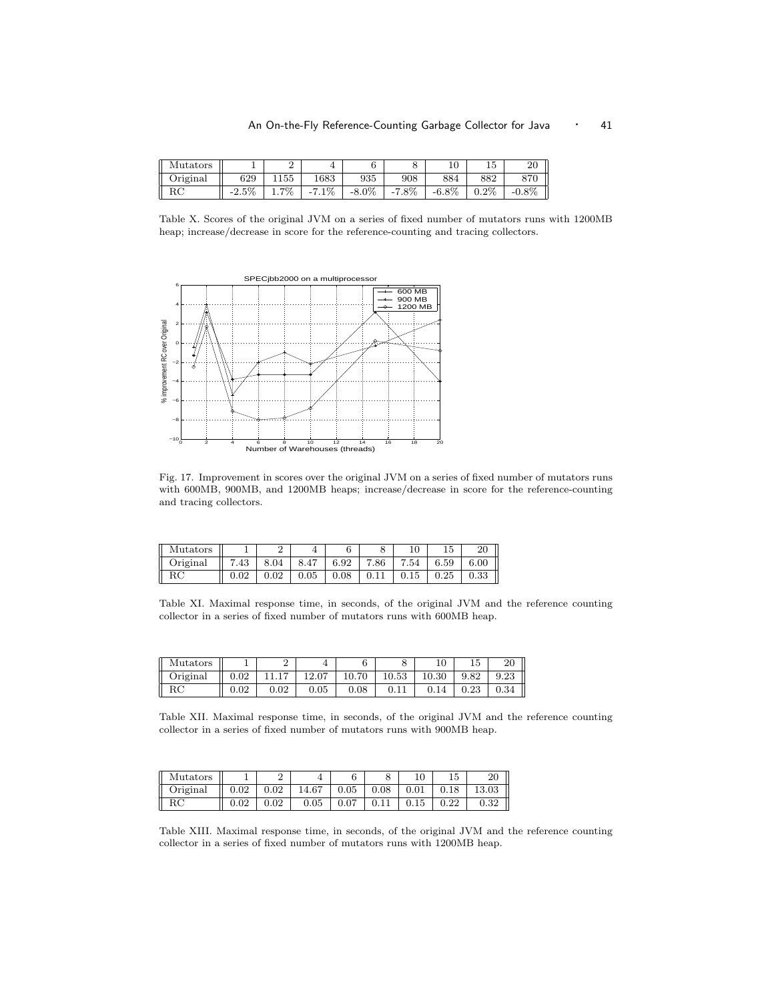| Mutators |         | ∸   |                          |          |                               |          | -<br>ΙU | $^{20}$  |
|----------|---------|-----|--------------------------|----------|-------------------------------|----------|---------|----------|
| Orıgınal | 629     | 155 | 1683                     | 935      | 908                           | 884      | 882     | 870      |
| 1 V V    | $-2.5%$ | 7%  | 107<br>⇁<br>1.170<br>- 1 | $-8.0\%$ | '.8%<br>$\overline{ }$<br>- 1 | $-6.8\%$ | 0.2%    | $-0.8\%$ |

Table X. Scores of the original JVM on a series of fixed number of mutators runs with 1200MB heap; increase/decrease in score for the reference-counting and tracing collectors.



Fig. 17. Improvement in scores over the original JVM on a series of fixed number of mutators runs with 600MB, 900MB, and 1200MB heaps; increase/decrease in score for the reference-counting and tracing collectors.

| <b>Mutators</b> |      |      |      |      |      |      |      |      |
|-----------------|------|------|------|------|------|------|------|------|
| Original        | 7.43 | 8.04 | 8.47 | 6.92 | 7.86 | 7.54 | 6.59 | 6.00 |
| RC              | 0.02 | 0.02 | 0.05 | 0.08 | 0.11 | 0.15 | 0.25 | 0.33 |

Table XI. Maximal response time, in seconds, of the original JVM and the reference counting collector in a series of fixed number of mutators runs with 600MB heap.

| Mutators |      |      |       |           |       |       |      |      |
|----------|------|------|-------|-----------|-------|-------|------|------|
| Original | 0.02 |      | 12.07 | 10.70     | 10.53 | 10.30 | 9.82 | 9.23 |
| RC       | 0.02 | 0.02 | 0.05  | $_{0.08}$ | v. 11 | 0.14  | 0.23 | 0.34 |

Table XII. Maximal response time, in seconds, of the original JVM and the reference counting collector in a series of fixed number of mutators runs with 900MB heap.

| <b>Mutators</b> |            | ົ<br>∸ |       |      |      | $10\,$ |      |           |
|-----------------|------------|--------|-------|------|------|--------|------|-----------|
| Original        | 0.02       | 0.02   | 14.67 | 0.05 | 0.08 | 0.01   | 0.18 | 13.03     |
|                 | $\rm 0.02$ | 0.02   | 0.05  | 0.07 | 0.11 | 0.15   | 0.22 | $_{0.32}$ |

Table XIII. Maximal response time, in seconds, of the original JVM and the reference counting collector in a series of fixed number of mutators runs with 1200MB heap.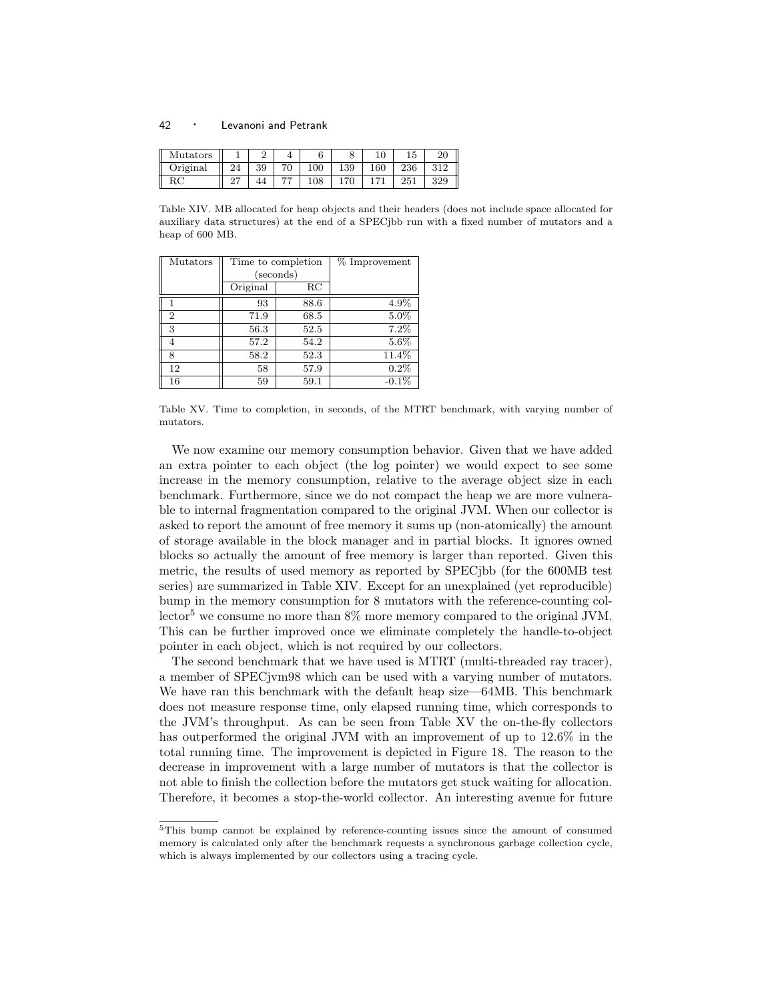| Mutators |                     |    |     |          |     | '.0 |     |     |
|----------|---------------------|----|-----|----------|-----|-----|-----|-----|
| )riginal | $\bigcap$ $\bigcap$ | 39 |     | $_{100}$ | 139 | 160 | 236 |     |
| ⊥∪∟      | $\sim$ $-$          |    | $-$ | 108      |     |     |     | 329 |

Table XIV. MB allocated for heap objects and their headers (does not include space allocated for auxiliary data structures) at the end of a SPECjbb run with a fixed number of mutators and a heap of 600 MB.

| Mutators       |                         | Time to completion | $%$ Improvement |
|----------------|-------------------------|--------------------|-----------------|
|                |                         | (seconds)          |                 |
|                | Original<br>$_{\rm RC}$ |                    |                 |
|                | 93                      | 88.6               | 4.9%            |
| $\overline{2}$ | 71.9                    | 68.5               | $5.0\%$         |
| 3              | 56.3                    | 52.5               | 7.2%            |
| 4              | 57.2                    | 54.2               | 5.6%            |
| 8              | 58.2                    | 52.3               | 11.4%           |
| 12             | 58                      | 57.9               | 0.2%            |
| 16             | 59                      | 59.1               | $-0.1\%$        |

Table XV. Time to completion, in seconds, of the MTRT benchmark, with varying number of mutators.

We now examine our memory consumption behavior. Given that we have added an extra pointer to each object (the log pointer) we would expect to see some increase in the memory consumption, relative to the average object size in each benchmark. Furthermore, since we do not compact the heap we are more vulnerable to internal fragmentation compared to the original JVM. When our collector is asked to report the amount of free memory it sums up (non-atomically) the amount of storage available in the block manager and in partial blocks. It ignores owned blocks so actually the amount of free memory is larger than reported. Given this metric, the results of used memory as reported by SPECjbb (for the 600MB test series) are summarized in Table XIV. Except for an unexplained (yet reproducible) bump in the memory consumption for 8 mutators with the reference-counting collector<sup>5</sup> we consume no more than  $8\%$  more memory compared to the original JVM. This can be further improved once we eliminate completely the handle-to-object pointer in each object, which is not required by our collectors.

The second benchmark that we have used is MTRT (multi-threaded ray tracer), a member of SPECjvm98 which can be used with a varying number of mutators. We have ran this benchmark with the default heap size—64MB. This benchmark does not measure response time, only elapsed running time, which corresponds to the JVM's throughput. As can be seen from Table XV the on-the-fly collectors has outperformed the original JVM with an improvement of up to 12.6% in the total running time. The improvement is depicted in Figure 18. The reason to the decrease in improvement with a large number of mutators is that the collector is not able to finish the collection before the mutators get stuck waiting for allocation. Therefore, it becomes a stop-the-world collector. An interesting avenue for future

<sup>5</sup>This bump cannot be explained by reference-counting issues since the amount of consumed memory is calculated only after the benchmark requests a synchronous garbage collection cycle, which is always implemented by our collectors using a tracing cycle.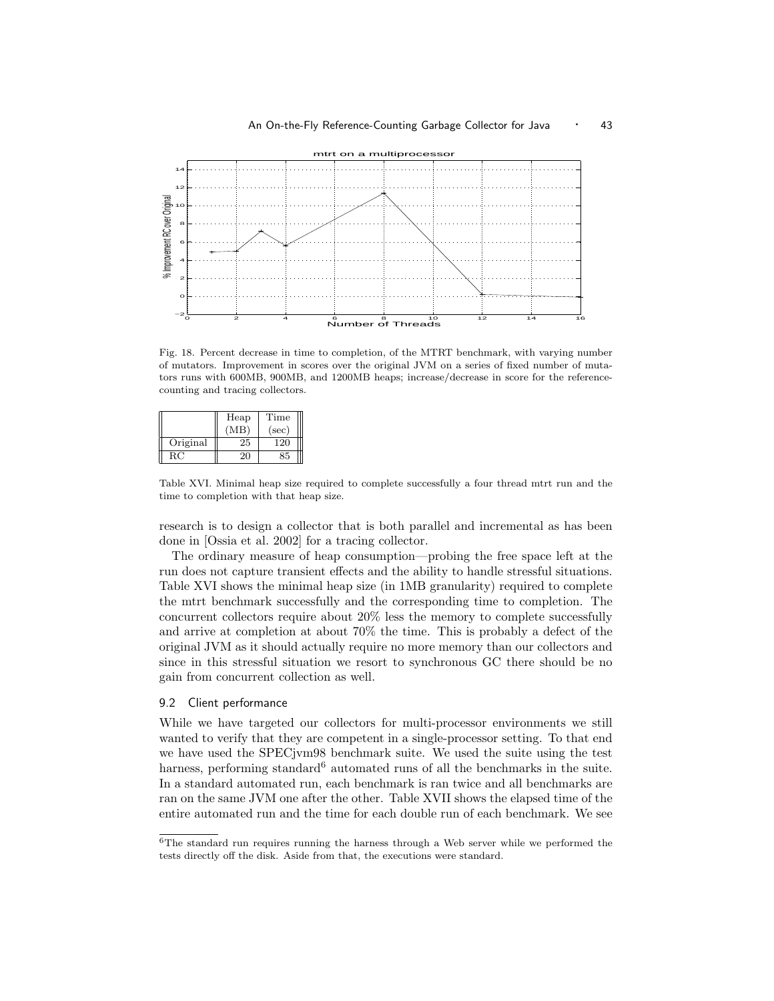

Fig. 18. Percent decrease in time to completion, of the MTRT benchmark, with varying number of mutators. Improvement in scores over the original JVM on a series of fixed number of mutators runs with 600MB, 900MB, and 1200MB heaps; increase/decrease in score for the referencecounting and tracing collectors.

|          | Heap<br>(MB) | Time<br>$(\sec)$ |
|----------|--------------|------------------|
| Original | 25           | 120              |
| RС       | 20           | 85               |

Table XVI. Minimal heap size required to complete successfully a four thread mtrt run and the time to completion with that heap size.

research is to design a collector that is both parallel and incremental as has been done in [Ossia et al. 2002] for a tracing collector.

The ordinary measure of heap consumption—probing the free space left at the run does not capture transient effects and the ability to handle stressful situations. Table XVI shows the minimal heap size (in 1MB granularity) required to complete the mtrt benchmark successfully and the corresponding time to completion. The concurrent collectors require about 20% less the memory to complete successfully and arrive at completion at about 70% the time. This is probably a defect of the original JVM as it should actually require no more memory than our collectors and since in this stressful situation we resort to synchronous GC there should be no gain from concurrent collection as well.

# 9.2 Client performance

While we have targeted our collectors for multi-processor environments we still wanted to verify that they are competent in a single-processor setting. To that end we have used the SPECjvm98 benchmark suite. We used the suite using the test harness, performing standard<sup>6</sup> automated runs of all the benchmarks in the suite. In a standard automated run, each benchmark is ran twice and all benchmarks are ran on the same JVM one after the other. Table XVII shows the elapsed time of the entire automated run and the time for each double run of each benchmark. We see

 $^6\mathrm{The}$  standard run requires running the harness through a Web server while we performed the tests directly off the disk. Aside from that, the executions were standard.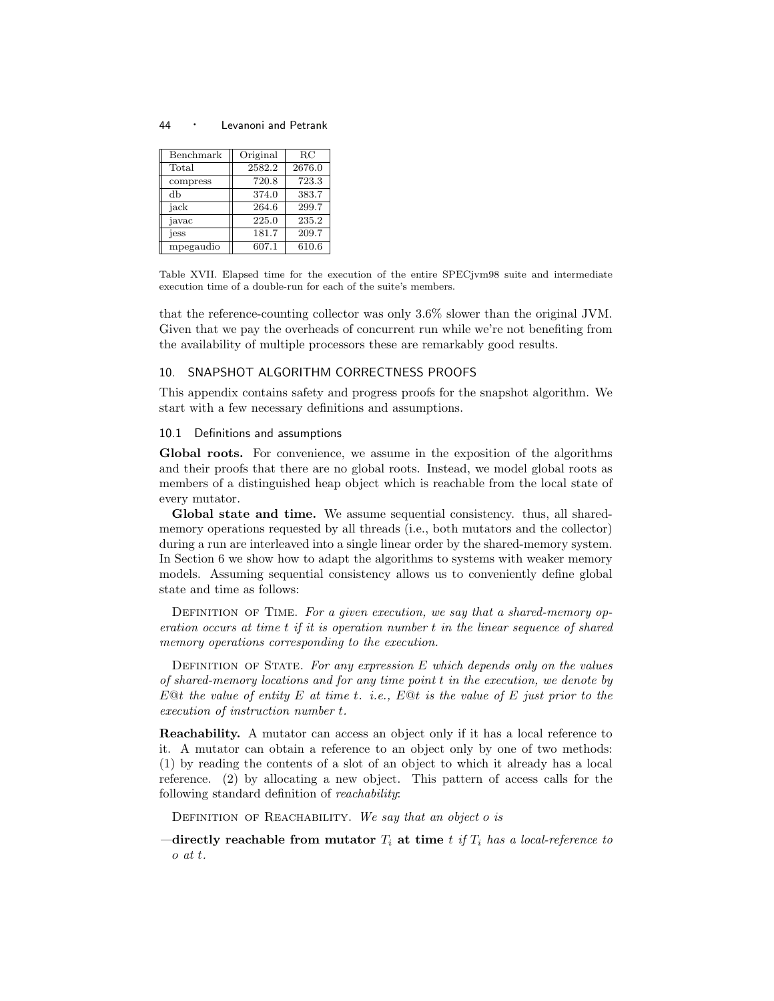| Benchmark | Original | RC     |
|-----------|----------|--------|
| Total     | 2582.2   | 2676.0 |
| compress  | 720.8    | 723.3  |
| db        | 374.0    | 383.7  |
| jack      | 264.6    | 299.7  |
| javac     | 225.0    | 235.2  |
| iess      | 181.7    | 209.7  |
| mpegaudio | 607.1    | 610.6  |

Table XVII. Elapsed time for the execution of the entire SPECjvm98 suite and intermediate execution time of a double-run for each of the suite's members.

that the reference-counting collector was only 3.6% slower than the original JVM. Given that we pay the overheads of concurrent run while we're not benefiting from the availability of multiple processors these are remarkably good results.

## 10. SNAPSHOT ALGORITHM CORRECTNESS PROOFS

This appendix contains safety and progress proofs for the snapshot algorithm. We start with a few necessary definitions and assumptions.

#### 10.1 Definitions and assumptions

Global roots. For convenience, we assume in the exposition of the algorithms and their proofs that there are no global roots. Instead, we model global roots as members of a distinguished heap object which is reachable from the local state of every mutator.

Global state and time. We assume sequential consistency. thus, all sharedmemory operations requested by all threads (i.e., both mutators and the collector) during a run are interleaved into a single linear order by the shared-memory system. In Section 6 we show how to adapt the algorithms to systems with weaker memory models. Assuming sequential consistency allows us to conveniently define global state and time as follows:

DEFINITION OF TIME. For a given execution, we say that a shared-memory operation occurs at time t if it is operation number t in the linear sequence of shared memory operations corresponding to the execution.

DEFINITION OF STATE. For any expression  $E$  which depends only on the values of shared-memory locations and for any time point t in the execution, we denote by  $E@t$  the value of entity E at time t. i.e.,  $E@t$  is the value of E just prior to the execution of instruction number t.

Reachability. A mutator can access an object only if it has a local reference to it. A mutator can obtain a reference to an object only by one of two methods: (1) by reading the contents of a slot of an object to which it already has a local reference. (2) by allocating a new object. This pattern of access calls for the following standard definition of reachability:

DEFINITION OF REACHABILITY. We say that an object  $o$  is

—directly reachable from mutator  $T_i$  at time t if  $T_i$  has a local-reference to o at t.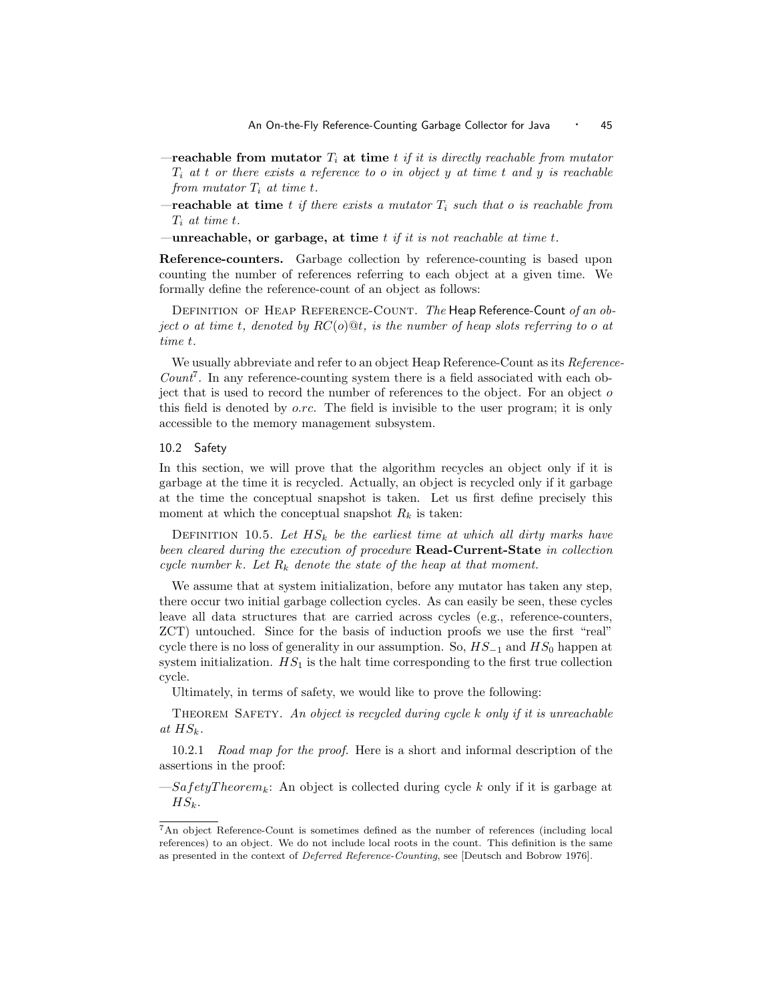- —reachable from mutator  $T_i$  at time t if it is directly reachable from mutator  $T_i$  at t or there exists a reference to o in object y at time t and y is reachable from mutator  $T_i$  at time t.
- **—reachable at time** t if there exists a mutator  $T_i$  such that o is reachable from  $T_i$  at time t.
- -unreachable, or garbage, at time  $t$  if it is not reachable at time  $t$ .

Reference-counters. Garbage collection by reference-counting is based upon counting the number of references referring to each object at a given time. We formally define the reference-count of an object as follows:

DEFINITION OF HEAP REFERENCE-COUNT. The Heap Reference-Count of an object o at time t, denoted by  $RC(o)@t$ , is the number of heap slots referring to o at time t.

We usually abbreviate and refer to an object Heap Reference-Count as its Reference- $Count<sup>7</sup>$ . In any reference-counting system there is a field associated with each object that is used to record the number of references to the object. For an object  $o$ this field is denoted by  $o.rc$ . The field is invisible to the user program; it is only accessible to the memory management subsystem.

# 10.2 Safety

In this section, we will prove that the algorithm recycles an object only if it is garbage at the time it is recycled. Actually, an object is recycled only if it garbage at the time the conceptual snapshot is taken. Let us first define precisely this moment at which the conceptual snapshot  $R_k$  is taken:

DEFINITION 10.5. Let  $HS_k$  be the earliest time at which all dirty marks have been cleared during the execution of procedure **Read-Current-State** in collection cycle number k. Let  $R_k$  denote the state of the heap at that moment.

We assume that at system initialization, before any mutator has taken any step, there occur two initial garbage collection cycles. As can easily be seen, these cycles leave all data structures that are carried across cycles (e.g., reference-counters, ZCT) untouched. Since for the basis of induction proofs we use the first "real" cycle there is no loss of generality in our assumption. So,  $HS<sub>-1</sub>$  and  $HS<sub>0</sub>$  happen at system initialization.  $HS_1$  is the halt time corresponding to the first true collection cycle.

Ultimately, in terms of safety, we would like to prove the following:

THEOREM SAFETY. An object is recycled during cycle  $k$  only if it is unreachable at  $HS_k$ .

10.2.1 Road map for the proof. Here is a short and informal description of the assertions in the proof:

 $-Sa fety Theorem_k:$  An object is collected during cycle k only if it is garbage at  $HS_k$ .

<sup>7</sup>An object Reference-Count is sometimes defined as the number of references (including local references) to an object. We do not include local roots in the count. This definition is the same as presented in the context of Deferred Reference-Counting, see [Deutsch and Bobrow 1976].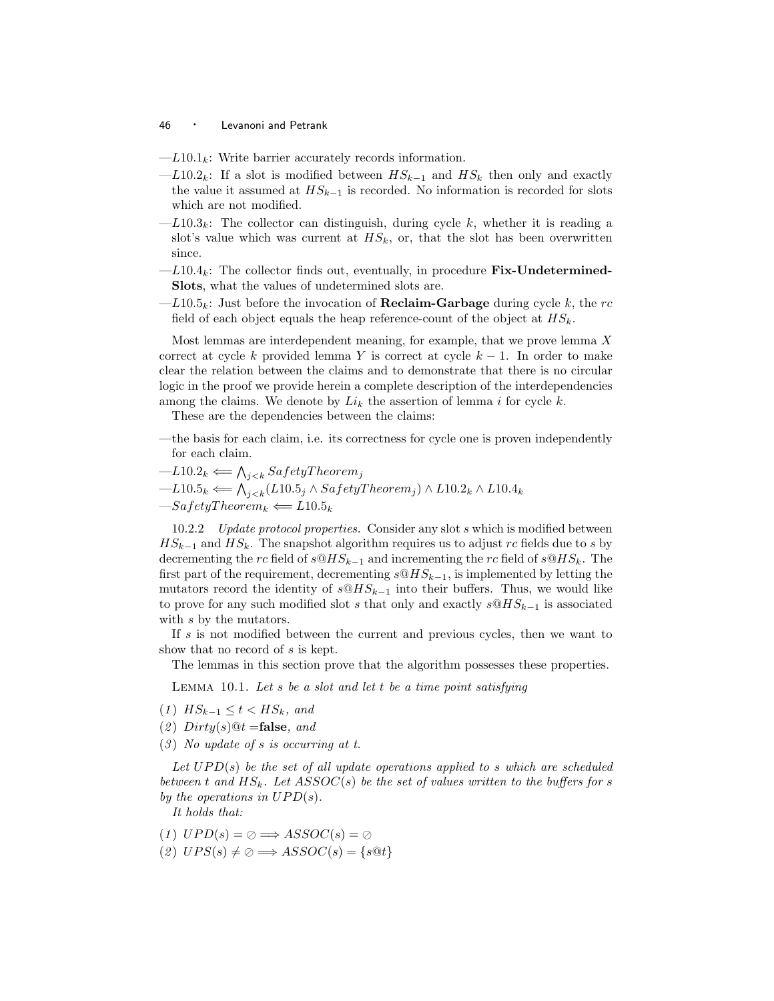$-L10.1_k$ : Write barrier accurately records information.

- $-L10.2_k$ : If a slot is modified between  $HS_{k-1}$  and  $HS_k$  then only and exactly the value it assumed at  $HS_{k-1}$  is recorded. No information is recorded for slots which are not modified.
- $-L10.3_k$ : The collector can distinguish, during cycle k, whether it is reading a slot's value which was current at  $HS_k$ , or, that the slot has been overwritten since.
- $-L10.4_k$ : The collector finds out, eventually, in procedure Fix-Undetermined-Slots, what the values of undetermined slots are.
- $-L10.5_k$ : Just before the invocation of **Reclaim-Garbage** during cycle k, the rc field of each object equals the heap reference-count of the object at  $HS_k$ .

Most lemmas are interdependent meaning, for example, that we prove lemma  $X$ correct at cycle k provided lemma Y is correct at cycle  $k-1$ . In order to make clear the relation between the claims and to demonstrate that there is no circular logic in the proof we provide herein a complete description of the interdependencies among the claims. We denote by  $Li_k$  the assertion of lemma i for cycle k.

These are the dependencies between the claims:

- —the basis for each claim, i.e. its correctness for cycle one is proven independently for each claim.
- $-L10.2_k \leftarrow \bigwedge_{j < k} SafetyTheorem_j$
- $-L10.5_k \Longleftarrow \bigwedge_{j < k} (L10.5_j \wedge SafetyTheorem_j) \wedge L10.2_k \wedge L10.4_k$

 $-Safety Theorem_k \leftarrow L10.5_k$ 

10.2.2 Update protocol properties. Consider any slot s which is modified between  $HS_{k-1}$  and  $HS_k$ . The snapshot algorithm requires us to adjust rc fields due to s by decrementing the rc field of  $s@HS_{k-1}$  and incrementing the rc field of  $s@HS_k$ . The first part of the requirement, decrementing  $s@HS_{k-1}$ , is implemented by letting the mutators record the identity of  $s@HS_{k-1}$  into their buffers. Thus, we would like to prove for any such modified slot s that only and exactly  $s \mathcal{Q} H S_{k-1}$  is associated with s by the mutators.

If s is not modified between the current and previous cycles, then we want to show that no record of s is kept.

The lemmas in this section prove that the algorithm possesses these properties.

LEMMA 10.1. Let s be a slot and let t be a time point satisfying

- $(1)$   $HS_{k-1} \leq t < HS_k$ , and
- (2)  $Dirty(s)@t =$ false, and
- $(3)$  No update of s is occurring at t.

Let  $UPD(s)$  be the set of all update operations applied to s which are scheduled between t and  $HS_k$ . Let  $ASSOC(s)$  be the set of values written to the buffers for s by the operations in  $UPD(s)$ .

It holds that:

- (1)  $UPD(s) = \oslash \Longrightarrow ASSOC(s) = \oslash$
- (2)  $UPS(s) \neq \emptyset \Longrightarrow ASSOC(s) = \{s@t\}$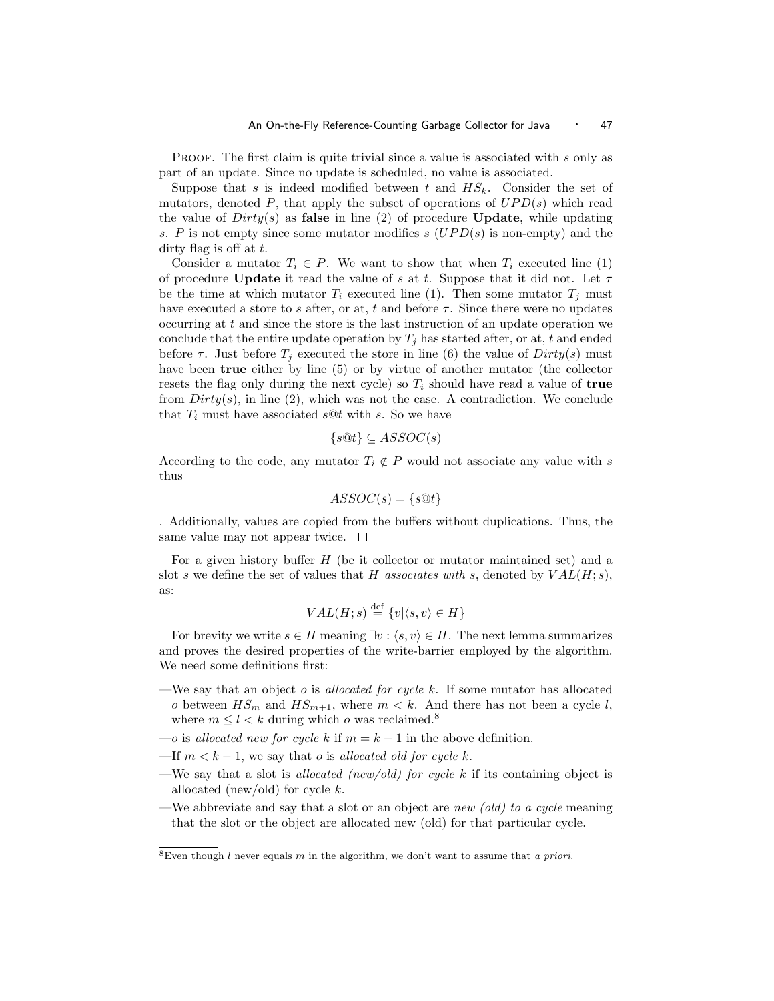PROOF. The first claim is quite trivial since a value is associated with s only as part of an update. Since no update is scheduled, no value is associated.

Suppose that s is indeed modified between t and  $HS_k$ . Consider the set of mutators, denoted P, that apply the subset of operations of  $UPD(s)$  which read the value of  $Dirty(s)$  as **false** in line (2) of procedure **Update**, while updating s. P is not empty since some mutator modifies s  $(UPD(s)$  is non-empty) and the dirty flag is off at  $t$ .

Consider a mutator  $T_i \in P$ . We want to show that when  $T_i$  executed line (1) of procedure Update it read the value of s at t. Suppose that it did not. Let  $\tau$ be the time at which mutator  $T_i$  executed line (1). Then some mutator  $T_j$  must have executed a store to s after, or at, t and before  $\tau$ . Since there were no updates occurring at t and since the store is the last instruction of an update operation we conclude that the entire update operation by  $T_i$  has started after, or at, t and ended before  $\tau$ . Just before  $T_j$  executed the store in line (6) the value of  $Dirty(s)$  must have been **true** either by line (5) or by virtue of another mutator (the collector resets the flag only during the next cycle) so  $T_i$  should have read a value of true from  $Dirty(s)$ , in line (2), which was not the case. A contradiction. We conclude that  $T_i$  must have associated  $s@t$  with s. So we have

$$
\{s@t\} \subseteq ASSOC(s)
$$

According to the code, any mutator  $T_i \notin P$  would not associate any value with s thus

$$
ASSOC(s) = \{s@t\}
$$

. Additionally, values are copied from the buffers without duplications. Thus, the same value may not appear twice.  $\square$ 

For a given history buffer  $H$  (be it collector or mutator maintained set) and a slot s we define the set of values that H associates with s, denoted by  $VAL(H; s)$ , as:

$$
VAL(H; s) \stackrel{\text{def}}{=} \{v | \langle s, v \rangle \in H\}
$$

For brevity we write  $s \in H$  meaning  $\exists v : \langle s, v \rangle \in H$ . The next lemma summarizes and proves the desired properties of the write-barrier employed by the algorithm. We need some definitions first:

- —We say that an object *o* is *allocated for cycle k*. If some mutator has allocated o between  $HS_m$  and  $HS_{m+1}$ , where  $m < k$ . And there has not been a cycle l, where  $m \leq l < k$  during which o was reclaimed.<sup>8</sup>
- —o is allocated new for cycle k if  $m = k 1$  in the above definition.
- —If  $m < k 1$ , we say that o is allocated old for cycle k.
- —We say that a slot is *allocated (new/old)* for cycle  $k$  if its containing object is allocated (new/old) for cycle  $k$ .
- —We abbreviate and say that a slot or an object are new (old) to a cycle meaning that the slot or the object are allocated new (old) for that particular cycle.

<sup>&</sup>lt;sup>8</sup>Even though *l* never equals m in the algorithm, we don't want to assume that a priori.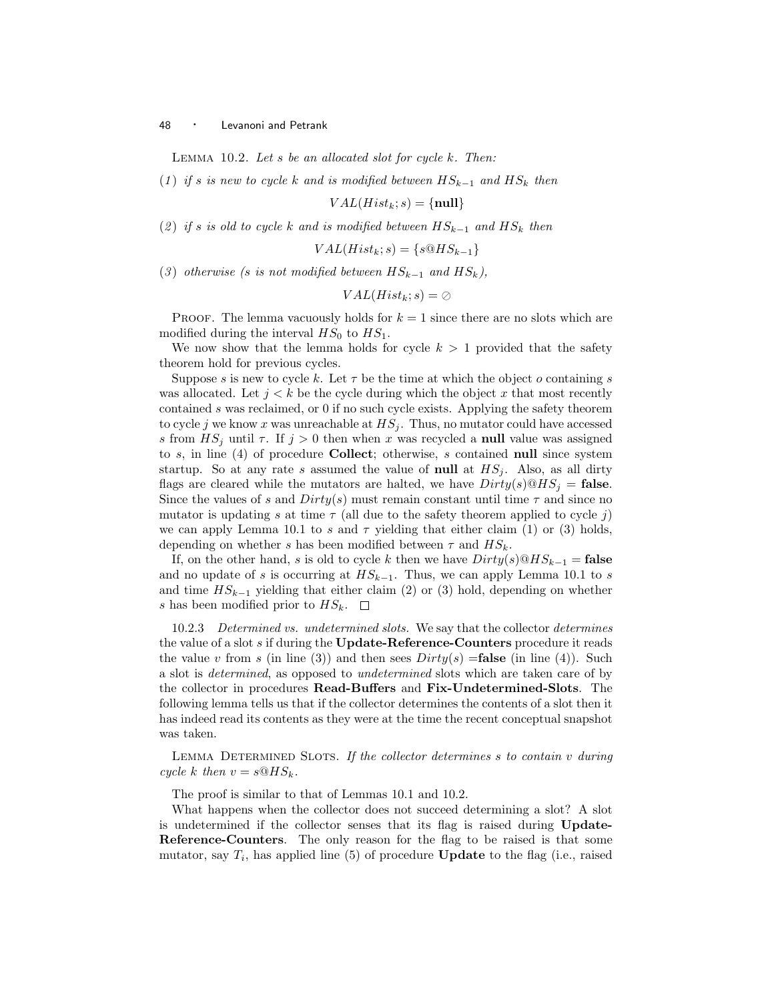Lemma 10.2. Let s be an allocated slot for cycle k. Then:

(1) if s is new to cycle k and is modified between  $HS_{k-1}$  and  $HS_k$  then

$$
VAL(Hist_k; s) = \{null\}
$$

(2) if s is old to cycle k and is modified between  $HS_{k-1}$  and  $HS_k$  then

$$
VAL(Hist_k; s) = \{s@HS_{k-1}\}\
$$

(3) otherwise (s is not modified between  $HS_{k-1}$  and  $HS_k$ ),

$$
VAL(Hist_k; s) = \oslash
$$

PROOF. The lemma vacuously holds for  $k = 1$  since there are no slots which are modified during the interval  $HS_0$  to  $HS_1$ .

We now show that the lemma holds for cycle  $k > 1$  provided that the safety theorem hold for previous cycles.

Suppose s is new to cycle k. Let  $\tau$  be the time at which the object o containing s was allocated. Let  $j < k$  be the cycle during which the object x that most recently contained s was reclaimed, or 0 if no such cycle exists. Applying the safety theorem to cycle j we know x was unreachable at  $HS_i$ . Thus, no mutator could have accessed s from  $HS_i$  until  $\tau$ . If  $j > 0$  then when x was recycled a **null** value was assigned to s, in line (4) of procedure Collect; otherwise, s contained null since system startup. So at any rate s assumed the value of **null** at  $HS_i$ . Also, as all dirty flags are cleared while the mutators are halted, we have  $Dirty(s) \mathcal{Q}HS_i = \textbf{false}.$ Since the values of s and  $Dirty(s)$  must remain constant until time  $\tau$  and since no mutator is updating s at time  $\tau$  (all due to the safety theorem applied to cycle j) we can apply Lemma 10.1 to s and  $\tau$  yielding that either claim (1) or (3) holds, depending on whether s has been modified between  $\tau$  and  $HS_k$ .

If, on the other hand, s is old to cycle k then we have  $Dirty(s) \mathcal{Q} HS_{k-1} = \mathbf{false}$ and no update of s is occurring at  $HS_{k-1}$ . Thus, we can apply Lemma 10.1 to s and time  $HS_{k-1}$  yielding that either claim (2) or (3) hold, depending on whether s has been modified prior to  $HS_k$ .  $\square$ 

10.2.3 Determined vs. undetermined slots. We say that the collector determines the value of a slot s if during the **Update-Reference-Counters** procedure it reads the value v from s (in line (3)) and then sees  $Dirty(s)$  = false (in line (4)). Such a slot is determined, as opposed to undetermined slots which are taken care of by the collector in procedures Read-Buffers and Fix-Undetermined-Slots. The following lemma tells us that if the collector determines the contents of a slot then it has indeed read its contents as they were at the time the recent conceptual snapshot was taken.

LEMMA DETERMINED SLOTS. If the collector determines  $s$  to contain  $v$  during cycle k then  $v = s \mathbb{Q} H S_k$ .

The proof is similar to that of Lemmas 10.1 and 10.2.

What happens when the collector does not succeed determining a slot? A slot is undetermined if the collector senses that its flag is raised during Update-Reference-Counters. The only reason for the flag to be raised is that some mutator, say  $T_i$ , has applied line (5) of procedure **Update** to the flag (i.e., raised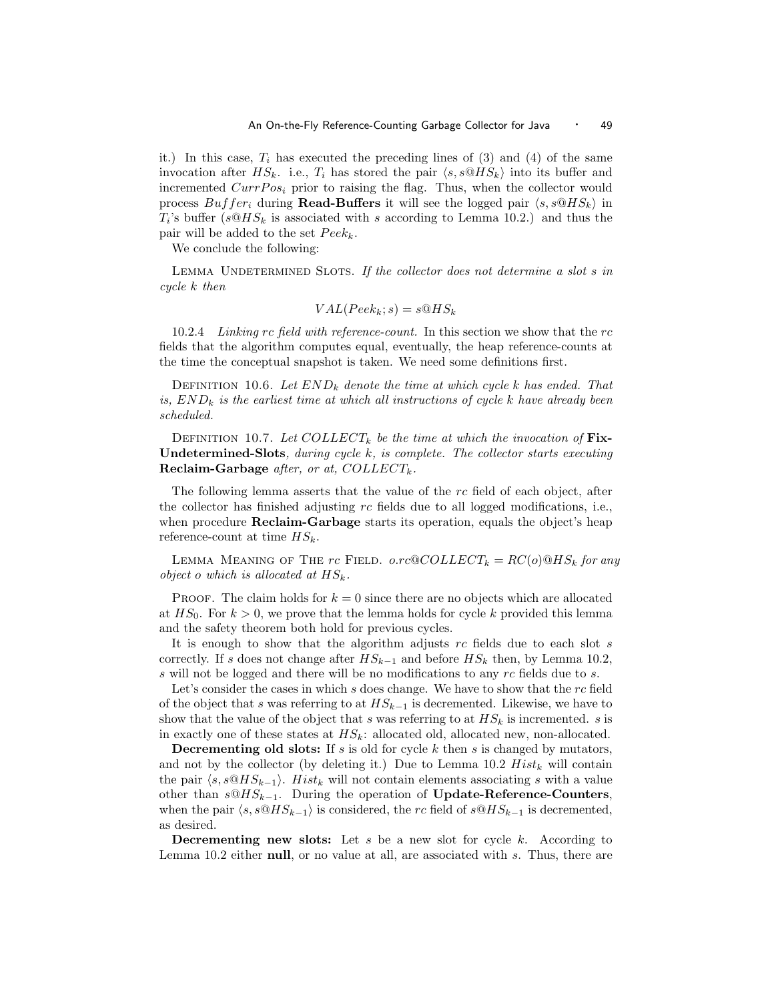it.) In this case,  $T_i$  has executed the preceding lines of (3) and (4) of the same invocation after  $HS_k$ . i.e.,  $T_i$  has stored the pair  $\langle s, s \mathbb{Q} H S_k \rangle$  into its buffer and incremented  $CurrPos_i$  prior to raising the flag. Thus, when the collector would process  $Buffer_i$  during **Read-Buffers** it will see the logged pair  $\langle s, s \mathcal{Q} H S_k \rangle$  in  $T_i$ 's buffer ( $s \mathcal{Q} H S_k$  is associated with s according to Lemma 10.2.) and thus the pair will be added to the set  $Peek_k$ .

We conclude the following:

LEMMA UNDETERMINED SLOTS. If the collector does not determine a slot  $s$  in cycle k then

$$
VAL(Peek_k; s) = s@HS_k
$$

10.2.4 Linking rc field with reference-count. In this section we show that the rc fields that the algorithm computes equal, eventually, the heap reference-counts at the time the conceptual snapshot is taken. We need some definitions first.

DEFINITION 10.6. Let  $END_k$  denote the time at which cycle k has ended. That is,  $END_k$  is the earliest time at which all instructions of cycle k have already been scheduled.

DEFINITION 10.7. Let COLLECT<sub>k</sub> be the time at which the invocation of Fix-**Undetermined-Slots**, during cycle  $k$ , is complete. The collector starts executing Reclaim-Garbage after, or at,  $COLLECT_k$ .

The following lemma asserts that the value of the rc field of each object, after the collector has finished adjusting rc fields due to all logged modifications, i.e., when procedure Reclaim-Garbage starts its operation, equals the object's heap reference-count at time  $HS_k$ .

LEMMA MEANING OF THE rc FIELD.  $\sigma$ rc@COLLECT<sub>k</sub> = RC( $o$ )@HS<sub>k</sub> for any object o which is allocated at  $HS_k$ .

PROOF. The claim holds for  $k = 0$  since there are no objects which are allocated at  $HS_0$ . For  $k > 0$ , we prove that the lemma holds for cycle k provided this lemma and the safety theorem both hold for previous cycles.

It is enough to show that the algorithm adjusts rc fields due to each slot  $s$ correctly. If s does not change after  $HS_{k-1}$  and before  $HS_k$  then, by Lemma 10.2, s will not be logged and there will be no modifications to any rc fields due to s.

Let's consider the cases in which s does change. We have to show that the rc field of the object that s was referring to at  $HS_{k-1}$  is decremented. Likewise, we have to show that the value of the object that s was referring to at  $HS_k$  is incremented. s is in exactly one of these states at  $HS_k$ : allocated old, allocated new, non-allocated.

**Decrementing old slots:** If  $s$  is old for cycle  $k$  then  $s$  is changed by mutators, and not by the collector (by deleting it.) Due to Lemma 10.2  $Hist_k$  will contain the pair  $\langle s, s \mathbb{Q} H S_{k-1} \rangle$ . Hist<sub>k</sub> will not contain elements associating s with a value other than  $s@HS_{k-1}$ . During the operation of Update-Reference-Counters, when the pair  $\langle s, s \mathbb{Q} H S_{k-1} \rangle$  is considered, the rc field of  $s \mathbb{Q} H S_{k-1}$  is decremented, as desired.

**Decrementing new slots:** Let s be a new slot for cycle k. According to Lemma 10.2 either null, or no value at all, are associated with s. Thus, there are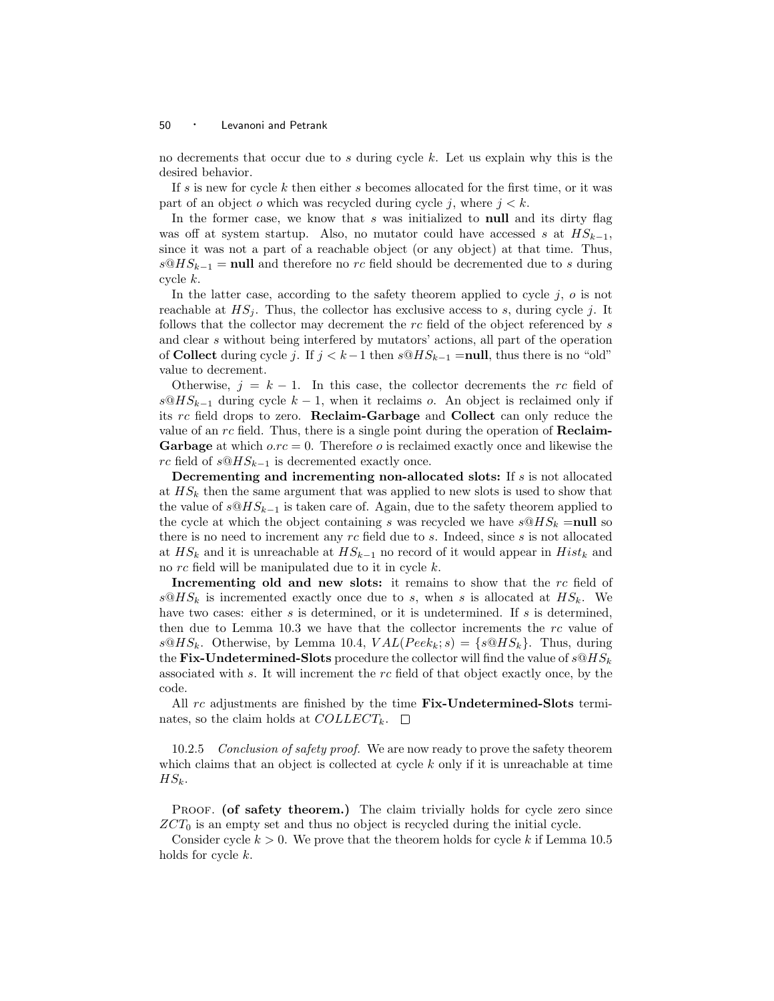no decrements that occur due to s during cycle  $k$ . Let us explain why this is the desired behavior.

If s is new for cycle k then either s becomes allocated for the first time, or it was part of an object o which was recycled during cycle j, where  $j < k$ .

In the former case, we know that s was initialized to **null** and its dirty flag was off at system startup. Also, no mutator could have accessed s at  $HS_{k-1}$ , since it was not a part of a reachable object (or any object) at that time. Thus,  $s@HS_{k-1}$  = null and therefore no rc field should be decremented due to s during cycle k.

In the latter case, according to the safety theorem applied to cycle  $j$ ,  $o$  is not reachable at  $HS_i$ . Thus, the collector has exclusive access to s, during cycle j. It follows that the collector may decrement the  $rc$  field of the object referenced by  $s$ and clear s without being interfered by mutators' actions, all part of the operation of **Collect** during cycle j. If  $j < k-1$  then  $s@HS_{k-1} =$ **null**, thus there is no "old" value to decrement.

Otherwise,  $j = k - 1$ . In this case, the collector decrements the rc field of  $s@HS_{k-1}$  during cycle  $k-1$ , when it reclaims o. An object is reclaimed only if its rc field drops to zero. Reclaim-Garbage and Collect can only reduce the value of an  $rc$  field. Thus, there is a single point during the operation of **Reclaim-Garbage** at which  $\text{o} \cdot \text{rc} = 0$ . Therefore  $\text{o}$  is reclaimed exactly once and likewise the rc field of  $s@HS_{k-1}$  is decremented exactly once.

Decrementing and incrementing non-allocated slots: If s is not allocated at  $HS_k$  then the same argument that was applied to new slots is used to show that the value of  $s@HS_{k-1}$  is taken care of. Again, due to the safety theorem applied to the cycle at which the object containing s was recycled we have  $s@HS_k =$ null so there is no need to increment any  $rc$  field due to  $s$ . Indeed, since  $s$  is not allocated at  $HS_k$  and it is unreachable at  $HS_{k-1}$  no record of it would appear in  $Hist_k$  and no rc field will be manipulated due to it in cycle k.

Incrementing old and new slots: it remains to show that the rc field of  $s@HS_k$  is incremented exactly once due to s, when s is allocated at  $HS_k$ . We have two cases: either s is determined, or it is undetermined. If s is determined, then due to Lemma 10.3 we have that the collector increments the rc value of  $s@HS_k$ . Otherwise, by Lemma 10.4,  $VAL(Peek_k; s) = \{s@HS_k\}$ . Thus, during the Fix-Undetermined-Slots procedure the collector will find the value of  $s@HS_k$ associated with  $s$ . It will increment the  $rc$  field of that object exactly once, by the code.

All  $rc$  adjustments are finished by the time  $Fix$ -Undetermined-Slots terminates, so the claim holds at  $COLLECT_k$ .  $\square$ 

10.2.5 Conclusion of safety proof. We are now ready to prove the safety theorem which claims that an object is collected at cycle  $k$  only if it is unreachable at time  $HS_k$ .

PROOF. (of safety theorem.) The claim trivially holds for cycle zero since  $ZCT_0$  is an empty set and thus no object is recycled during the initial cycle.

Consider cycle  $k > 0$ . We prove that the theorem holds for cycle k if Lemma 10.5 holds for cycle k.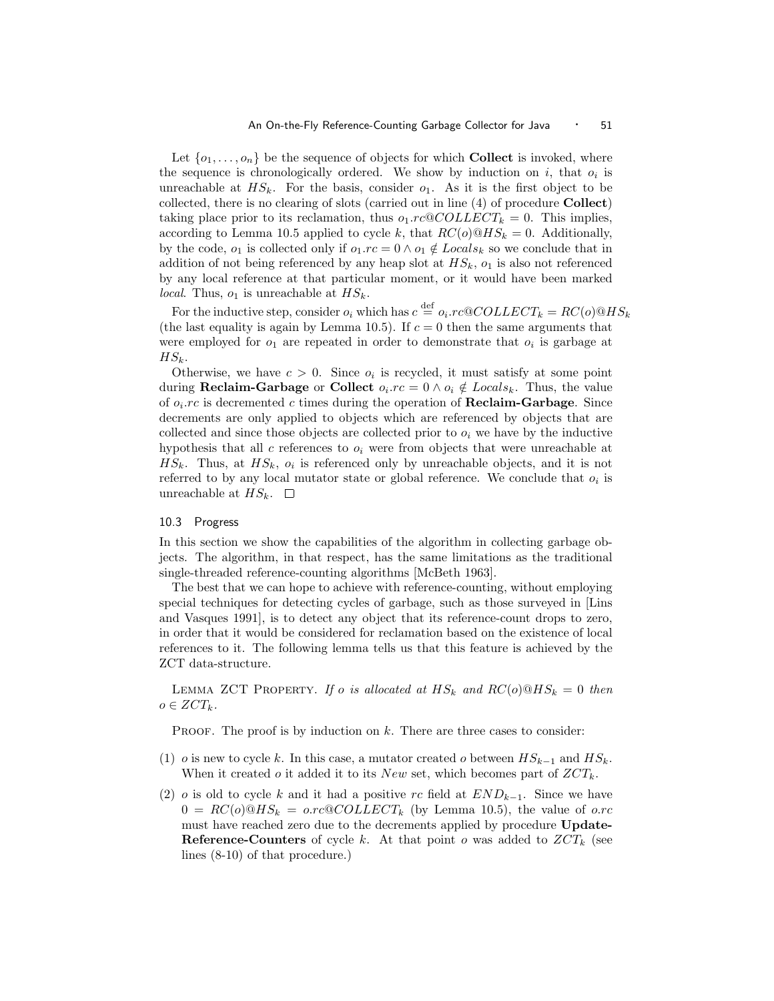Let  $\{o_1, \ldots, o_n\}$  be the sequence of objects for which **Collect** is invoked, where the sequence is chronologically ordered. We show by induction on  $i$ , that  $o_i$  is unreachable at  $HS_k$ . For the basis, consider  $o_1$ . As it is the first object to be collected, there is no clearing of slots (carried out in line (4) of procedure Collect) taking place prior to its reclamation, thus  $o_1$ .rc@COLLECT<sub>k</sub> = 0. This implies, according to Lemma 10.5 applied to cycle k, that  $RC(o) \mathcal{Q} H S_k = 0$ . Additionally, by the code,  $o_1$  is collected only if  $o_1$ .rc =  $0 \wedge o_1 \notin Locals_k$  so we conclude that in addition of not being referenced by any heap slot at  $HS_k$ ,  $o_1$  is also not referenced by any local reference at that particular moment, or it would have been marked *local.* Thus,  $o_1$  is unreachable at  $HS_k$ .

For the inductive step, consider  $o_i$  which has  $c \stackrel{\text{def}}{=} o_i \text{.} r c @COLLECT_k = RC(o) @HS_k$ (the last equality is again by Lemma 10.5). If  $c = 0$  then the same arguments that were employed for  $o_1$  are repeated in order to demonstrate that  $o_i$  is garbage at  $HS_k$ .

Otherwise, we have  $c > 0$ . Since  $o_i$  is recycled, it must satisfy at some point during **Reclaim-Garbage** or **Collect**  $o_i$ .rc =  $0 \wedge o_i \notin \text{Locals}_k$ . Thus, the value of  $o_i$ .rc is decremented c times during the operation of **Reclaim-Garbage**. Since decrements are only applied to objects which are referenced by objects that are collected and since those objects are collected prior to  $o_i$  we have by the inductive hypothesis that all c references to  $o_i$  were from objects that were unreachable at  $HS_k$ . Thus, at  $HS_k$ ,  $o_i$  is referenced only by unreachable objects, and it is not referred to by any local mutator state or global reference. We conclude that  $o_i$  is unreachable at  $HS_k$ .  $\square$ 

## 10.3 Progress

In this section we show the capabilities of the algorithm in collecting garbage objects. The algorithm, in that respect, has the same limitations as the traditional single-threaded reference-counting algorithms [McBeth 1963].

The best that we can hope to achieve with reference-counting, without employing special techniques for detecting cycles of garbage, such as those surveyed in [Lins and Vasques 1991], is to detect any object that its reference-count drops to zero, in order that it would be considered for reclamation based on the existence of local references to it. The following lemma tells us that this feature is achieved by the ZCT data-structure.

LEMMA ZCT PROPERTY. If o is allocated at  $HS_k$  and  $RC(o) \mathcal{Q} H S_k = 0$  then  $o \in ZCT_k$ .

PROOF. The proof is by induction on  $k$ . There are three cases to consider:

- (1) *o* is new to cycle k. In this case, a mutator created *o* between  $HS_{k-1}$  and  $HS_k$ . When it created o it added it to its New set, which becomes part of  $ZCT_k$ .
- (2) *o* is old to cycle k and it had a positive rc field at  $END_{k-1}$ . Since we have  $0 = RC(o) \otimes HS_k = o.rc \otimes COLLECT_k$  (by Lemma 10.5), the value of o.rc must have reached zero due to the decrements applied by procedure Update-**Reference-Counters** of cycle k. At that point o was added to  $ZCT_k$  (see lines (8-10) of that procedure.)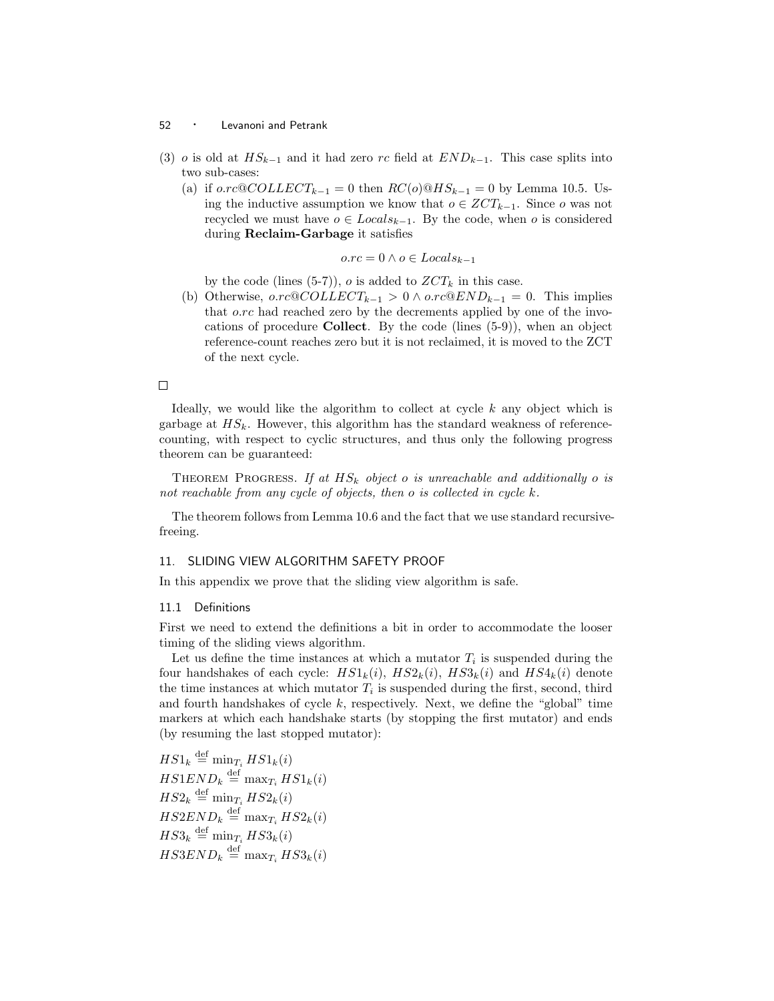- (3) *o* is old at  $HS_{k-1}$  and it had zero rc field at  $END_{k-1}$ . This case splits into two sub-cases:
	- (a) if  $o.rc@COLLECT_{k-1} = 0$  then  $RC(o)@HS_{k-1} = 0$  by Lemma 10.5. Using the inductive assumption we know that  $o \in ZCT_{k-1}$ . Since o was not recycled we must have  $o \in Locals_{k-1}$ . By the code, when o is considered during Reclaim-Garbage it satisfies

$$
o.rc = 0 \land o \in Locals_{k-1}
$$

by the code (lines (5-7)),  $o$  is added to  $ZCT_k$  in this case.

(b) Otherwise,  $\text{o.rc@COLLECT}_{k-1} > 0 \land \text{o.rc@END}_{k-1} = 0$ . This implies that o.rc had reached zero by the decrements applied by one of the invocations of procedure Collect. By the code (lines (5-9)), when an object reference-count reaches zero but it is not reclaimed, it is moved to the ZCT of the next cycle.

# $\Box$

Ideally, we would like the algorithm to collect at cycle  $k$  any object which is garbage at  $HS_k$ . However, this algorithm has the standard weakness of referencecounting, with respect to cyclic structures, and thus only the following progress theorem can be guaranteed:

THEOREM PROGRESS. If at  $HS_k$  object o is unreachable and additionally o is not reachable from any cycle of objects, then o is collected in cycle k.

The theorem follows from Lemma 10.6 and the fact that we use standard recursivefreeing.

## 11. SLIDING VIEW ALGORITHM SAFETY PROOF

In this appendix we prove that the sliding view algorithm is safe.

# 11.1 Definitions

First we need to extend the definitions a bit in order to accommodate the looser timing of the sliding views algorithm.

Let us define the time instances at which a mutator  $T_i$  is suspended during the four handshakes of each cycle:  $HS1_k(i)$ ,  $HS2_k(i)$ ,  $HS3_k(i)$  and  $HS4_k(i)$  denote the time instances at which mutator  $T_i$  is suspended during the first, second, third and fourth handshakes of cycle  $k$ , respectively. Next, we define the "global" time markers at which each handshake starts (by stopping the first mutator) and ends (by resuming the last stopped mutator):

 $HS1_k \stackrel{\text{def}}{=} \min_{T_i} HS1_k(i)$  $HSLEND_k \stackrel{\text{def}}{=} \max_{T_i} HS1_k(i)$  $HS2_k \stackrel{\text{def}}{=} \min_{T_i} HS2_k(i)$  $HS2END_k \stackrel{\text{def}}{=} \max_{T_i} HS2_k(i)$  $HSS_k \stackrel{\text{def}}{=} \min_{T_i} HSS_k(i)$  $HSSEND_k \stackrel{\text{def}}{=} \max_{T_i} HSS_k(i)$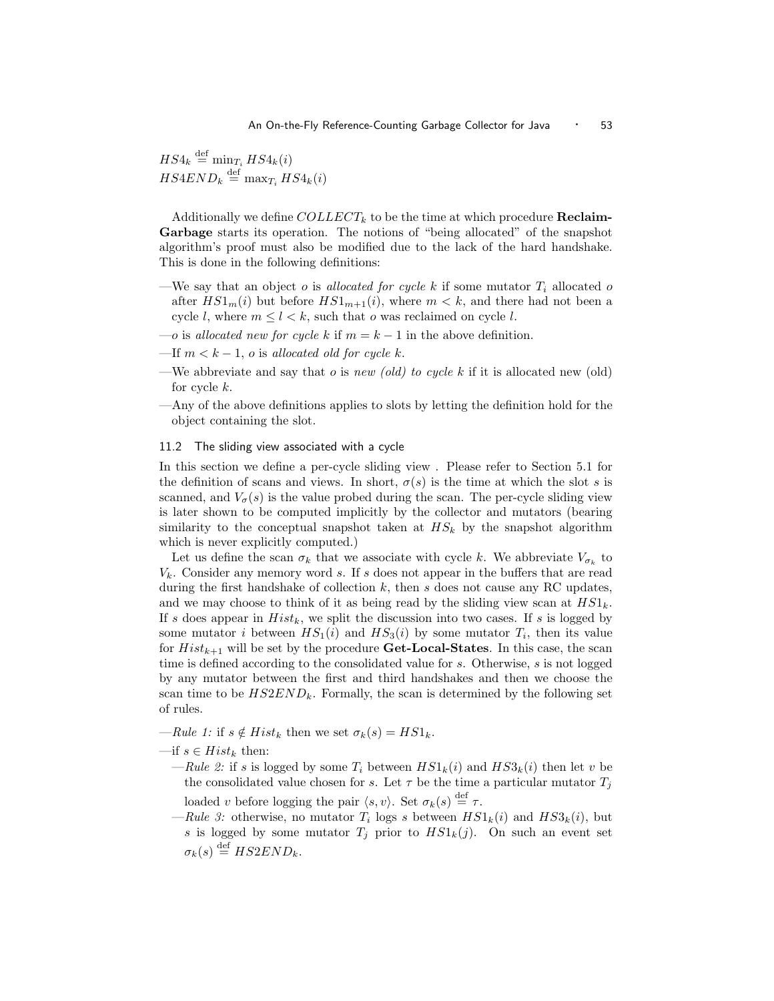$HS4_k \stackrel{\text{def}}{=} \min_{T_i} HS4_k(i)$  $HS4END_k \stackrel{\text{def}}{=} \max_{T_i} HS4_k(i)$ 

Additionally we define  $COLLECT_k$  to be the time at which procedure **Reclaim-**Garbage starts its operation. The notions of "being allocated" of the snapshot algorithm's proof must also be modified due to the lack of the hard handshake. This is done in the following definitions:

- —We say that an object o is allocated for cycle k if some mutator  $T_i$  allocated o after  $HS1_m(i)$  but before  $HS1_{m+1}(i)$ , where  $m < k$ , and there had not been a cycle l, where  $m \leq l < k$ , such that o was reclaimed on cycle l.
- —o is allocated new for cycle k if  $m = k 1$  in the above definition.
- —If  $m < k 1$ , o is allocated old for cycle k.
- —We abbreviate and say that o is new (old) to cycle k if it is allocated new (old) for cycle k.
- —Any of the above definitions applies to slots by letting the definition hold for the object containing the slot.

## 11.2 The sliding view associated with a cycle

In this section we define a per-cycle sliding view . Please refer to Section 5.1 for the definition of scans and views. In short,  $\sigma(s)$  is the time at which the slot s is scanned, and  $V_{\sigma}(s)$  is the value probed during the scan. The per-cycle sliding view is later shown to be computed implicitly by the collector and mutators (bearing similarity to the conceptual snapshot taken at  $HS_k$  by the snapshot algorithm which is never explicitly computed.)

Let us define the scan  $\sigma_k$  that we associate with cycle k. We abbreviate  $V_{\sigma_k}$  to  $V_k$ . Consider any memory word s. If s does not appear in the buffers that are read during the first handshake of collection  $k$ , then s does not cause any RC updates, and we may choose to think of it as being read by the sliding view scan at  $HS1_k$ . If s does appear in  $Hist_k$ , we split the discussion into two cases. If s is logged by some mutator *i* between  $HS_1(i)$  and  $HS_3(i)$  by some mutator  $T_i$ , then its value for  $Hist_{k+1}$  will be set by the procedure **Get-Local-States**. In this case, the scan time is defined according to the consolidated value for s. Otherwise, s is not logged by any mutator between the first and third handshakes and then we choose the scan time to be  $HS2END_k$ . Formally, the scan is determined by the following set of rules.

—Rule 1: if  $s \notin Hist_k$  then we set  $\sigma_k(s) = HS1_k$ .

```
—if s \in Hist_k then:
```
—Rule 2: if s is logged by some  $T_i$  between  $HS1_k(i)$  and  $HS3_k(i)$  then let v be the consolidated value chosen for s. Let  $\tau$  be the time a particular mutator  $T_i$ loaded v before logging the pair  $\langle s, v \rangle$ . Set  $\sigma_k(s) \stackrel{\text{def}}{=} \tau$ .

—Rule 3: otherwise, no mutator  $T_i$  logs s between  $HSL_k(i)$  and  $HS3_k(i)$ , but s is logged by some mutator  $T_j$  prior to  $HS1_k(j)$ . On such an event set  $\sigma_k(s) \stackrel{\text{def}}{=} HS2END_k.$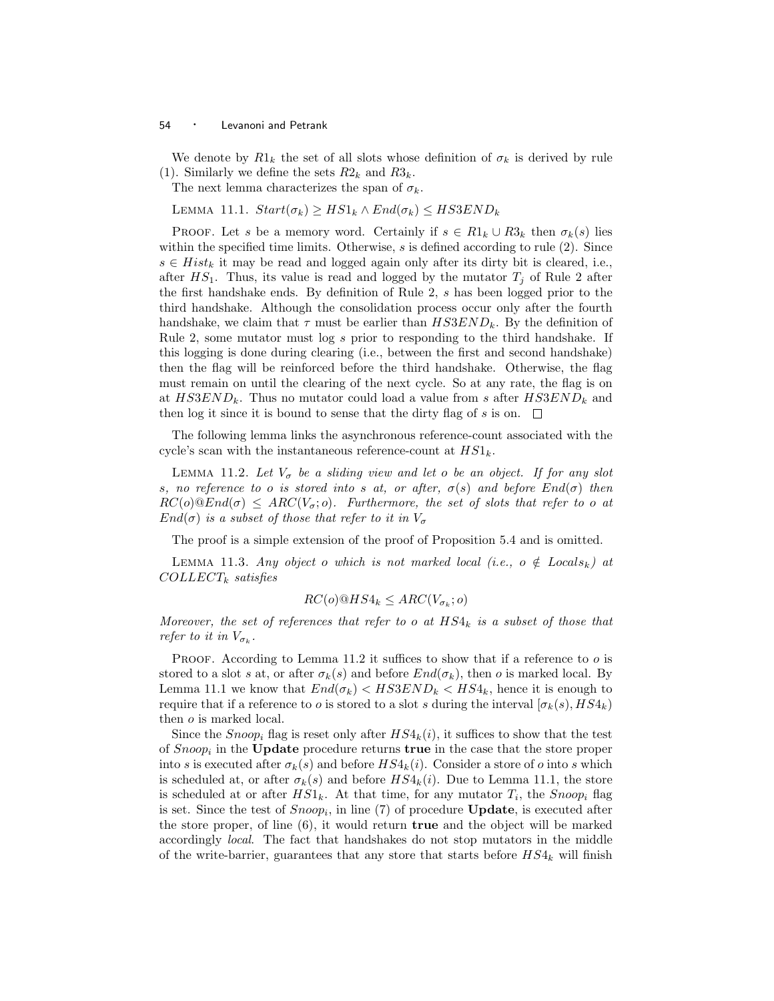We denote by  $R1_k$  the set of all slots whose definition of  $\sigma_k$  is derived by rule (1). Similarly we define the sets  $R2_k$  and  $R3_k$ .

The next lemma characterizes the span of  $\sigma_k$ .

LEMMA 11.1.  $Start(\sigma_k) \geq HS1_k \wedge End(\sigma_k) \leq HSSEND_k$ 

PROOF. Let s be a memory word. Certainly if  $s \in R1_k \cup R3_k$  then  $\sigma_k(s)$  lies within the specified time limits. Otherwise,  $s$  is defined according to rule  $(2)$ . Since  $s \in Hist_k$  it may be read and logged again only after its dirty bit is cleared, i.e., after  $HS_1$ . Thus, its value is read and logged by the mutator  $T_j$  of Rule 2 after the first handshake ends. By definition of Rule 2, s has been logged prior to the third handshake. Although the consolidation process occur only after the fourth handshake, we claim that  $\tau$  must be earlier than  $HS3END_k$ . By the definition of Rule 2, some mutator must log s prior to responding to the third handshake. If this logging is done during clearing (i.e., between the first and second handshake) then the flag will be reinforced before the third handshake. Otherwise, the flag must remain on until the clearing of the next cycle. So at any rate, the flag is on at  $HSSEND_k$ . Thus no mutator could load a value from s after  $HSSEND_k$  and then log it since it is bound to sense that the dirty flag of s is on.  $\square$ 

The following lemma links the asynchronous reference-count associated with the cycle's scan with the instantaneous reference-count at  $HS1_k$ .

LEMMA 11.2. Let  $V_{\sigma}$  be a sliding view and let o be an object. If for any slot s, no reference to o is stored into s at, or after,  $\sigma(s)$  and before  $End(\sigma)$  then  $RC(o) \& End(\sigma) \leq ARC(V_{\sigma}; o)$ . Furthermore, the set of slots that refer to o at  $End(\sigma)$  is a subset of those that refer to it in  $V_{\sigma}$ 

The proof is a simple extension of the proof of Proposition 5.4 and is omitted.

LEMMA 11.3. Any object o which is not marked local (i.e.,  $o \notin Locals_k$ ) at  $COLLECT_k$  satisfies

$$
RC(o)@HS4_k \leq ARC(V_{\sigma_k}; o)
$$

Moreover, the set of references that refer to o at  $HSA_k$  is a subset of those that refer to it in  $V_{\sigma_k}$ .

PROOF. According to Lemma 11.2 it suffices to show that if a reference to  $o$  is stored to a slot s at, or after  $\sigma_k(s)$  and before  $End(\sigma_k)$ , then o is marked local. By Lemma 11.1 we know that  $End(\sigma_k) < HSSEND_k < HSA_k$ , hence it is enough to require that if a reference to o is stored to a slot s during the interval  $[\sigma_k(s), HS4_k]$ then o is marked local.

Since the  $Snoop_i$  flag is reset only after  $HS4_k(i)$ , it suffices to show that the test of  $S_{\text{noop}_i}$  in the Update procedure returns true in the case that the store proper into s is executed after  $\sigma_k(s)$  and before  $HS4_k(i)$ . Consider a store of o into s which is scheduled at, or after  $\sigma_k(s)$  and before  $HS4_k(i)$ . Due to Lemma 11.1, the store is scheduled at or after  $HS1_k$ . At that time, for any mutator  $T_i$ , the *Snoop<sub>i</sub>* flag is set. Since the test of  $Snoop_i$ , in line (7) of procedure Update, is executed after the store proper, of line  $(6)$ , it would return **true** and the object will be marked accordingly local. The fact that handshakes do not stop mutators in the middle of the write-barrier, guarantees that any store that starts before  $HS4_k$  will finish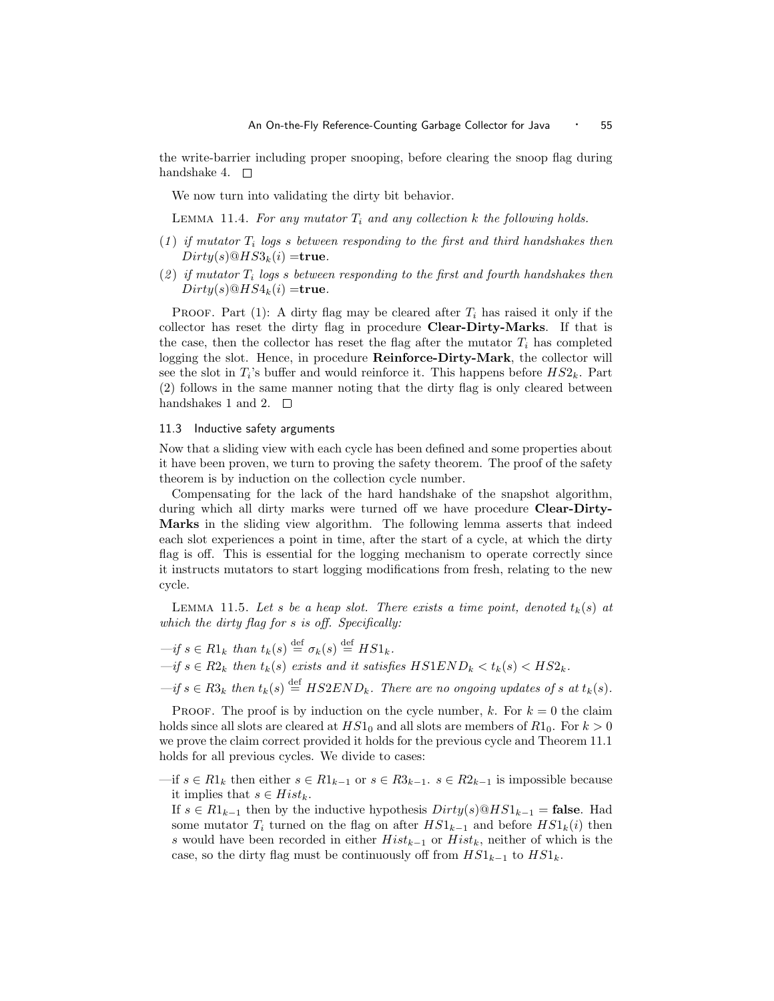the write-barrier including proper snooping, before clearing the snoop flag during handshake 4.  $\square$ 

We now turn into validating the dirty bit behavior.

LEMMA 11.4. For any mutator  $T_i$  and any collection k the following holds.

- $(1)$  if mutator  $T_i$  logs s between responding to the first and third handshakes then  $Dirty(s) \mathcal{Q}HS3_k(i) =$ true.
- $(2)$  if mutator  $T_i$  logs s between responding to the first and fourth handshakes then  $Dirty(s) \mathcal{Q}HS4_k(i) =$ true.

PROOF. Part (1): A dirty flag may be cleared after  $T_i$  has raised it only if the collector has reset the dirty flag in procedure Clear-Dirty-Marks. If that is the case, then the collector has reset the flag after the mutator  $T_i$  has completed logging the slot. Hence, in procedure **Reinforce-Dirty-Mark**, the collector will see the slot in  $T_i$ 's buffer and would reinforce it. This happens before  $HS2_k$ . Part (2) follows in the same manner noting that the dirty flag is only cleared between handshakes 1 and 2.  $\square$ 

#### 11.3 Inductive safety arguments

Now that a sliding view with each cycle has been defined and some properties about it have been proven, we turn to proving the safety theorem. The proof of the safety theorem is by induction on the collection cycle number.

Compensating for the lack of the hard handshake of the snapshot algorithm, during which all dirty marks were turned off we have procedure Clear-Dirty-Marks in the sliding view algorithm. The following lemma asserts that indeed each slot experiences a point in time, after the start of a cycle, at which the dirty flag is off. This is essential for the logging mechanism to operate correctly since it instructs mutators to start logging modifications from fresh, relating to the new cycle.

LEMMA 11.5. Let s be a heap slot. There exists a time point, denoted  $t_k(s)$  at which the dirty flag for s is off. Specifically:

- $-if s \in R1_k$  than  $t_k(s) \stackrel{\text{def}}{=} \sigma_k(s) \stackrel{\text{def}}{=} HS1_k$ .
- $-if s \in R2_k$  then  $t_k(s)$  exists and it satisfies  $HSLEND_k < t_k(s) < HS2_k$ .
- $-if s \in R3_k$  then  $t_k(s) \stackrel{\text{def}}{=} HS2END_k$ . There are no ongoing updates of s at  $t_k(s)$ .

PROOF. The proof is by induction on the cycle number, k. For  $k = 0$  the claim holds since all slots are cleared at  $HS1<sub>0</sub>$  and all slots are members of  $R1<sub>0</sub>$ . For  $k > 0$ we prove the claim correct provided it holds for the previous cycle and Theorem 11.1 holds for all previous cycles. We divide to cases:

- —if  $s \in R1_k$  then either  $s \in R1_{k-1}$  or  $s \in R3_{k-1}$ .  $s \in R2_{k-1}$  is impossible because it implies that  $s \in Hist_k$ .
	- If  $s \in R1_{k-1}$  then by the inductive hypothesis  $Dirty(s) \mathcal{Q}HS1_{k-1} = \textbf{false}$ . Had some mutator  $T_i$  turned on the flag on after  $HST_{k-1}$  and before  $HST_k(i)$  then s would have been recorded in either  $Hist_{k-1}$  or  $Hist_k$ , neither of which is the case, so the dirty flag must be continuously off from  $HS1_{k-1}$  to  $HS1_k$ .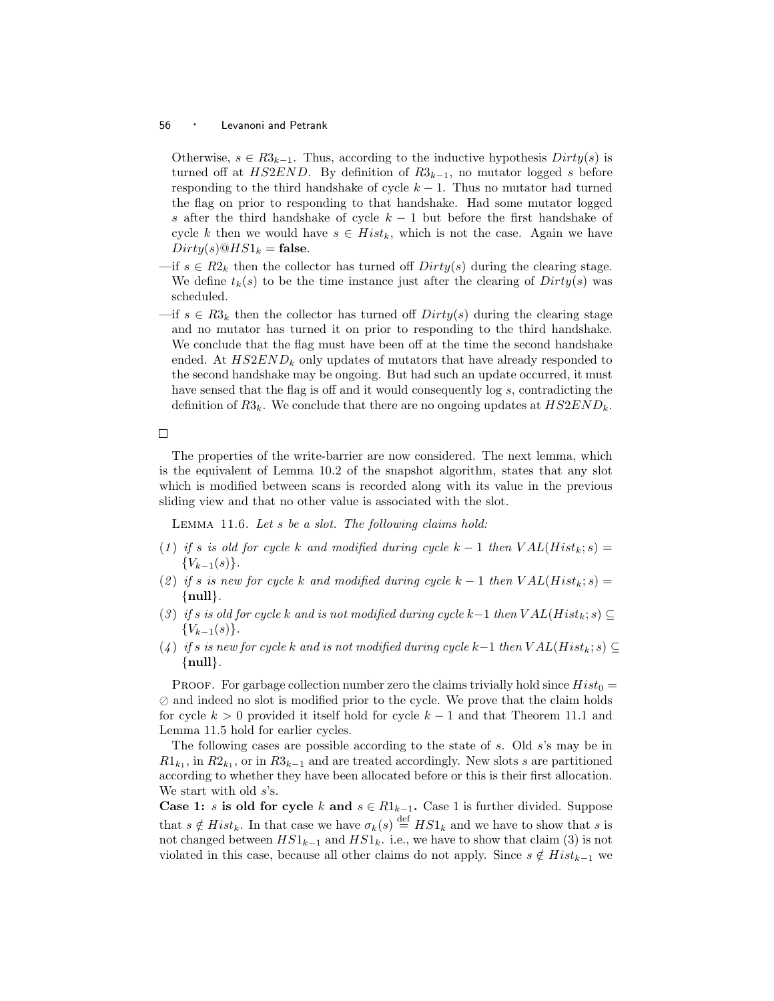Otherwise,  $s \in R3_{k-1}$ . Thus, according to the inductive hypothesis  $Dirty(s)$  is turned off at  $HS2END$ . By definition of  $R3_{k-1}$ , no mutator logged s before responding to the third handshake of cycle  $k - 1$ . Thus no mutator had turned the flag on prior to responding to that handshake. Had some mutator logged s after the third handshake of cycle  $k - 1$  but before the first handshake of cycle k then we would have  $s \in Hist_k$ , which is not the case. Again we have  $Dirty(s) \mathcal{Q}HS1_k = \textbf{false}.$ 

- -if  $s \in R2_k$  then the collector has turned off  $Dirty(s)$  during the clearing stage. We define  $t_k(s)$  to be the time instance just after the clearing of  $Dirty(s)$  was scheduled.
- —if  $s \in R3_k$  then the collector has turned off  $Dirty(s)$  during the clearing stage and no mutator has turned it on prior to responding to the third handshake. We conclude that the flag must have been off at the time the second handshake ended. At  $HS2END_k$  only updates of mutators that have already responded to the second handshake may be ongoing. But had such an update occurred, it must have sensed that the flag is off and it would consequently log s, contradicting the definition of  $R3_k$ . We conclude that there are no ongoing updates at  $HS2END_k$ .

## $\Box$

The properties of the write-barrier are now considered. The next lemma, which is the equivalent of Lemma 10.2 of the snapshot algorithm, states that any slot which is modified between scans is recorded along with its value in the previous sliding view and that no other value is associated with the slot.

Lemma 11.6. Let s be a slot. The following claims hold:

- (1) if s is old for cycle k and modified during cycle k 1 then  $VAL(Hist_k; s)$  =  ${V_{k-1}(s)}$ .
- (2) if s is new for cycle k and modified during cycle k 1 then  $VAL(Hist_k; s)$  =  $\{null\}.$
- (3) if s is old for cycle k and is not modified during cycle k–1 then  $VAL(Hist_k; s) \subseteq$  $\{V_{k-1}(s)\}.$
- (4) if s is new for cycle k and is not modified during cycle k-1 then  $VAL(Hist_k; s) \subseteq$  $\{null\}.$

PROOF. For garbage collection number zero the claims trivially hold since  $Hist_0 =$  $\oslash$  and indeed no slot is modified prior to the cycle. We prove that the claim holds for cycle  $k > 0$  provided it itself hold for cycle  $k - 1$  and that Theorem 11.1 and Lemma 11.5 hold for earlier cycles.

The following cases are possible according to the state of s. Old s's may be in  $R1_{k_1}$ , in  $R2_{k_1}$ , or in  $R3_{k-1}$  and are treated accordingly. New slots s are partitioned according to whether they have been allocated before or this is their first allocation. We start with old  $s$ 's.

Case 1: s is old for cycle k and  $s \in R1_{k-1}$ . Case 1 is further divided. Suppose that  $s \notin Hist_k$ . In that case we have  $\sigma_k(s) \stackrel{\text{def}}{=} HS1_k$  and we have to show that s is not changed between  $HS1_{k-1}$  and  $HS1_k$ . i.e., we have to show that claim (3) is not violated in this case, because all other claims do not apply. Since  $s \notin Hist_{k-1}$  we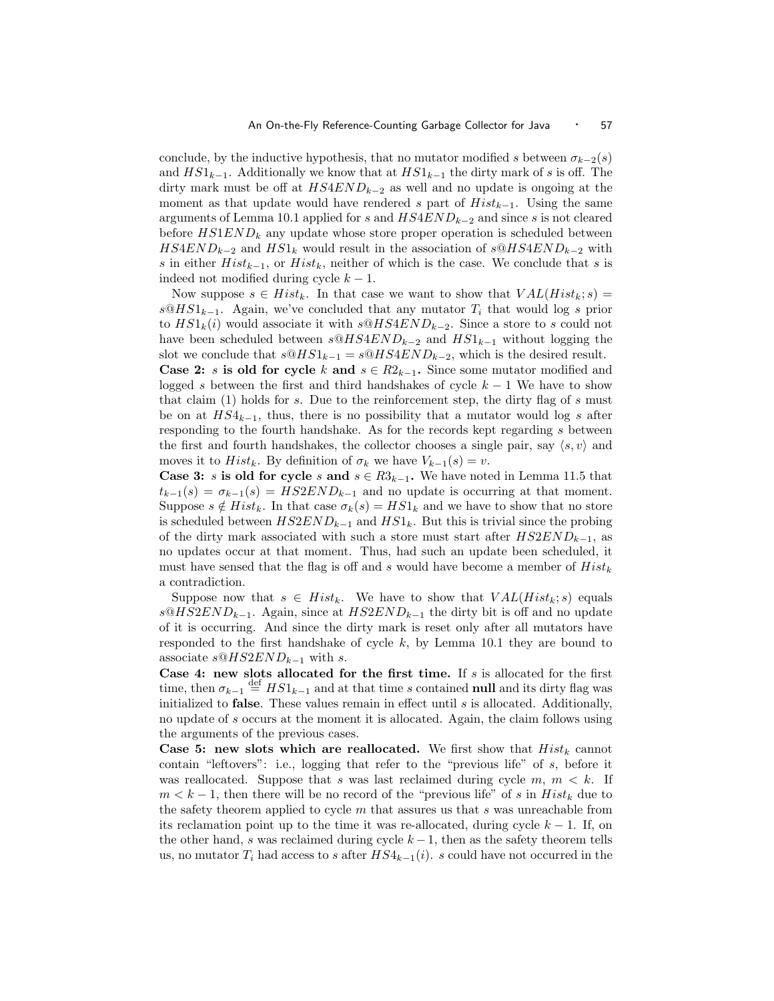conclude, by the inductive hypothesis, that no mutator modified s between  $\sigma_{k-2}(s)$ and  $HS1_{k-1}$ . Additionally we know that at  $HS1_{k-1}$  the dirty mark of s is off. The dirty mark must be off at  $HS4END_{k-2}$  as well and no update is ongoing at the moment as that update would have rendered s part of  $Hist_{k-1}$ . Using the same arguments of Lemma 10.1 applied for s and  $HS4END_{k-2}$  and since s is not cleared before  $HS1END_k$  any update whose store proper operation is scheduled between  $HSAEND_{k-2}$  and  $HSI_k$  would result in the association of s@HS4END<sub>k-2</sub> with s in either  $Hist_{k-1}$ , or  $Hist_k$ , neither of which is the case. We conclude that s is indeed not modified during cycle  $k - 1$ .

Now suppose  $s \in Hist_k$ . In that case we want to show that  $VAL(Hist_k; s)$  $s@HS1_{k-1}$ . Again, we've concluded that any mutator  $T_i$  that would log s prior to  $HS1_k(i)$  would associate it with  $s@HS4END_{k-2}$ . Since a store to s could not have been scheduled between  $s@HS4END_{k-2}$  and  $HS1_{k-1}$  without logging the slot we conclude that  $s@HS1_{k-1} = s@HS4END_{k-2}$ , which is the desired result.

**Case 2:** s is old for cycle k and  $s \in R2_{k-1}$ . Since some mutator modified and logged s between the first and third handshakes of cycle  $k - 1$  We have to show that claim  $(1)$  holds for s. Due to the reinforcement step, the dirty flag of s must be on at  $HS4_{k-1}$ , thus, there is no possibility that a mutator would log s after responding to the fourth handshake. As for the records kept regarding s between the first and fourth handshakes, the collector chooses a single pair, say  $\langle s, v \rangle$  and moves it to Hist<sub>k</sub>. By definition of  $\sigma_k$  we have  $V_{k-1}(s) = v$ .

**Case 3:** s is old for cycle s and  $s \in R3_{k-1}$ . We have noted in Lemma 11.5 that  $t_{k-1}(s) = \sigma_{k-1}(s) = HS2END_{k-1}$  and no update is occurring at that moment. Suppose  $s \notin Hist_k$ . In that case  $\sigma_k(s) = HS1_k$  and we have to show that no store is scheduled between  $HS2END_{k-1}$  and  $HS1_k$ . But this is trivial since the probing of the dirty mark associated with such a store must start after  $HS2END_{k-1}$ , as no updates occur at that moment. Thus, had such an update been scheduled, it must have sensed that the flag is off and s would have become a member of  $Hist_k$ a contradiction.

Suppose now that  $s \in Hist_k$ . We have to show that  $VAL(Hist_k; s)$  equals  $s@HS2END_{k-1}$ . Again, since at  $HS2END_{k-1}$  the dirty bit is off and no update of it is occurring. And since the dirty mark is reset only after all mutators have responded to the first handshake of cycle  $k$ , by Lemma 10.1 they are bound to associate  $s@HS2END_{k-1}$  with s.

Case 4: new slots allocated for the first time. If  $s$  is allocated for the first time, then  $\sigma_{k-1} \stackrel{\text{def}}{=} HS_{k-1}$  and at that time s contained **null** and its dirty flag was initialized to false. These values remain in effect until s is allocated. Additionally, no update of s occurs at the moment it is allocated. Again, the claim follows using the arguments of the previous cases.

Case 5: new slots which are reallocated. We first show that  $Hist_k$  cannot contain "leftovers": i.e., logging that refer to the "previous life" of s, before it was reallocated. Suppose that s was last reclaimed during cycle m,  $m < k$ . If  $m < k-1$ , then there will be no record of the "previous life" of s in  $Hist_k$  due to the safety theorem applied to cycle  $m$  that assures us that  $s$  was unreachable from its reclamation point up to the time it was re-allocated, during cycle  $k - 1$ . If, on the other hand, s was reclaimed during cycle  $k-1$ , then as the safety theorem tells us, no mutator  $T_i$  had access to s after  $HS4_{k-1}(i)$ . s could have not occurred in the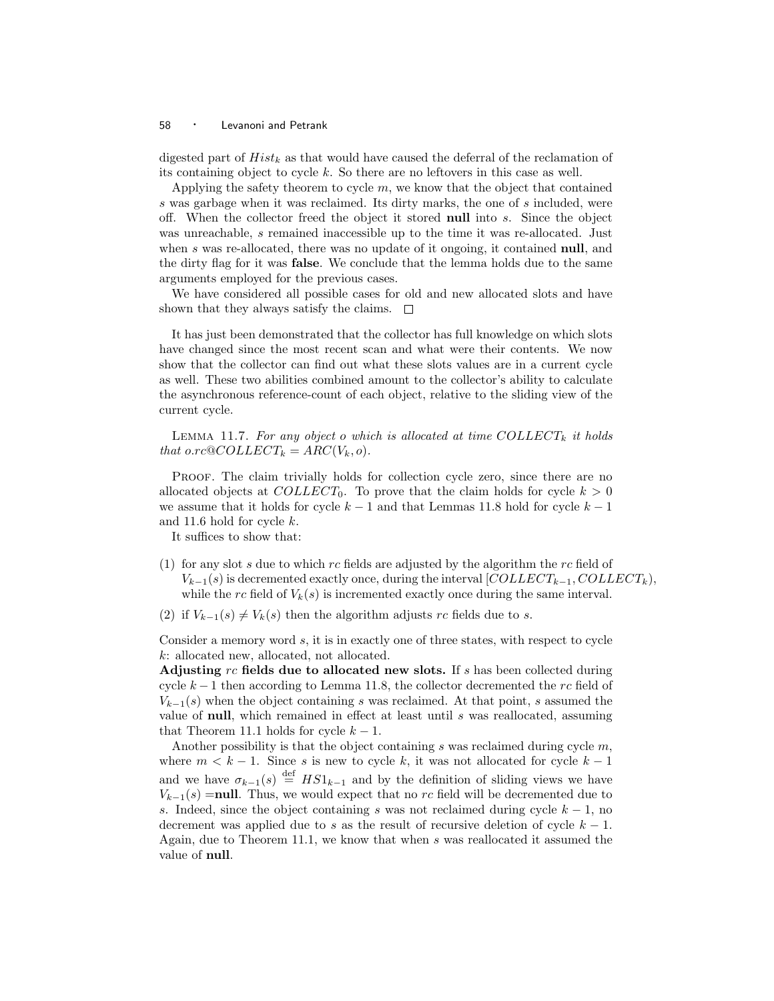digested part of  $Hist_k$  as that would have caused the deferral of the reclamation of its containing object to cycle k. So there are no leftovers in this case as well.

Applying the safety theorem to cycle  $m$ , we know that the object that contained s was garbage when it was reclaimed. Its dirty marks, the one of s included, were off. When the collector freed the object it stored null into s. Since the object was unreachable, s remained inaccessible up to the time it was re-allocated. Just when s was re-allocated, there was no update of it ongoing, it contained **null**, and the dirty flag for it was false. We conclude that the lemma holds due to the same arguments employed for the previous cases.

We have considered all possible cases for old and new allocated slots and have shown that they always satisfy the claims.  $\square$ 

It has just been demonstrated that the collector has full knowledge on which slots have changed since the most recent scan and what were their contents. We now show that the collector can find out what these slots values are in a current cycle as well. These two abilities combined amount to the collector's ability to calculate the asynchronous reference-count of each object, relative to the sliding view of the current cycle.

LEMMA 11.7. For any object o which is allocated at time  $COLLECT_k$  it holds that  $o.rc@COLLECT_k = ARC(V_k, o)$ .

PROOF. The claim trivially holds for collection cycle zero, since there are no allocated objects at  $COLLECT_0$ . To prove that the claim holds for cycle  $k > 0$ we assume that it holds for cycle  $k-1$  and that Lemmas 11.8 hold for cycle  $k-1$ and 11.6 hold for cycle  $k$ .

It suffices to show that:

- (1) for any slot s due to which rc fields are adjusted by the algorithm the rc field of  $V_{k-1}(s)$  is decremented exactly once, during the interval  $[COLLECT_{k-1}, COLLECT_k)$ , while the rc field of  $V_k(s)$  is incremented exactly once during the same interval.
- (2) if  $V_{k-1}(s) \neq V_k(s)$  then the algorithm adjusts rc fields due to s.

Consider a memory word s, it is in exactly one of three states, with respect to cycle k: allocated new, allocated, not allocated.

Adjusting  $rc$  fields due to allocated new slots. If s has been collected during cycle  $k-1$  then according to Lemma 11.8, the collector decremented the rc field of  $V_{k-1}(s)$  when the object containing s was reclaimed. At that point, s assumed the value of null, which remained in effect at least until s was reallocated, assuming that Theorem 11.1 holds for cycle  $k-1$ .

Another possibility is that the object containing s was reclaimed during cycle  $m$ , where  $m < k - 1$ . Since s is new to cycle k, it was not allocated for cycle  $k - 1$ and we have  $\sigma_{k-1}(s) \stackrel{\text{def}}{=} HS1_{k-1}$  and by the definition of sliding views we have  $V_{k-1}(s) =$ **null**. Thus, we would expect that no rc field will be decremented due to s. Indeed, since the object containing s was not reclaimed during cycle  $k - 1$ , no decrement was applied due to s as the result of recursive deletion of cycle  $k - 1$ . Again, due to Theorem 11.1, we know that when s was reallocated it assumed the value of null.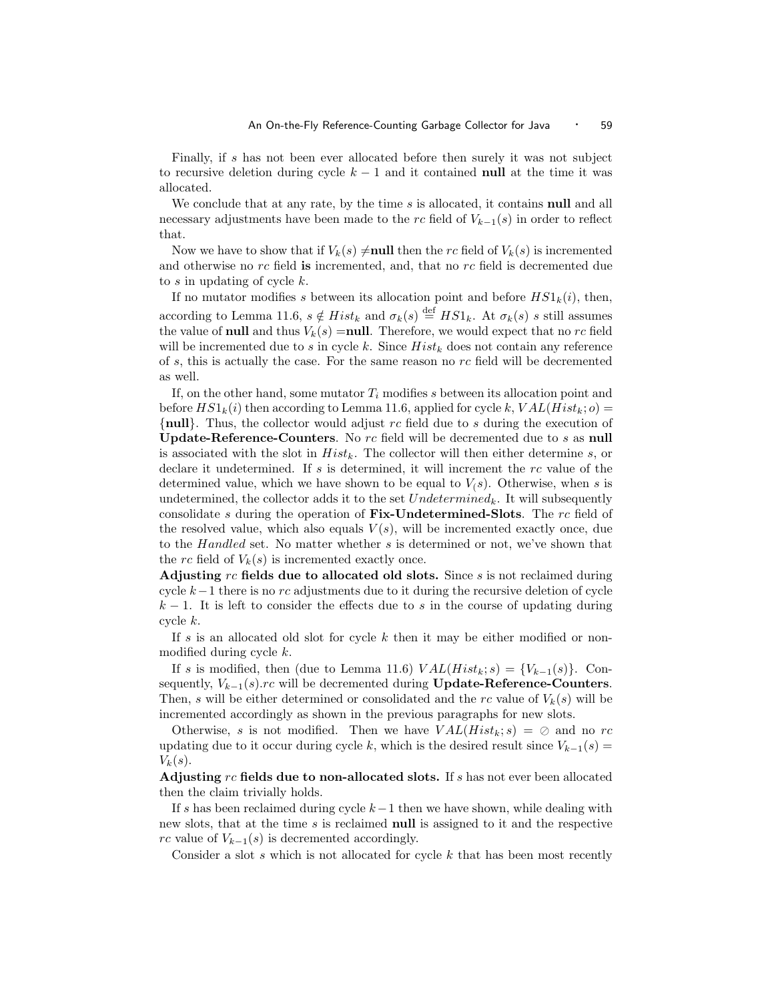Finally, if s has not been ever allocated before then surely it was not subject to recursive deletion during cycle  $k - 1$  and it contained **null** at the time it was allocated.

We conclude that at any rate, by the time  $s$  is allocated, it contains null and all necessary adjustments have been made to the rc field of  $V_{k-1}(s)$  in order to reflect that.

Now we have to show that if  $V_k(s) \neq \textbf{null}$  then the rc field of  $V_k(s)$  is incremented and otherwise no rc field is incremented, and, that no rc field is decremented due to  $s$  in updating of cycle  $k$ .

If no mutator modifies s between its allocation point and before  $HS1<sub>k</sub>(i)$ , then, according to Lemma 11.6,  $s \notin Hist_k$  and  $\sigma_k(s) \stackrel{\text{def}}{=} HS1_k$ . At  $\sigma_k(s)$  s still assumes the value of null and thus  $V_k(s) =$ null. Therefore, we would expect that no rc field will be incremented due to s in cycle k. Since  $Hist_k$  does not contain any reference of s, this is actually the case. For the same reason no  $rc$  field will be decremented as well.

If, on the other hand, some mutator  $T_i$  modifies s between its allocation point and before  $HS1<sub>k</sub>(i)$  then according to Lemma 11.6, applied for cycle k,  $VAL(Hist<sub>k</sub>; o)$  = {null}. Thus, the collector would adjust rc field due to s during the execution of **Update-Reference-Counters.** No  $rc$  field will be decremented due to  $s$  as null is associated with the slot in  $Hist_k$ . The collector will then either determine s, or declare it undetermined. If s is determined, it will increment the rc value of the determined value, which we have shown to be equal to  $V(s)$ . Otherwise, when s is undetermined, the collector adds it to the set  $Underming  $d_k$ . It will subsequently$ consolidate s during the operation of  $Fix$ -Undetermined-Slots. The rc field of the resolved value, which also equals  $V(s)$ , will be incremented exactly once, due to the Handled set. No matter whether s is determined or not, we've shown that the rc field of  $V_k(s)$  is incremented exactly once.

Adjusting  $rc$  fields due to allocated old slots. Since  $s$  is not reclaimed during cycle  $k-1$  there is no rc adjustments due to it during the recursive deletion of cycle  $k-1$ . It is left to consider the effects due to s in the course of updating during cycle k.

If s is an allocated old slot for cycle  $k$  then it may be either modified or nonmodified during cycle k.

If s is modified, then (due to Lemma 11.6)  $VAL(Hist_k; s) = \{V_{k-1}(s)\}\.$  Consequently,  $V_{k-1}(s)$ .rc will be decremented during Update-Reference-Counters. Then, s will be either determined or consolidated and the rc value of  $V_k(s)$  will be incremented accordingly as shown in the previous paragraphs for new slots.

Otherwise, s is not modified. Then we have  $VAL(Hist_k; s) = \emptyset$  and no rc updating due to it occur during cycle k, which is the desired result since  $V_{k-1}(s)$  =  $V_k(s)$ .

Adjusting  $rc$  fields due to non-allocated slots. If s has not ever been allocated then the claim trivially holds.

If s has been reclaimed during cycle  $k-1$  then we have shown, while dealing with new slots, that at the time s is reclaimed null is assigned to it and the respective *rc* value of  $V_{k-1}(s)$  is decremented accordingly.

Consider a slot  $s$  which is not allocated for cycle  $k$  that has been most recently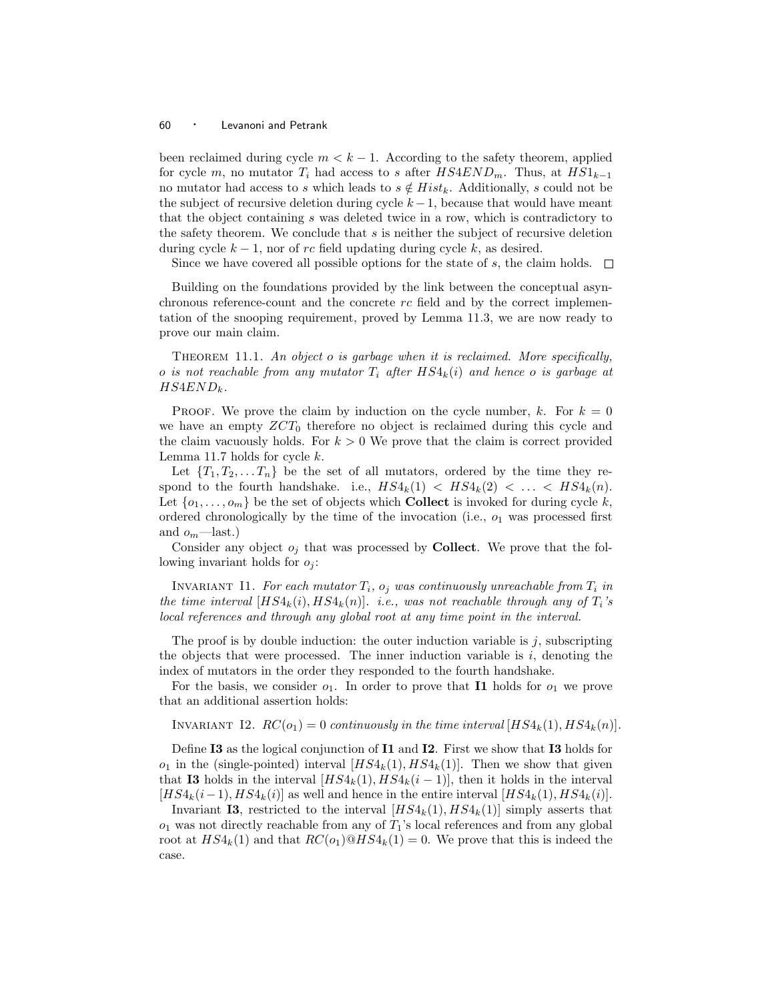been reclaimed during cycle  $m < k - 1$ . According to the safety theorem, applied for cycle m, no mutator  $T_i$  had access to s after  $HS4END_m$ . Thus, at  $HS1_{k-1}$ no mutator had access to s which leads to  $s \notin Hist_k$ . Additionally, s could not be the subject of recursive deletion during cycle  $k-1$ , because that would have meant that the object containing s was deleted twice in a row, which is contradictory to the safety theorem. We conclude that  $s$  is neither the subject of recursive deletion during cycle  $k - 1$ , nor of rc field updating during cycle k, as desired.

Since we have covered all possible options for the state of s, the claim holds.  $\Box$ 

Building on the foundations provided by the link between the conceptual asynchronous reference-count and the concrete rc field and by the correct implementation of the snooping requirement, proved by Lemma 11.3, we are now ready to prove our main claim.

Theorem 11.1. An object o is garbage when it is reclaimed. More specifically, o is not reachable from any mutator  $T_i$  after  $HSA_k(i)$  and hence o is garbage at  $HS4END_k.$ 

PROOF. We prove the claim by induction on the cycle number, k. For  $k = 0$ we have an empty  $ZCT_0$  therefore no object is reclaimed during this cycle and the claim vacuously holds. For  $k > 0$  We prove that the claim is correct provided Lemma 11.7 holds for cycle  $k$ .

Let  $\{T_1, T_2, \ldots, T_n\}$  be the set of all mutators, ordered by the time they respond to the fourth handshake. i.e.,  $HS4_k(1) < HS4_k(2) < \ldots < HS4_k(n)$ . Let  $\{o_1, \ldots, o_m\}$  be the set of objects which **Collect** is invoked for during cycle k, ordered chronologically by the time of the invocation (i.e.,  $o_1$  was processed first and  $o_m$ —last.)

Consider any object  $o_j$  that was processed by **Collect**. We prove that the following invariant holds for  $o_i$ :

INVARIANT I1. For each mutator  $T_i$ ,  $o_j$  was continuously unreachable from  $T_i$  in the time interval  $[HS4_k(i), HS4_k(n)]$ . i.e., was not reachable through any of  $T_i$ 's local references and through any global root at any time point in the interval.

The proof is by double induction: the outer induction variable is  $j$ , subscripting the objects that were processed. The inner induction variable is  $i$ , denoting the index of mutators in the order they responded to the fourth handshake.

For the basis, we consider  $o_1$ . In order to prove that **I1** holds for  $o_1$  we prove that an additional assertion holds:

INVARIANT I2.  $RC(o_1) = 0$  continuously in the time interval  $[HS4_k(1), HS4_k(n)]$ .

Define I3 as the logical conjunction of I1 and I2. First we show that I3 holds for  $o_1$  in the (single-pointed) interval  $[HS4_k(1), HS4_k(1)]$ . Then we show that given that I3 holds in the interval  $[HS4_k(1), HS4_k(i-1)]$ , then it holds in the interval  $[HS4_k(i-1), HS4_k(i)]$  as well and hence in the entire interval  $[HS4_k(1), HS4_k(i)]$ .

Invariant **I3**, restricted to the interval  $[HS4_k(1), HS4_k(1)]$  simply asserts that  $o_1$  was not directly reachable from any of  $T_1$ 's local references and from any global root at  $HS4_k(1)$  and that  $RC(o_1) \mathcal{Q} HS4_k(1) = 0$ . We prove that this is indeed the case.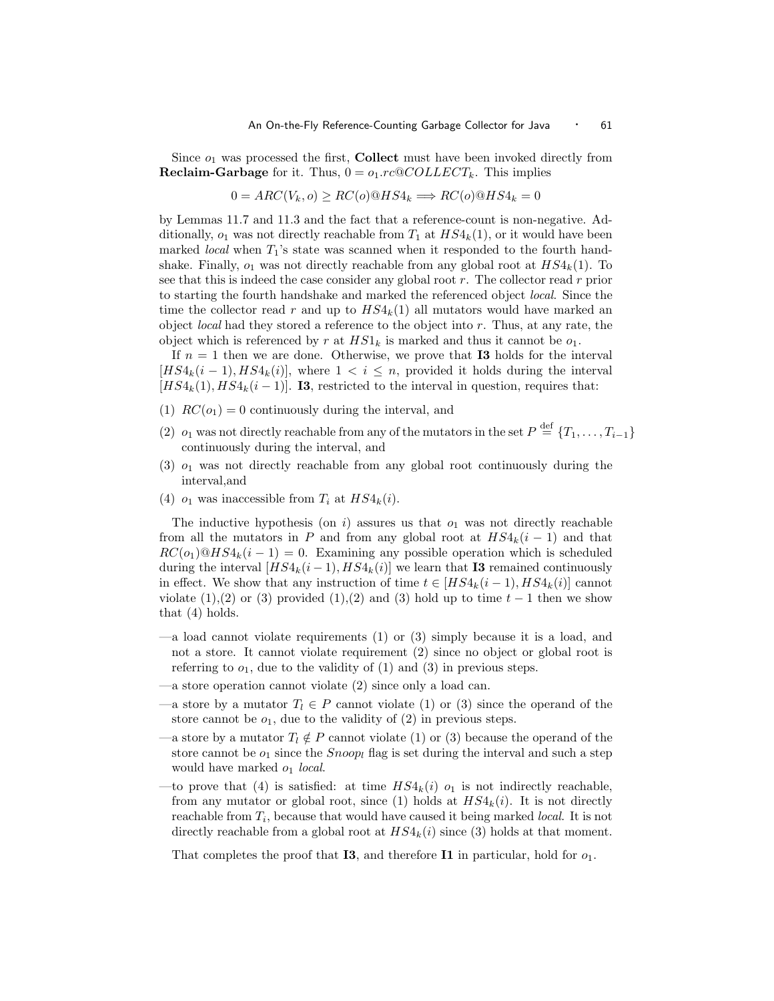Since  $o_1$  was processed the first, **Collect** must have been invoked directly from **Reclaim-Garbage** for it. Thus,  $0 = o_1$ .rc@COLLECT<sub>k</sub>. This implies

$$
0 = ARC(V_k, o) \ge RC(o) \textcircled{a} HS4_k \Longrightarrow RC(o) \textcircled{a} HS4_k = 0
$$

by Lemmas 11.7 and 11.3 and the fact that a reference-count is non-negative. Additionally,  $o_1$  was not directly reachable from  $T_1$  at  $HS4_k(1)$ , or it would have been marked *local* when  $T_1$ 's state was scanned when it responded to the fourth handshake. Finally,  $o_1$  was not directly reachable from any global root at  $HS4_k(1)$ . To see that this is indeed the case consider any global root  $r$ . The collector read  $r$  prior to starting the fourth handshake and marked the referenced object local. Since the time the collector read r and up to  $HS4<sub>k</sub>(1)$  all mutators would have marked an object *local* had they stored a reference to the object into  $r$ . Thus, at any rate, the object which is referenced by r at  $HS1_k$  is marked and thus it cannot be  $o_1$ .

If  $n = 1$  then we are done. Otherwise, we prove that **I3** holds for the interval  $[HS4_k(i-1), HS4_k(i)]$ , where  $1 \leq i \leq n$ , provided it holds during the interval  $[HS4_k(1), HS4_k(i-1)].$  **I3**, restricted to the interval in question, requires that:

- (1)  $RC(o_1) = 0$  continuously during the interval, and
- (2)  $o_1$  was not directly reachable from any of the mutators in the set  $P \stackrel{\text{def}}{=} \{T_1, \ldots, T_{i-1}\}$ continuously during the interval, and
- (3)  $o_1$  was not directly reachable from any global root continuously during the interval,and
- (4)  $o_1$  was inaccessible from  $T_i$  at  $HS4_k(i)$ .

The inductive hypothesis (on i) assures us that  $o_1$  was not directly reachable from all the mutators in P and from any global root at  $HS4_k(i-1)$  and that  $RC(o_1) \mathcal{Q} HS4_k(i-1) = 0$ . Examining any possible operation which is scheduled during the interval  $[HS4_k(i-1), HS4_k(i)]$  we learn that **I3** remained continuously in effect. We show that any instruction of time  $t \in [HS4_k(i-1), HS4_k(i)]$  cannot violate (1),(2) or (3) provided (1),(2) and (3) hold up to time  $t-1$  then we show that (4) holds.

- —a load cannot violate requirements (1) or (3) simply because it is a load, and not a store. It cannot violate requirement (2) since no object or global root is referring to  $o_1$ , due to the validity of (1) and (3) in previous steps.
- —a store operation cannot violate (2) since only a load can.
- -a store by a mutator  $T_l \in P$  cannot violate (1) or (3) since the operand of the store cannot be  $o_1$ , due to the validity of  $(2)$  in previous steps.
- —a store by a mutator  $T_l \notin P$  cannot violate (1) or (3) because the operand of the store cannot be  $o_1$  since the *Snoop*<sub>l</sub> flag is set during the interval and such a step would have marked  $o_1$  *local*.
- to prove that (4) is satisfied: at time  $HS4_k(i)$  o<sub>1</sub> is not indirectly reachable, from any mutator or global root, since (1) holds at  $HS4<sub>k</sub>(i)$ . It is not directly reachable from  $T_i$ , because that would have caused it being marked *local*. It is not directly reachable from a global root at  $HS4<sub>k</sub>(i)$  since (3) holds at that moment.

That completes the proof that **I3**, and therefore **I1** in particular, hold for  $o_1$ .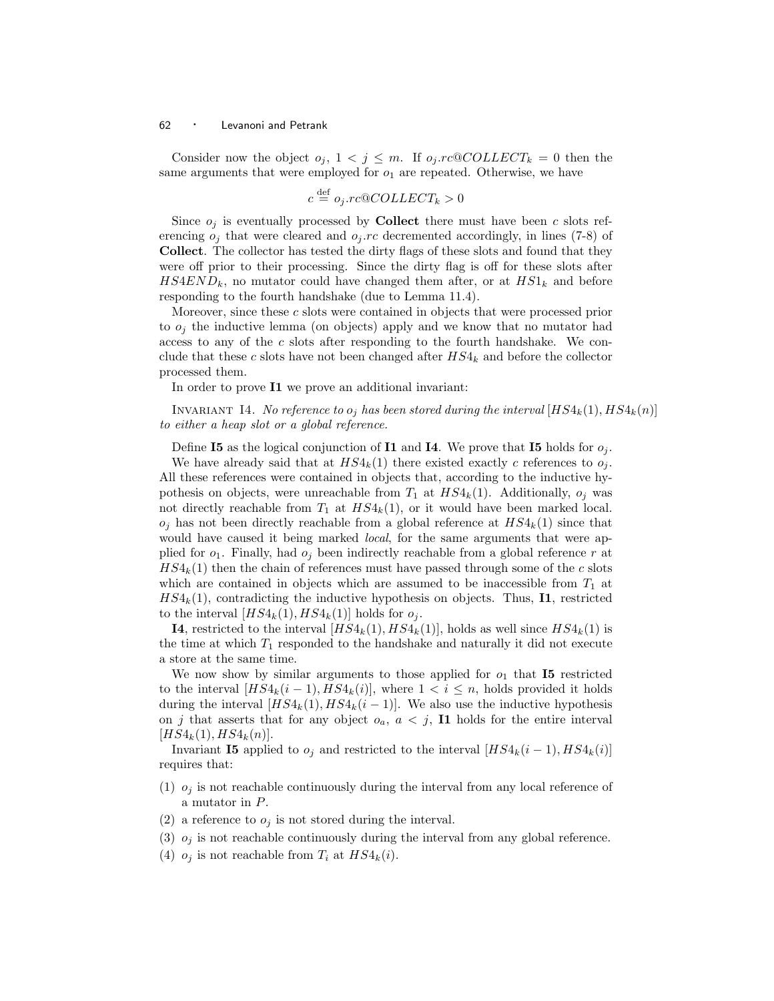Consider now the object  $o_i$ ,  $1 < j \leq m$ . If  $o_j$  rc QCOLLECT<sub>k</sub> = 0 then the same arguments that were employed for  $o_1$  are repeated. Otherwise, we have

 $c \stackrel{\text{def}}{=} o_j.rc@COLLECT_k > 0$ 

Since  $o_i$  is eventually processed by **Collect** there must have been c slots referencing  $o_i$  that were cleared and  $o_i$  *rc* decremented accordingly, in lines (7-8) of Collect. The collector has tested the dirty flags of these slots and found that they were off prior to their processing. Since the dirty flag is off for these slots after  $HS4END_k$ , no mutator could have changed them after, or at  $HS1_k$  and before responding to the fourth handshake (due to Lemma 11.4).

Moreover, since these c slots were contained in objects that were processed prior to  $o_i$  the inductive lemma (on objects) apply and we know that no mutator had access to any of the c slots after responding to the fourth handshake. We conclude that these c slots have not been changed after  $HS4_k$  and before the collector processed them.

In order to prove I1 we prove an additional invariant:

INVARIANT I4. No reference to  $o_j$  has been stored during the interval  $[HS4_k(1), HS4_k(n)]$ to either a heap slot or a global reference.

Define I5 as the logical conjunction of I1 and I4. We prove that I5 holds for  $o_i$ .

We have already said that at  $HS4_k(1)$  there existed exactly c references to  $o_i$ . All these references were contained in objects that, according to the inductive hypothesis on objects, were unreachable from  $T_1$  at  $HS4_k(1)$ . Additionally,  $o_j$  was not directly reachable from  $T_1$  at  $HSA_k(1)$ , or it would have been marked local.  $o_i$  has not been directly reachable from a global reference at  $HS4_k(1)$  since that would have caused it being marked *local*, for the same arguments that were applied for  $o_1$ . Finally, had  $o_i$  been indirectly reachable from a global reference r at  $HS4<sub>k</sub>(1)$  then the chain of references must have passed through some of the c slots which are contained in objects which are assumed to be inaccessible from  $T_1$  at  $HS4<sub>k</sub>(1)$ , contradicting the inductive hypothesis on objects. Thus, **I1**, restricted to the interval  $[HS4_k(1), HS4_k(1)]$  holds for  $o_j$ .

14, restricted to the interval  $[HS4_k(1), HS4_k(1)]$ , holds as well since  $HS4_k(1)$  is the time at which  $T_1$  responded to the handshake and naturally it did not execute a store at the same time.

We now show by similar arguments to those applied for  $o_1$  that **I5** restricted to the interval  $[HS4_k(i-1), HS4_k(i)]$ , where  $1 \leq i \leq n$ , holds provided it holds during the interval  $[HS4_k(1), HS4_k(i-1)]$ . We also use the inductive hypothesis on j that asserts that for any object  $o_a$ ,  $a < j$ , I1 holds for the entire interval  $[HS4_k(1), HS4_k(n)].$ 

Invariant I5 applied to  $o_j$  and restricted to the interval  $[HS4_k(i-1), HS4_k(i)]$ requires that:

- (1)  $o_j$  is not reachable continuously during the interval from any local reference of a mutator in P.
- (2) a reference to  $o_i$  is not stored during the interval.
- (3)  $o_j$  is not reachable continuously during the interval from any global reference.
- (4)  $o_i$  is not reachable from  $T_i$  at  $HS4_k(i)$ .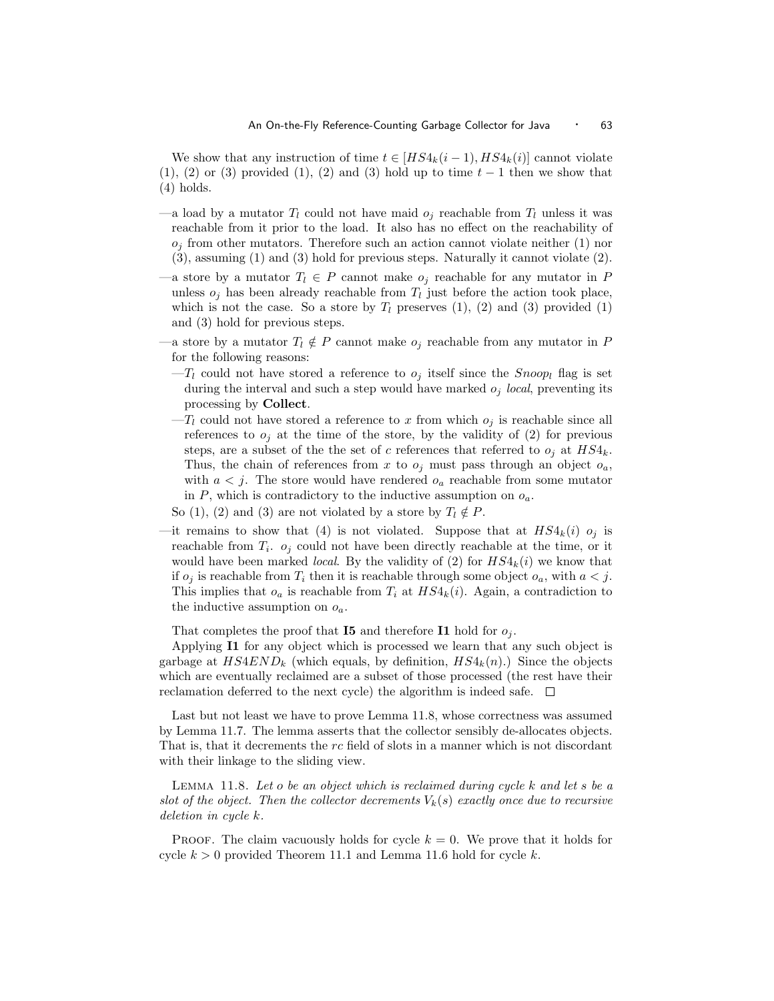We show that any instruction of time  $t \in [HS4_k(i-1), HS4_k(i)]$  cannot violate (1), (2) or (3) provided (1), (2) and (3) hold up to time  $t-1$  then we show that (4) holds.

- —a load by a mutator  $T_l$  could not have maid  $o_j$  reachable from  $T_l$  unless it was reachable from it prior to the load. It also has no effect on the reachability of  $o_j$  from other mutators. Therefore such an action cannot violate neither (1) nor (3), assuming (1) and (3) hold for previous steps. Naturally it cannot violate (2).
- —a store by a mutator  $T_l \in P$  cannot make  $o_j$  reachable for any mutator in P unless  $o_j$  has been already reachable from  $T_l$  just before the action took place, which is not the case. So a store by  $T_l$  preserves (1), (2) and (3) provided (1) and (3) hold for previous steps.
- -a store by a mutator  $T_l \notin P$  cannot make  $o_i$  reachable from any mutator in P for the following reasons:
	- $-T_l$  could not have stored a reference to  $o_i$  itself since the *Snoop*<sub>l</sub> flag is set during the interval and such a step would have marked  $o_i$  local, preventing its processing by Collect.
	- $-T_l$  could not have stored a reference to x from which  $o_i$  is reachable since all references to  $o_j$  at the time of the store, by the validity of (2) for previous steps, are a subset of the the set of c references that referred to  $o_j$  at  $HS4_k$ . Thus, the chain of references from x to  $o_j$  must pass through an object  $o_a$ , with  $a < j$ . The store would have rendered  $o_a$  reachable from some mutator in P, which is contradictory to the inductive assumption on  $o_a$ .
	- So (1), (2) and (3) are not violated by a store by  $T_l \notin P$ .
- —it remains to show that (4) is not violated. Suppose that at  $HS4_k(i)$  o<sub>j</sub> is reachable from  $T_i$ .  $o_j$  could not have been directly reachable at the time, or it would have been marked *local*. By the validity of  $(2)$  for  $HS4_k(i)$  we know that if  $o_i$  is reachable from  $T_i$  then it is reachable through some object  $o_a$ , with  $a < j$ . This implies that  $o_a$  is reachable from  $T_i$  at  $HS4_k(i)$ . Again, a contradiction to the inductive assumption on  $o_a$ .

That completes the proof that **I5** and therefore **I1** hold for  $o_i$ .

Applying I1 for any object which is processed we learn that any such object is garbage at  $HS4END_k$  (which equals, by definition,  $HS4_k(n)$ .) Since the objects which are eventually reclaimed are a subset of those processed (the rest have their reclamation deferred to the next cycle) the algorithm is indeed safe.  $\Box$ 

Last but not least we have to prove Lemma 11.8, whose correctness was assumed by Lemma 11.7. The lemma asserts that the collector sensibly de-allocates objects. That is, that it decrements the rc field of slots in a manner which is not discordant with their linkage to the sliding view.

Lemma 11.8. Let o be an object which is reclaimed during cycle k and let s be a slot of the object. Then the collector decrements  $V_k(s)$  exactly once due to recursive deletion in cycle k.

PROOF. The claim vacuously holds for cycle  $k = 0$ . We prove that it holds for cycle  $k > 0$  provided Theorem 11.1 and Lemma 11.6 hold for cycle k.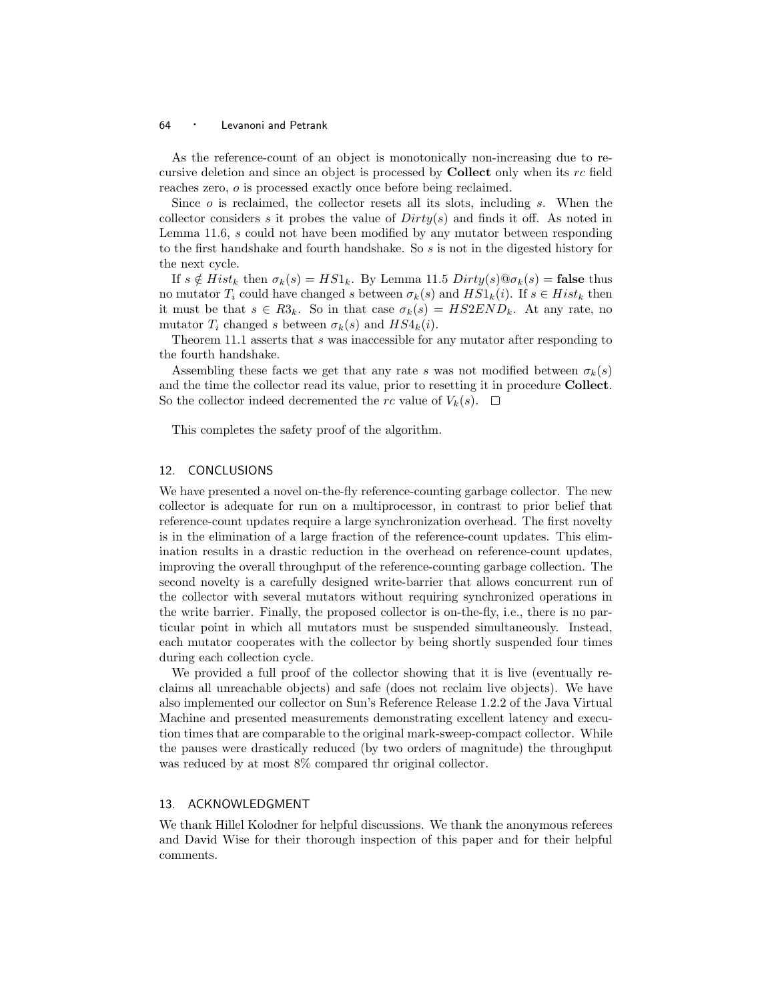As the reference-count of an object is monotonically non-increasing due to recursive deletion and since an object is processed by **Collect** only when its  $rc$  field reaches zero, o is processed exactly once before being reclaimed.

Since  $o$  is reclaimed, the collector resets all its slots, including s. When the collector considers s it probes the value of  $Dirty(s)$  and finds it off. As noted in Lemma 11.6, s could not have been modified by any mutator between responding to the first handshake and fourth handshake. So  $s$  is not in the digested history for the next cycle.

If  $s \notin Hist_k$  then  $\sigma_k(s) = HS1_k$ . By Lemma 11.5  $Dirty(s)@\sigma_k(s) =$  false thus no mutator  $T_i$  could have changed s between  $\sigma_k(s)$  and  $HS1_k(i)$ . If  $s \in Hist_k$  then it must be that  $s \in R3_k$ . So in that case  $\sigma_k(s) = HS2END_k$ . At any rate, no mutator  $T_i$  changed s between  $\sigma_k(s)$  and  $HS4_k(i)$ .

Theorem 11.1 asserts that s was inaccessible for any mutator after responding to the fourth handshake.

Assembling these facts we get that any rate s was not modified between  $\sigma_k(s)$ and the time the collector read its value, prior to resetting it in procedure Collect. So the collector indeed decremented the rc value of  $V_k(s)$ .  $\Box$ 

This completes the safety proof of the algorithm.

# 12. CONCLUSIONS

We have presented a novel on-the-fly reference-counting garbage collector. The new collector is adequate for run on a multiprocessor, in contrast to prior belief that reference-count updates require a large synchronization overhead. The first novelty is in the elimination of a large fraction of the reference-count updates. This elimination results in a drastic reduction in the overhead on reference-count updates, improving the overall throughput of the reference-counting garbage collection. The second novelty is a carefully designed write-barrier that allows concurrent run of the collector with several mutators without requiring synchronized operations in the write barrier. Finally, the proposed collector is on-the-fly, i.e., there is no particular point in which all mutators must be suspended simultaneously. Instead, each mutator cooperates with the collector by being shortly suspended four times during each collection cycle.

We provided a full proof of the collector showing that it is live (eventually reclaims all unreachable objects) and safe (does not reclaim live objects). We have also implemented our collector on Sun's Reference Release 1.2.2 of the Java Virtual Machine and presented measurements demonstrating excellent latency and execution times that are comparable to the original mark-sweep-compact collector. While the pauses were drastically reduced (by two orders of magnitude) the throughput was reduced by at most 8% compared thr original collector.

# 13. ACKNOWLEDGMENT

We thank Hillel Kolodner for helpful discussions. We thank the anonymous referees and David Wise for their thorough inspection of this paper and for their helpful comments.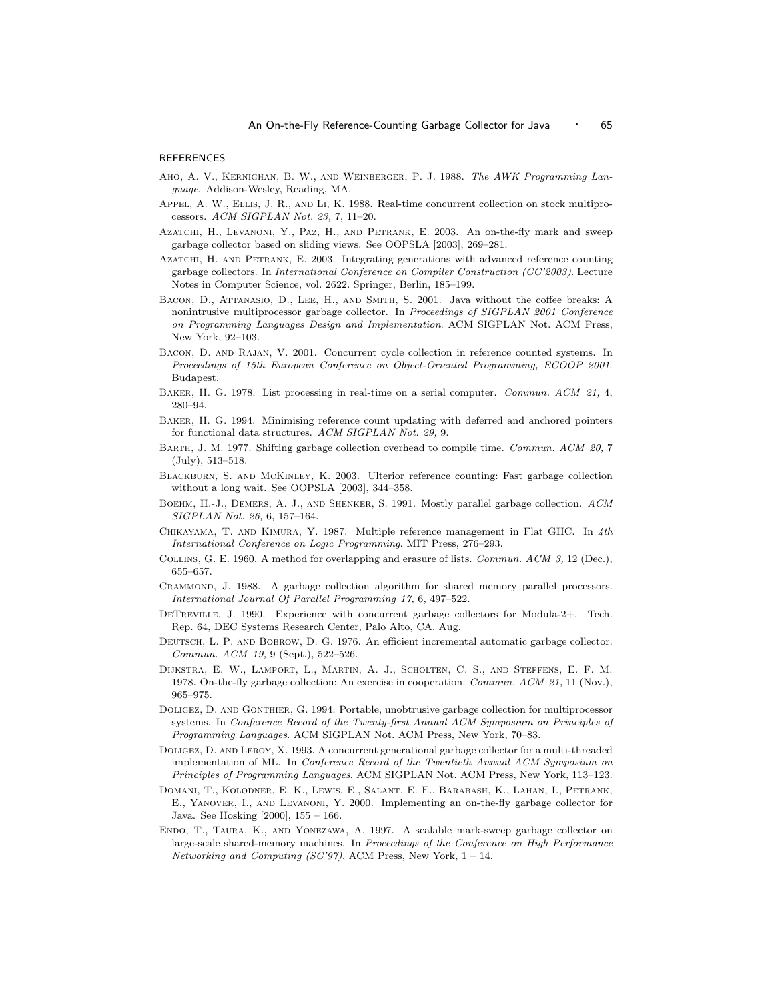#### **REFERENCES**

- Aho, A. V., Kernighan, B. W., and Weinberger, P. J. 1988. The AWK Programming Language. Addison-Wesley, Reading, MA.
- Appel, A. W., Ellis, J. R., and Li, K. 1988. Real-time concurrent collection on stock multiprocessors. ACM SIGPLAN Not. 23, 7, 11–20.
- AZATCHI, H., LEVANONI, Y., PAZ, H., AND PETRANK, E. 2003. An on-the-fly mark and sweep garbage collector based on sliding views. See OOPSLA [2003], 269–281.
- Azatchi, H. and Petrank, E. 2003. Integrating generations with advanced reference counting garbage collectors. In International Conference on Compiler Construction (CC'2003). Lecture Notes in Computer Science, vol. 2622. Springer, Berlin, 185–199.
- Bacon, D., Attanasio, D., Lee, H., and Smith, S. 2001. Java without the coffee breaks: A nonintrusive multiprocessor garbage collector. In Proceedings of SIGPLAN 2001 Conference on Programming Languages Design and Implementation. ACM SIGPLAN Not. ACM Press, New York, 92–103.
- Bacon, D. and Rajan, V. 2001. Concurrent cycle collection in reference counted systems. In Proceedings of 15th European Conference on Object-Oriented Programming, ECOOP 2001. Budapest.
- BAKER, H. G. 1978. List processing in real-time on a serial computer. Commun. ACM 21, 4, 280–94.
- Baker, H. G. 1994. Minimising reference count updating with deferred and anchored pointers for functional data structures. ACM SIGPLAN Not. 29, 9.
- BARTH, J. M. 1977. Shifting garbage collection overhead to compile time. Commun. ACM 20, 7 (July), 513–518.
- BLACKBURN, S. AND MCKINLEY, K. 2003. Ulterior reference counting: Fast garbage collection without a long wait. See OOPSLA [2003], 344–358.
- BOEHM, H.-J., DEMERS, A. J., AND SHENKER, S. 1991. Mostly parallel garbage collection. ACM SIGPLAN Not. 26, 6, 157–164.
- Chikayama, T. and Kimura, Y. 1987. Multiple reference management in Flat GHC. In 4th International Conference on Logic Programming. MIT Press, 276–293.
- Collins, G. E. 1960. A method for overlapping and erasure of lists. Commun. ACM 3, 12 (Dec.), 655–657.
- CRAMMOND, J. 1988. A garbage collection algorithm for shared memory parallel processors. International Journal Of Parallel Programming 17, 6, 497–522.
- DeTreville, J. 1990. Experience with concurrent garbage collectors for Modula-2+. Tech. Rep. 64, DEC Systems Research Center, Palo Alto, CA. Aug.
- Deutsch, L. P. and Bobrow, D. G. 1976. An efficient incremental automatic garbage collector. Commun. ACM 19, 9 (Sept.), 522–526.
- Dijkstra, E. W., Lamport, L., Martin, A. J., Scholten, C. S., and Steffens, E. F. M. 1978. On-the-fly garbage collection: An exercise in cooperation. Commun. ACM 21, 11 (Nov.), 965–975.
- Doligez, D. and Gonthier, G. 1994. Portable, unobtrusive garbage collection for multiprocessor systems. In Conference Record of the Twenty-first Annual ACM Symposium on Principles of Programming Languages. ACM SIGPLAN Not. ACM Press, New York, 70–83.
- Doligez, D. and Leroy, X. 1993. A concurrent generational garbage collector for a multi-threaded implementation of ML. In Conference Record of the Twentieth Annual ACM Symposium on Principles of Programming Languages. ACM SIGPLAN Not. ACM Press, New York, 113–123.
- Domani, T., Kolodner, E. K., Lewis, E., Salant, E. E., Barabash, K., Lahan, I., Petrank, E., Yanover, I., and Levanoni, Y. 2000. Implementing an on-the-fly garbage collector for Java. See Hosking [2000], 155 – 166.
- Endo, T., Taura, K., and Yonezawa, A. 1997. A scalable mark-sweep garbage collector on large-scale shared-memory machines. In Proceedings of the Conference on High Performance Networking and Computing (SC'97). ACM Press, New York, 1 – 14.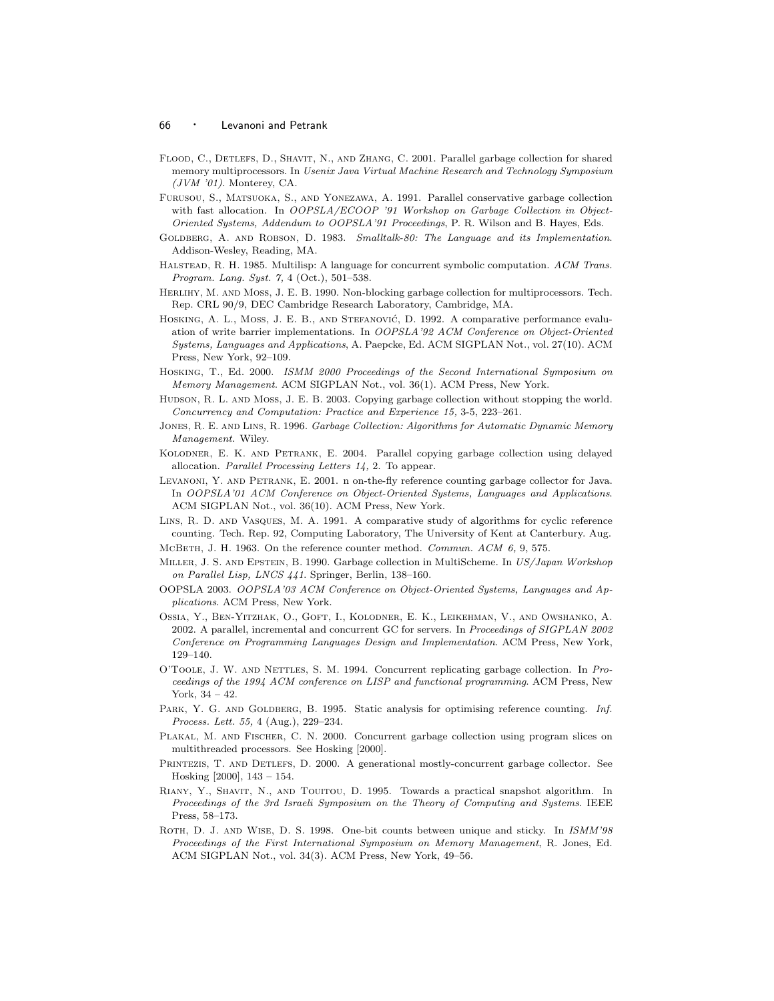- Flood, C., Detlefs, D., Shavit, N., and Zhang, C. 2001. Parallel garbage collection for shared memory multiprocessors. In Usenix Java Virtual Machine Research and Technology Symposium  $(JVM'01)$ . Monterey, CA.
- Furusou, S., Matsuoka, S., and Yonezawa, A. 1991. Parallel conservative garbage collection with fast allocation. In *OOPSLA/ECOOP* '91 Workshop on Garbage Collection in Object-Oriented Systems, Addendum to OOPSLA'91 Proceedings, P. R. Wilson and B. Hayes, Eds.
- GOLDBERG, A. AND ROBSON, D. 1983. Smalltalk-80: The Language and its Implementation. Addison-Wesley, Reading, MA.
- Halstead, R. H. 1985. Multilisp: A language for concurrent symbolic computation. ACM Trans. Program. Lang. Syst. 7, 4 (Oct.), 501–538.
- Herlihy, M. and Moss, J. E. B. 1990. Non-blocking garbage collection for multiprocessors. Tech. Rep. CRL 90/9, DEC Cambridge Research Laboratory, Cambridge, MA.
- HOSKING, A. L., MOSS, J. E. B., AND STEFANOVIĆ, D. 1992. A comparative performance evaluation of write barrier implementations. In OOPSLA'92 ACM Conference on Object-Oriented Systems, Languages and Applications, A. Paepcke, Ed. ACM SIGPLAN Not., vol. 27(10). ACM Press, New York, 92–109.
- Hosking, T., Ed. 2000. ISMM 2000 Proceedings of the Second International Symposium on Memory Management. ACM SIGPLAN Not., vol. 36(1). ACM Press, New York.
- Hudson, R. L. and Moss, J. E. B. 2003. Copying garbage collection without stopping the world. Concurrency and Computation: Practice and Experience 15, 3-5, 223–261.
- Jones, R. E. and Lins, R. 1996. Garbage Collection: Algorithms for Automatic Dynamic Memory Management. Wiley.
- Kolodner, E. K. and Petrank, E. 2004. Parallel copying garbage collection using delayed allocation. Parallel Processing Letters 14, 2. To appear.
- Levanoni, Y. and Petrank, E. 2001. n on-the-fly reference counting garbage collector for Java. In OOPSLA'01 ACM Conference on Object-Oriented Systems, Languages and Applications. ACM SIGPLAN Not., vol. 36(10). ACM Press, New York.
- Lins, R. D. and Vasques, M. A. 1991. A comparative study of algorithms for cyclic reference counting. Tech. Rep. 92, Computing Laboratory, The University of Kent at Canterbury. Aug.
- MCBETH, J. H. 1963. On the reference counter method. Commun. ACM 6, 9, 575.
- MILLER, J. S. AND EPSTEIN, B. 1990. Garbage collection in MultiScheme. In US/Japan Workshop on Parallel Lisp, LNCS 441. Springer, Berlin, 138–160.
- OOPSLA 2003. OOPSLA'03 ACM Conference on Object-Oriented Systems, Languages and Applications. ACM Press, New York.
- Ossia, Y., Ben-Yitzhak, O., Goft, I., Kolodner, E. K., Leikehman, V., and Owshanko, A. 2002. A parallel, incremental and concurrent GC for servers. In Proceedings of SIGPLAN 2002 Conference on Programming Languages Design and Implementation. ACM Press, New York, 129–140.
- O'Toole, J. W. and Nettles, S. M. 1994. Concurrent replicating garbage collection. In Proceedings of the 1994 ACM conference on LISP and functional programming. ACM Press, New York, 34 – 42.
- PARK, Y. G. AND GOLDBERG, B. 1995. Static analysis for optimising reference counting. Inf. Process. Lett. 55, 4 (Aug.), 229–234.
- PLAKAL, M. AND FISCHER, C. N. 2000. Concurrent garbage collection using program slices on multithreaded processors. See Hosking [2000].
- PRINTEZIS, T. AND DETLEFS, D. 2000. A generational mostly-concurrent garbage collector. See Hosking [2000], 143 – 154.
- Riany, Y., Shavit, N., and Touitou, D. 1995. Towards a practical snapshot algorithm. In Proceedings of the 3rd Israeli Symposium on the Theory of Computing and Systems. IEEE Press, 58–173.
- ROTH, D. J. AND WISE, D. S. 1998. One-bit counts between unique and sticky. In ISMM'98 Proceedings of the First International Symposium on Memory Management, R. Jones, Ed. ACM SIGPLAN Not., vol. 34(3). ACM Press, New York, 49–56.